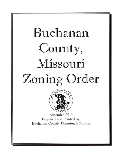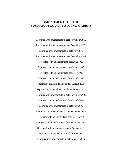# **AMENDMENTS OF THE BUCHANAN COUNTY ZONING ORDERS**

Reprinted with amendments to date November 1965 Reprinted with amendments to date December 1972 Reprinted with amendments to date July 1976 Reprinted with amendments to date December 1984 Reprinted with amendments to date June 1985 Reprinted with amendments to date March 1993 Reprinted with amendments to date May 1996 Reprinted with amendments to date March 1999 Reprinted with amendments to date August 2000 Reprinted with amendments to date February 2003 Reprinted with amendments to date November 2003 Reprinted with amendments to date March 2004 Reprinted with amendments to date July 2005 Reprinted with amendments to date November 2011 Reprinted with amendments to date March 2014 Reprinted with amendments to date September 2014 Reprinted with amendments to date January 2017 Reprinted with amendments to date June 2018 Reprinted with amendments to date May 17, 2019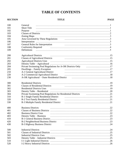# **TABLE OF CONTENTS**

# **SECTION TITLE PAGE**

| 100 | General                                                                                                                                      |  |
|-----|----------------------------------------------------------------------------------------------------------------------------------------------|--|
| 101 | <b>Short Title</b>                                                                                                                           |  |
| 102 | Purpose                                                                                                                                      |  |
| 103 | <b>Classes of Districts</b>                                                                                                                  |  |
| 104 | <b>Zoning Maps</b>                                                                                                                           |  |
| 105 |                                                                                                                                              |  |
| 106 |                                                                                                                                              |  |
| 107 |                                                                                                                                              |  |
| 108 | <b>Conformity Required</b>                                                                                                                   |  |
| 109 | Definitions                                                                                                                                  |  |
| 200 | <b>Agricultural Districts</b>                                                                                                                |  |
| 201 |                                                                                                                                              |  |
| 202 |                                                                                                                                              |  |
| 203 |                                                                                                                                              |  |
| 204 |                                                                                                                                              |  |
| 205 | Dwellings – Family Exception                                                                                                                 |  |
| 210 | A-1 General Agricultural District                                                                                                            |  |
| 220 | A-2 Commercial Agricultural District exclusive contracts and all all the commercial Agricultural District                                    |  |
| 230 | A-OR Agricultural – Outer Residential District (and according to the Agricultural – Outer Residential District                               |  |
| 300 | <b>Residential Districts</b>                                                                                                                 |  |
| 301 | <b>Classes of Residential Districts</b>                                                                                                      |  |
| 302 | <b>Residential Districts Uses</b>                                                                                                            |  |
| 303 |                                                                                                                                              |  |
| 304 |                                                                                                                                              |  |
| 310 | R-1 Single Family Residential District material contracts and all the R-1 Single Family Residential District                                 |  |
| 320 |                                                                                                                                              |  |
| 330 | R-3 Multiple Family Residential District (and according to the Family Residential District (and according to the Family Residential District |  |
| 400 | <b>Business Districts</b>                                                                                                                    |  |
| 401 |                                                                                                                                              |  |
| 402 | <b>Business District Uses</b>                                                                                                                |  |
| 403 | Density Table – Business                                                                                                                     |  |
| 410 |                                                                                                                                              |  |
| 420 | B-2 Neighborhood Business District                                                                                                           |  |
| 430 | B-3 Highway Business District                                                                                                                |  |
| 500 | <b>Industrial Districts</b>                                                                                                                  |  |
| 501 |                                                                                                                                              |  |
| 502 | <b>Industrial Districts Uses</b>                                                                                                             |  |
| 503 | Density Table – Industrial Districts                                                                                                         |  |
| 510 |                                                                                                                                              |  |
| 520 |                                                                                                                                              |  |
|     |                                                                                                                                              |  |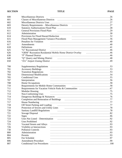# **SECTION TITLE PAGE**

| 600 | <b>Miscellaneous Districts</b>         |                                                                                                                  |  |
|-----|----------------------------------------|------------------------------------------------------------------------------------------------------------------|--|
| 601 |                                        | Classes of Miscellaneous Districts (all according to the set of Miscellaneous Districts (all according to the Mi |  |
| 602 |                                        |                                                                                                                  |  |
| 603 |                                        |                                                                                                                  |  |
| 610 |                                        |                                                                                                                  |  |
| 611 | <b>General Provisions Flood Plain</b>  |                                                                                                                  |  |
| 612 | Administration                         |                                                                                                                  |  |
| 614 | Provisions for Flood Hazard Reduction  |                                                                                                                  |  |
| 615 |                                        | Flood Plain Management Variance Procedures (and all resonance of the Procedures (and Alexander and Alexander A   |  |
| 616 | Penalties for Violation                |                                                                                                                  |  |
| 617 | Amendments                             |                                                                                                                  |  |
| 618 | Definitions                            |                                                                                                                  |  |
|     |                                        |                                                                                                                  |  |
| 625 |                                        |                                                                                                                  |  |
| 626 | "P" Planned District                   | "GRM" Recreation Residential Mobile Home District Overlay [10] 46                                                |  |
| 630 |                                        |                                                                                                                  |  |
| 640 |                                        |                                                                                                                  |  |
| 650 |                                        |                                                                                                                  |  |
| 700 | <b>Supplementary Regulations</b>       |                                                                                                                  |  |
| 701 | <b>Accessory Buildings</b>             |                                                                                                                  |  |
| 702 | <b>Transition Regulations</b>          |                                                                                                                  |  |
| 703 | <b>Dimensional Modifications</b>       |                                                                                                                  |  |
| 705 | <b>Conditional Uses</b>                |                                                                                                                  |  |
| 707 | Interpretation                         |                                                                                                                  |  |
| 708 | Home Occupations                       |                                                                                                                  |  |
| 710 |                                        | Requirements for Mobile Home Communities excession contracts and the S8                                          |  |
| 711 |                                        |                                                                                                                  |  |
| 712 | <b>Modular Housing</b>                 |                                                                                                                  |  |
| 713 | Non-Conforming Uses                    |                                                                                                                  |  |
| 714 |                                        |                                                                                                                  |  |
| 715 |                                        |                                                                                                                  |  |
|     |                                        |                                                                                                                  |  |
| 717 | House Numbering                        |                                                                                                                  |  |
| 718 | Off Street Parking and Loading         |                                                                                                                  |  |
| 719 | Protection of Sewers and Utility Lines |                                                                                                                  |  |
| 720 | <b>Sanitary Landfill Regulations</b>   |                                                                                                                  |  |
| 721 | Sewage Disposal                        |                                                                                                                  |  |
| 722 | <b>Signs</b>                           |                                                                                                                  |  |
| 723 | Uses Not Listed – Determination        |                                                                                                                  |  |
| 724 | <b>Uses Prohibited</b>                 |                                                                                                                  |  |
| 725 | Vacated Streets and Alleys             |                                                                                                                  |  |
| 726 | Visibility at Intersections            |                                                                                                                  |  |
| 730 | <b>Pollution Controls</b>              |                                                                                                                  |  |
| 800 | Administration                         |                                                                                                                  |  |
| 804 | Permits                                |                                                                                                                  |  |
| 805 | Fee Schedule                           |                                                                                                                  |  |
| 806 | <b>Amendment Procedure</b>             |                                                                                                                  |  |
| 807 | <b>Conditional Use Procedures</b>      |                                                                                                                  |  |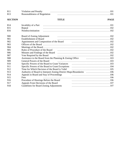| 811<br>813     | <b>Violation and Penalty</b><br>Reasonableness of Regulation                                                                                                                                                                  |  |
|----------------|-------------------------------------------------------------------------------------------------------------------------------------------------------------------------------------------------------------------------------|--|
| <b>SECTION</b> | <b>TITLE</b><br><b>PAGE</b>                                                                                                                                                                                                   |  |
| 814            | Invalidity of a Part                                                                                                                                                                                                          |  |
| 815            | Repeal                                                                                                                                                                                                                        |  |
| 816            | Nondiscrimination                                                                                                                                                                                                             |  |
| 900            | Board of Zoning Adjustment                                                                                                                                                                                                    |  |
| 901            | <b>Establishment of Board</b>                                                                                                                                                                                                 |  |
| 902            | Appointment and Composition of the Board manufactured and Composition of the Board                                                                                                                                            |  |
| 903            |                                                                                                                                                                                                                               |  |
| 904            |                                                                                                                                                                                                                               |  |
| 905            | Rules of Procedure of the Board (102) matter states and the Board (102) matter states and the Board (102) matter states and the Board (102) matter states and the Board (102) matter states and the Board (102) matter states |  |
| 906            |                                                                                                                                                                                                                               |  |
| 907            | Vote Required by the Board                                                                                                                                                                                                    |  |
| 908            | Assistance to the Board from the Planning & Zoning Office <i>manufacture 103</i>                                                                                                                                              |  |
| 909            | General Powers of the Board                                                                                                                                                                                                   |  |
| 910            |                                                                                                                                                                                                                               |  |
| 911            | Specific Powers of the Board to Grant Exceptions                                                                                                                                                                              |  |
| 912            | Time for Which Decision of the Board is Valid                                                                                                                                                                                 |  |
| 913            | Authority of Board to Interpret Zoning District Maps/Boundaries 106                                                                                                                                                           |  |
| 914            | Appeals to Board and Stay of Proceedings                                                                                                                                                                                      |  |
| 915            | Fees                                                                                                                                                                                                                          |  |
| 916            | Procedure of Hearings Before the Board                                                                                                                                                                                        |  |
| 917            | Appeals From Decisions of the Board                                                                                                                                                                                           |  |
| 918            | Guidelines for Board Zoning Adjustments                                                                                                                                                                                       |  |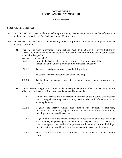# **ZONING ORDER BUCHANAN COUNTY, MISSOURI**

# **AS AMENDED**

### **SECTION 100 GENERAL**

- **101 SHORT TITLE:** These regulations including the Zoning District Maps made a part hereof constitute and may be referred to as "The Buchanan County Zoning Order."
- **102 PURPOSE:** The main purpose of the Zoning Order is to provide a framework for implementing the County Master Plan.
	- **102.1** This Order is made in accordance with Sections 64.211 to 64.295 of the Revised Statutes of Missouri 2000 and all supplements thereto and in accordance with the Buchanan County Master Plan and is designed to:

*(Amended September 8, 2011)*

- 102.1.1 Promote the health, safety, morals, comfort or general welfare of the inhabitants of the unincorporated portion of Buchanan County;
- 102.1.2 To conserve and protect property and building values;
- 102.1.3 To secure the most appropriate use of the land and;
- 102.1.4 To facilitate the adequate provision of public improvement throughout the County.
- **102.2** This is an order to regulate and restrict in the unincorporated portion of Buchanan County the use of land and the location of improvements thereon and is intended to:
	- 102.2.1 Divide into districts the unincorporated territory of the County, said districts being arranged according to the County Master Plan and references to maps showing the same.
	- 102.2.2 Regulate and restrict within such districts the erection, construction, reconstruction, alterations, repair, location, maintenance or use of buildings, dwellings, structures and lots or land.
	- 102.2.3 Regulate and restrict the height, number of stories, size of buildings, dwellings and structures; the percentage of lot that may be occupied, size of yards, courts or other open spaces, the density of population, the location and use of buildings, dwellings, structures and land for trade, industry, residences and other purposes.
	- 102.2.4 Preserve features of historical significance, natural resources and agricultural lands.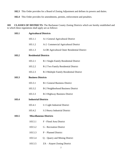**102.3** This Order provides for a Board of Zoning Adjustment and defines its powers and duties.

**102.4** This Order provides for amendments, permits, enforcement and penalties.

**103 CLASSES OF DISTRICTS:** The Buchanan County Zoning Districts which are hereby established and to which these regulations shall apply are as follows:

| 103.1 |                              | <b>Agricultural Districts</b>                |
|-------|------------------------------|----------------------------------------------|
|       | 103.1.1                      | A-1 General Agricultural District            |
|       | 103.1.2                      | A-2 Commercial Agricultural District         |
|       | 103.1.3                      | A-OR Agricultural Outer Residential District |
| 103.2 | <b>Residential Districts</b> |                                              |
|       | 103.2.1                      | R-1 Single-Family Residential District       |
|       | 103.2.2                      | R-2 Two Family Residential District          |
|       | 103.2.3                      | R-3 Multiple Family Residential District     |
| 103.3 | <b>Business Districts</b>    |                                              |
|       | 103.3.1                      | <b>B-1 General Business District</b>         |
|       | 103.3.2                      | B-2 Neighborhood Business District           |
|       | 103.3.3                      | B-3 Highway Business District                |
| 103.4 | <b>Industrial Districts</b>  |                                              |
|       | 103.4.1                      | I-1 Light Industrial District                |
|       | 103.4.2                      | I-2 Heavy Industrial District                |
| 103.5 |                              | <b>Miscellaneous Districts</b>               |
|       |                              | 103.5.1 F - Flood Area District              |
|       | 103.5.2                      | <b>G</b> - Recreation District               |
|       | 103.5.3                      | P – Planned District                         |
|       | 103.5.4                      | $Q -$ Quarry and Mining District             |
|       | 103.5.5                      | ZA – Airport Zoning District                 |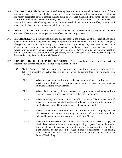- **104 ZONING MAPS:** The boundaries of said Zoning Districts, as enumerated in Section 103 of these regulations, are hereby established as shown on the Zoning Maps prepared for that purpose. Said maps are hereby designated as the Buchanan County Zoning Maps. Said maps and all the notations, references and information shown thereon are hereby made as much a part of this Order as if the same were set forth in full herein. The Planning and Zoning Commission shall keep, on file in its Office, copies of said maps and all changes, amendments and additions thereto.
- **105 AREA GOVERNED BY THESE REGULATIONS:** The area governed by these regulations is hereby declared to be the entire unincorporated area of Buchanan County, Missouri.
- **106 INTERPRETATION:** In their interpretation and application, the provisions, of these regulations, shall be held to the minimum requirements except as specifically provided herein. It is not intended to repeal, abrogate or annul or in any way impair or interfere with any existing law, Court order of Buchanan County or any easement, covenant or other agreement by or between parties, provided however, that where these regulations impose a greater restriction upon use of land or buildings or upon the height or bulk of buildings or require larger building site areas, yards or open spaces than are imposed or required by any other law, these regulations shall control.
- **107 GENERAL RULES FOR INTERPRETATION:** Where uncertainty exists with respect to interpretation of these regulations, the following rules shall apply:
	- **107.1** District Boundaries: When uncertainty exists with respect to district boundaries of any of the districts enumerated in Section 103 of this Order or on the Zoning Maps, the following rules shall apply:
		- 107.1.1 Where district boundary lines are indicated as approximately following roads, streets, alleys, highways or railroads, such boundaries shall be construed as following the right-of-way thereof.
		- 107.1.2 Where district boundary lines are indicated as approximately following lot lines or section lines, such lines shall be construed as the said boundaries.
		- 107.1.3 Where boundary of a district appears to follow a stream, lake or other body of water, said boundary line shall be deemed to be at the limit of the jurisdiction of the Buchanan County Commission, unless otherwise indicated.
		- 107.1.4 Where a district boundary line divides a lot or non-subdivided property, and the dimensions are not shown on the map, the location of such boundary shall be indicated by using the scale appearing on the Zoning Maps.
		- 107.1.5 When definite distances in feet are not shown on the Zoning District Maps, the district boundaries are intended to be along existing property lines, roads, streets, alleys or platted lot lines, survey or land lines, or extensions of the same. If the exact location of such lines is not clear, it shall be determined by the Zoning Officer, due consideration being given to location as indicated by the scale of the Zoning District Maps.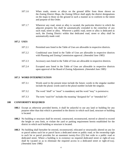- 107.1.6 When roads, streets or alleys on the ground differ from those shown on the Zoning District Maps, the Zoning Officer shall apply the district designations on the maps to those on the ground in such a manner as to conform to the intent and purpose of this Order.
- 107.1.7 Wherever any road, street or alley is vacated, the particular district in which the adjacent property lies shall be automatically extended to the centerline of any such road, street or alley. Wherever a public road, street or alley is dedicated as such, the Zoning District within that dedicated road, street or alley shall be automatically made void.

# **107.2 USES**

| 107.2.1 | Permitted uses listed in the Table of Uses are allowable in respective districts.                                                                       |
|---------|---------------------------------------------------------------------------------------------------------------------------------------------------------|
| 107.2.2 | Conditional uses listed in the Table of Uses are allowable in respective districts<br>with Planning and Zoning Commission approval. (Amended June 1985) |
| 107.2.3 | Accessory uses listed in the Table of Uses are allowable in respective districts.                                                                       |
| 107.2.4 | Excepted uses listed in the Table of Uses are allowable in respective districts<br>upon approval of the Board of Zoning Adjustment. (Amended June 1985) |

# **107.3 WORD INTERPRETATION**

| 107.3.1 | Words used in the present tense include the future; words in the singular number<br>include the plural; words used in the plural number include the singular. |
|---------|---------------------------------------------------------------------------------------------------------------------------------------------------------------|
| 107.3.2 | The word "shall" or "must" is mandatory and the word "may" is permissive.                                                                                     |
| 107.3.3 | The term "used for" includes the meaning "designed for" or "intended for".                                                                                    |

# **108 CONFORMITY REQUIRED**

- **108.1** Except as otherwise provided herein, it shall be unlawful to use any land or building for any purpose other than that which is permitted in the district in which such land, structure or building is located.
- 108.2 No building or structure shall be erected, constructed, reconstructed, moved or altered to exceed the height or area limit, or violate the yard or parking requirement herein established for the district in which such building or structure is located.
- **108.3** No building shall hereafter be erected, reconstructed, relocated or structurally altered on any lot or parcel unless such lot or parcel faces a dedicated street or public road; or the ownership right to such lot or parcel provides for an easement twenty-five (25) feet wide to a public road or dedicated street. Where a building is in existence no required dedicated street or right-of-way shall be vacated so as to eliminate the required access to a dedicated street or right-of-way. *(Amended June 1986)*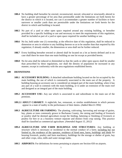- **108.4** No building shall hereafter be erected, reconstructed, moved, relocated or structurally altered to have a greater percentage of lot area than permissible under the limitations set forth herein for the district in which it is located, nor can it accommodate a greater number of facilities or have narrower or smaller yards than are permissible under the limitations set forth herein for the district in which said building is located.
- **108.5** No part of a yard or other open space required around any existing building, or hereafter provided for a specific building or use and necessary to meet the requirements of this regulation, shall be included as part of a yard or open space required for another building or use.
- **108.6** No lot, held under one (1) ownership, at the effective date of this regulation, shall be reduced in dimension or area in relation to any building thereon so as to be smaller than that required by this regulation; if already smaller, the dimensions or area shall not be further reduced.
- **108.7** Every building hereafter erected or altered shall be located on a lot as herein defined and in no case shall there be more than one main building on one lot except as provided herein.
- **108.8** No lot area shall be reduced or diminished so that the yards or other open spaces shall be smaller than prescribed by these regulations, nor shall the density of population be increased in any manner, except in conformity with the area regulations established herein.

# **109 DEFINITIONS**

- **109.1 ACCESSORY BUILDING:** A detached subordinate building located on the lot occupied by the main building, the use of which is customarily associated to the main use of the property. A building housing an accessory use is considered an integral part of the main building, when it has any part of a wall in common with the main building, or is under an extension of the main roof and designed as an integral part of the main building.
- **109.2 ACCESSORY USE:** Any use which is associated to and subordinate to the main use of the premises.
- **109.2.1 ADULT CABARET:** A nightclub, bar, restaurant, or similar establishment in which persons appear in a state of nudity in the performance of their duties. *(Added March 1994)*
- **109.3 AGRICULTURE OR FARMING:** The planting, cultivating, harvesting and storage of grains, hay, plants or trees commonly grown in Buchanan County, the raising and feeding of livestock or poultry shall be deemed agriculture except the feeding, fattening or finishing of livestock or poultry for hire or as a business venture separate and distinct from crop raising. This practice shall be classified as commercial agriculture. *(Amended August 15, 2012)*
- **109.4 AGRICULTURE AND FARM BUILDINGS AND STRUCTURES:** Any building or structure which is necessary or incidental to the normal conduct of a farm; including but not limited to, the residence of the operator, residence of hired men, barns, buildings and sheds for housing livestock, poultry and farm machinery, buildings for the storage or shelter of grain, hay and other crops, silos, mills and water storage tanks.
- **109.5 AIRPORTS:** For definitions for terms pertaining to airports see Section 650 on airports.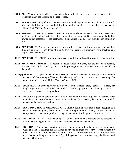- **109.6 ALLEY:** A minor way which is used primarily for vehicular service access to the back or side of properties otherwise abutting on a street or road.
- **109.7 ALTERATION:** Any addition, removal, extension or change in the location of any exterior wall of a main building or accessory building fabricated, assembled, constructed or erected by the skills of man. *(Amended March 25, 2014)*
- **109.8 ANIMAL HOSPITALS AND CLINICS:** An establishment where a Doctor of Veterinary Medicine admits animals principally for examination and treatment. Boarding of animals shall be limited to that necessary for the treatment of sick animals. This does not include open kennels or runs.
- **109.9 APARTMENT:** A room or a suite of rooms within an apartment house arranged, intended or designed as a place of residence of a single family or group of individuals living together as a single housekeeping unit.
- **109.10 APARTMENT HOUSE:** A building arranged, intended or designed for more than two families.
- **109.11 APARTMENT HOTEL:** An apartment house which furnishes, for the use of its tenants, services ordinarily furnished by hotels, but the privileges of which are not primarily available to the public.
- **109.11(a) APPEAL:** A request made to the Board of Zoning Adjustment to review an unfavorable decision of the Zoning Officer or the Planning and Zoning Commission concerning the application of the Zoning Order. *(Amended June 1985)*
- **109.12 BASEMENT:** A story below the first story as defined under "Story" counted as a story for height regulations if subdivided and used for dwelling purposes other than by a janitor or watchman employed on the premises.
- **109.13 BLOCK:** A piece or parcel of land entirely surrounded by public highways or streets, other than alleys. In cases where the platting is incomplete or disconnected, the Zoning Officer shall determine the outline of the block.
- **109.14 BOARDING HOUSE OR LODGING HOUSE:** A building other than a hotel, occupied as a single housekeeping unit, where lodging or meals are provided for five (5) or more persons for compensation, pursuant to previous arrangements, but not for the public or transients.
- **109.15 BUILDABLE AREA:** That area of a parcel or lot within which a structure can be constructed without conflicting with any requirements established by these regulations.
- **109.16 BUILDING:** An enclosed structure, anchored to a permanent foundation, and having exterior walls and a roof, designed for the shelter of persons, animals or property. When divided by other common or continuous walls, each portion or section of such building shall be regarded as a separate building, except that two (2) buildings connected by a breezeway shall be deemed as one (1) building.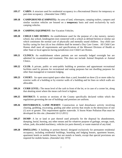- *109.17* **CABIN:** A structure used for residential occupancy in a Recreational District for temporary or part-time occupancy. *(Amended June 1985)*
- **109.18 CAMPGROUND (CAMPSITE):** An area of land, whereupon, camping trailers, campers and similar vacation vehicles are housed on a **temporary** basis and used exclusively by such camping vehicles.
- **109.19 CAMPING EQUIPMENT:** See Vacation Vehicles.
- **109.20 CHILD CARE HOMES:** An establishment used for the purpose of a day nursery, nursery school, day school, kindergarten (not connected with a school as defined herein) or similar use which constitutes the normal care of physically and mentally sound children. Any child care facility caring for four (4) or less children shall be termed a Day Care Center. All Child Care Homes shall meet all requirements and specifications of the Missouri Division of Health or other State or local agencies having jurisdiction over Child Care Homes.
- **109.21 CLINICS:** An establishment where patients are not normally lodged overnight but are admitted for examination and treatment. This does not include Animal Hospitals or Animal Clinics.
- **109.22 CLUB:** A private, public or semi-public building or premises and appurtenant recreational facilities used by persons for recreational and eating purposes but not dwelling purposes for other than managerial or transient lodging.
- **109.23 COURT:** An open unoccupied space other than a yard, bounded on three (3) or more sides by exterior walls of a building or by exterior walls of a building and lot lines on which walls are allowable.
- **109.24 CURB LEVEL:** The mean level of the curb in front of the lot, or in case of a corner lot, along that abutting street where the mean curb level is highest.
- **109.25 DISTRICT:** A section or sections of the County specifically declared within which the regulations governing the use of buildings and premises are uniform.
- **109.26 DISTURBANCE, LAND PERMIT:** Construction or land disturbance activity involving clearing, grubbing, excavating, grading and other activity that results in the destruction of one (1) acre or greater. This requirement applies statewide. A Storm Water Pollution Plan must be developed for this site. *(Amended 10-12-2011)*
- **109.27 DUMP:** A lot or land or part thereof used primarily for the disposal by abandonment, dumping, burial, burning, any other means and for whatever purpose of garbage, sewage, trash, refuse, junk, discarded machinery, vehicles (or parts thereof), or waste material of any kind.
- **109.28 DWELLING:** A building or portion thereof, designed exclusively for permanent residential occupancy, including residential buildings, boarding and lodging houses, apartment houses, apartment hotels or mobile homes, but not motels or hotels, except that special provisions are required for mobile homes. *(Amended July 1974)*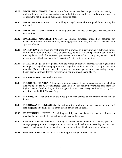- **109.29 DWELLING, GROUP:** Two or more detached or attached single family, two family or multiple family dwellings occupying a single building site and having yards or open space in common but not including a motel, hotel or motor hotel.
- **109.30 DWELLING, ONE FAMILY:** A building arranged, intended or designed for occupancy by one family.
- **109.31 DWELLING, TWO-FAMILY:** A building arranged, intended or designed for occupancy by two families.
- **109.32 DWELLING, MULTIPLE FAMILY:** A building arranged, intended or designed for occupancy by three or more families, including apartment houses, row houses, tenements and apartment hotels.
- **109.33 EXCEPTIONS:** An exception shall mean the allowance of a use within any district, such use and the conditions by which it may be permitted, being clearly and specifically stated within this regulation, with the expressed permission of the Board of Zoning Adjustment. Said exceptions must be listed under the "Exceptions" listed in these regulations.
- **109.34 FAMILY:** One (1) or more persons who are related by blood or marriage living together and occupying a single housekeeping unit with single kitchen facilities. Also a group of not more than five (5) (excluding servants) living together by joint agreement and occupying a single housekeeping unit with kitchen facilities, on a non-profit cost sharing basis.
- **109.35 FLOOD PLAIN:** See Flood Prone Area.
- **109.36 FLOOD PRONE AREA:** A land area adjoining a river, stream, watercourse or lake which is likely to be flooded by a "one hundred" year flood. A "one hundred" year flood shall mean the highest level of flooding that, on the average, is likely to occur every one-hundred (100) years as defined by the U.S. Corps of Engineers.
- **109.37 FLOODWAY:** That portion of the flood prone area defined as the stream-course and its banks.
- **109.38 FLOODWAY FRINGE AREA:** The portion of the flood prone area defined as the low lying area subject to flooding adjacent to the stream-course and its banks.
- **109.39 FRATERNITY HOUSES:** A building used by an association of students, limited to membership and usually living, culinary and sleeping facilities.
- **109.40 GARAGE, COMMUNITY:** A building or portion thereof, other than a public, private or storage garage providing storage for motor vehicles with facilities for washing, but no other services, such garage to be in lieu of private garages within a block or portion of a block.
- **109.41 GARAGE, PRIVATE:** An accessory building for storage of motor vehicles.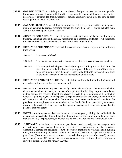- **109.42 GARAGE, PUBLIC:** A building or portion thereof, designed or used for the storage, sale, hiring, care or repair of motor vehicles which is operated for commercial purposes, except that no salvage of automobiles, trucks, tractors or similar automotive equipment for parts or other uses is permitted under this definition.
- **109.43 GARAGE, STORAGE:** A building or portion thereof, except those defined as a private, public or community garage, providing storage for more than four (4) motor vehicles, with facilities for washing but not other services.
- **109.44 GROSS FLOOR AREA:** The sum of the gross horizontal areas of the several floors of a building, including interior balconies, mezzanines and accessory buildings. All horizontal dimensions are to be measured between the exterior faces of the building.
- **109.45 HEIGHT OF BUILDINGS:** The vertical distance measured from the highest of the following three levels:
	- 109.45.1 The street curb level.
	- 109.45.2 The established or mean street grade in case the curb has not been constructed.
	- 109.45.3 The average finished ground level adjoining the building if it sets back from the street line; then to the level of the highest point of the roof beams of flat roofs or roofs inclining not more than one (1) inch to the foot or to the mean height level of the top of the main plates and highest ridge of other roofs.
- **109.46 HEIGHT OF YARD OR COURT:** The vertical distance from the lowest level of such yard or court to the highest point of any boundary wall.
- **109.47 HOME OCCUPATION:** Any use customarily conducted entirely upon the premises which is clearly incidental and secondary to the use of the premises for dwelling purposes and this use neither changes the character thereof nor adversely affects the uses permitted in the district of which it is part. No signs can be displayed, except as permitted in the Order, no commodity is sold except that which is prepared on the premises, no materials can be stored outside on the premises. Any employees must be members of the family. No loud, unnecessary or unusual noise may be created that annoys, disturbs, injures or endangers the comfort, repose, health, peace or safety of others.
- **109.48 HOTEL:** A building occupied or used as a more or less temporary abiding place of individuals or groups of individuals who are lodged, with or without meals, and in which there are more than twelve (12) sleeping rooms, and which has no provisions for cooking in individual rooms.
- **109.49 JUNK YARD:** A lot, land, or structure, or part thereof, used primarily for the storage or sale of waste paper, rags, scrapped metal or other discarded materials; or for the collecting, dismantling, storage and salvaging of two (2) or more machines or vehicles, not in running order, or for the sale of parts thereof or other disposition of the same. A deposit or storage on a plot of two (2) or more wrecked or broken down vehicles or parts thereof or two (2) or more such vehicles for one (1) week or more in a residential district or for three (3) weeks or more in any other district. *(Amended January 5, 2011)*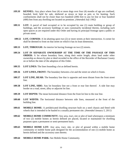- *109.50* **KENNEL:** Any place where four (4) or more dogs over four (4) months of age are confined, boarded, bred, held for sale, sheltered as strays or kept as pets or for hunting. Such confinements shall not be closer than two hundred (200) feet to any lot line or four hundred (400) feet from any dwelling not located on premises. *(Amended July 1992)*
- **109.51 LOT:** A parcel of land occupied or to be occupied by one (1) main building or group of buildings, and the accessory buildings or uses customarily incidental thereto, including such open spaces as are required under this Order and having its principal frontage upon a public or private street.
- **109.52 LOT, CORNER:** A lot abutting upon two (2) or more streets at their intersection. A corner lot shall be deemed to front on that street on which it has its least dimension.
- **109.53 LOT, THROUGH:** An interior lot having frontage on two (2) streets.
- **109.54 LOT IN SEPARATE OWNERSHIP AT THE TIME OF THE PASSAGE OF THIS ORDER:** A lot whose boundary lines, along their entire length, abuts land under other ownership as shown by plat or deed recorded in the office of the Recorder of Buchanan County on or before the date of the adoption of this Order.
- **109.55 LOT LINES:** The lines bounding a lot as defined herein.
- **109.56 LOT LINES, FRONT:** The boundary between a lot and the street on which it fronts.
- **109.57 LOT LINE, REAR:** The boundary line that is opposite and most distant from the front street line.
- **109.58 LOT LINE, SIDE:** Any lot boundary line not a front or rear line thereof. A side line may border on a road, street, alley or adjacent lot line.
- **109.59 LOT DEPTH:** The mean horizontal distance from the front lot line to the rear line.
- **109.60 LOT WIDTH:** The horizontal distance between side lines, measured at the front of the building line.
- **109.61 MOBILE HOME:** A prefabricated dwelling structure built on a steel chassis and fitted with wheels that is intended to be hauled to a usually permanent site. *(Amended January 5, 2011)*
- **109.62 MOBILE HOME COMMUNITY:** Any area, tract, site or plot of land whereupon a minimum of two (2) mobile homes as herein defined are placed, located or maintained for dwelling purposes upon a permanent or semi-permanent basis.
- **109.63 MOBILE HOME LOT:** Any area, tract, site, or plot of ground within a mobile home community or mobile home park designed for the accommodation of one (1) mobile home as herein defined and the accessory uses thereto.
- **109.64 MOBILE HOME PARK:** See Mobile Home Community.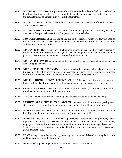- **109.65 MODULAR HOUSING:** For purposes of this Order a modular house shall be considered to be a home built by modular construction and all modular homes shall be regulated and meet the same standards as homes built by conventional methods.
- **109.66 MOTEL:** A dwelling in which overnight accommodations are provided or offered for transient guests for compensation.
- **109.67 MOTOR VEHICLES REPAIR SHOP:** A building or a portion of a building arranged, intended or designed to be used for making repairs to motor vehicles.
- **109.68 NONCONFORMING USE:** The use of any building or premises which was lawfully used at the time of the effective date of this regulation but which does not conform with the regulations and requirements of this Order.
- **109.69 NUISANCE, MIXED:** A nuisance which is both a public nuisance and a private nuisance at the same time; it interferes with a right of the general public and also interferes with a particular person's use and enjoyment. *(Adopted January 5, 2011)*
- **109.70 NUISANCE, PRIVATE:** An actionable interference with a person's use and enjoyment of his land. *(Adopted January 5, 2011)*
- **109.71 NUISANCE, PUBLIC (COMMON):** An unreasonable interference with a right common to the general public. It is behavior which unreasonably interferes with the health, safety, peace, comfort or convenience of the general community. *(Adopted January 5, 2011)*
- **109.72 NURSING HOME – CONVALESCENT HOME:** A licensed dwelling where persons are housed or lodged and furnished with professional nursing and convalescent care for a fee.
- **109.73 OPEN UNOCCUPIED SPACE:** That area of private property upon which this Order prohibits the location of any building or structure.
- **109.74 PARCEL:** All contiguous land (including lots and parts of lots) held in one ownership.
- **109.75 PARKING AREA, PUBLIC OR CUSTOMER:** An area other than a private parking area, street or alley used for parking of automobiles and available for public or semi-public use.
- **109.76 PARKING SPACE:** A surfaced area of private or public property, either within or outside a building, suitable in size or location to store one (1) standard automobile.
- **109.77 PERSON:** One or more individuals, partnership, associations, corporations, legal representatives, trustees or receivers. It also includes, but is not limited to, any owner, employee, or lending institutions, and includes all political subdivisions and agencies of the County and any commission, authority, board or other instrumentality of government. *(Amended April, 1983)*
- **109.78 PLAT:** A map, plan or layout of a city, township, section or subdivision indicating the location and boundaries of individual properties.
- **109.79 PREMISES:** A parcel together with all buildings and structures thereon.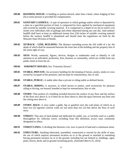- **109.80 ROOMING HOUSE:** A building or portion thereof, other than a hotel, where lodging of four (4) or more persons is provided for compensation.
- **109.81 SANITARY LANDFILL:** A type of operation in which garbage and/or refuse is deposited by a plan on a specified portion of land, is compacted by force applied by mechanical equipment and covered by suitable covering material. It is compacted to a depth of six (6) to twelve (12) inches over individual cells of garbage and refuse deposited during any one day. Said sanitary landfill shall have at least an additional twenty four (24) inches of suitable covering material before the sanitary landfill is abandoned and should meet the regulations set forth by the Missouri State Division of Health.
- **109.82 SETBACK – LINE, BUILDING:** The distance extending across the full width of a lot, the depth of which shall be measured between the front line of the building and the property line of the street right of way.
- **109.83 SIGN:** Words, numerals, figures, devices, designs or trademarks used to identify or call attention to an individual, profession, firm, business or commodity, which are visible from any public street or from the air.
- **109.84 SORORITY HOUSES:** See "Fraternity Houses".
- **109.85 STABLE, PRIVATE:** An accessory building for the keeping of horses, ponies, mules or cows owned by occupant of the premises, and not kept for remuneration, hire or sale.
- **109.86 STABLE, PUBLIC:** A stable other than a private or riding stable as defined herein.
- **109.87 STABLE, RIDING:** A structure, in which horses or ponies, used exclusively for pleasure riding or driving, are housed, boarded or kept for remuneration, hire or sale.
- **109.88 STORY:** That portion of a building included between the surface of any floor and the surface of the floor next above it, or if there be no floor above it, then the space between any floor and the ceiling next above it.
- **109.89 STORY, HALF:** A story under a gable, hip or gambrel roof, the wall plates of which on at least two (2) opposite exterior walls are not more than two (2) feet above the floor of such story.
- **109.90 STREET:** That area of land platted and dedicated for public use, or lawfully used as a public thoroughfare for vehicular travel, excluding from this definition access ways commonly designated as alleys.
- **109.91 STREET LINES:** A dividing line between a lot, tract or parcel of land and a continuous street.
- **109.92 STRUCTURE:** Anything fabricated, assembled, constructed or erected by the skills of man, the use of which requires permanent location on or in the ground or attached to something having permanent location on or in the ground, including but not limited to, buildings, signs, poles, fences, decks and in-ground swimming pools. *(Amended March 25, 2014)*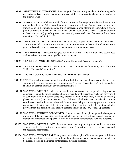- **109.93 STRUCTURE ALTERATIONS:** Any change in the supporting members of a building such as bearing walls or partitions, columns, beams or girders, or substantial change in the roof or in the exterior walls.
- **109.94 SUBDIVISION:** A Subdivision shall, for the purpose of these regulations, be the division of a tract of land into two (2) or more lots for the purpose of sale and / or development, whether immediate or in the future, including the re-subdivision or re-platting of land, where a street, public or private is to be dedicated, reserved or platted, open or constructed, *except* the division of land into two (2) parcels greater than five (5) acres each shall be exempt from these regulations. *(Amended 10-12-2011)*
- **109.95 THEATER, OUTDOOR DRIVE-IN:** An open lot, or part thereof, with its appurtenant facilities devoted primarily to the showing of motion pictures or theatrical productions, on a paid admission basis, to patrons seated in automobiles or on outdoor seats.
- **109.96 TINY HOMES:** A structure designed for residential use that is less than 1000 square feet with wheels or on a foundation. *(Added May 17, 2019)*
- **109.97 TRAILER OR MOBILE HOME:** See "Mobile Home" and "Vacation Vehicle".
- **109.98 TRAILER OR MOBILE HOME COURT:** See "Mobile Home Community" and "Vacation Vehicle Parks and Communities".
- **109.99 TOURIST COURT, MOTEL OR MOTOR HOTEL:** See "Motel".
- **109.100 USE:** The specific purpose for which land or a building is designed, arranged or intended, or for which it is or may be occupied or maintained. The term "permitted use" or its equivalent shall not be deemed to include any nonconforming use.
- **109.101 VACATION VEHICLE:** All vehicles used or so constructed as to permit being used as conveyances upon the public streets and highways and duly licensable as such, and constructed in such manner as will permit occupancy thereof for human habitation, dwelling or sleeping places for one (1) or more persons. This definition shall refer and include all portable contrivances, used or intended to be used, for temporary living and sleeping quarters and which are capable of being moved by its own power, towed or transported by another vehicle; provided that this definition shall apply to camping trailers of any sort, or pick-up campers.
- **109.102 VACATION VEHICLE COMMUNITY:** Any area, tract, site or plot of ground whereupon a minimum of twenty-five (25) vacation vehicles as herein defined are placed, located or maintained or intended to be placed, located or maintained for temporary dwelling purposes.
- **109.103 VACATION VEHICLE LOT:** Any area, tract, site or plot of ground within a vacation vehicle park designed for the accommodation of one (1) vacation vehicle as herein defined and the accessory uses thereto.
- **109.104 VACATION VEHICLE PARK:** Any area, tract, site or plot of land whereupon a minimum of two (2) vacation vehicles as herein defined are placed, located or maintained or intended to be placed, located or maintained for temporary dwelling purposes.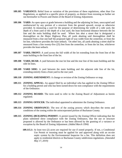- **109.105 VARIANCE:** Relief from or variation of the provisions of these regulations, other than Use Regulations, as applied to a specific piece of property, as distinct from rezoning as further set out hereinafter in Powers and Duties of the Board of Zoning Adjustment.
- **109.106 YARD:** An open space at grade between a building and the adjoining lot lines, unoccupied and unobstructed by any portion of a structure from the ground upward, except as otherwise provided. In measuring a yard for the purpose of determining the width of a side yard, the depth of a front yard or the depth of a rear yard, the least horizontal distance between the lot line and the main building shall be used. Where lots abut a street that is designated a thoroughfare on the Major Highway Plan, all yards abutting said thoroughfare shall be measured from a line one-half the proposed right of way width from the centerline, or from the lot line, whichever provides the least setback. On other lots, all yards abutting a street shall be measured from a line twenty-five (25) feet from the centerline, or from the lot line, whichever provides the least setback.
- **109.107 YARD, FRONT:** A yard across the full width of the lot extending from the front line of the main building to the front line of the lot.
- **109.108 YARD, REAR:** A yard between the rear lot line and the rear line of the main building and the side lot lines.
- **109.109 YARD SIDE:** A yard between the main building and the adjacent side line of the lot, extending entirely from a front yard to the rear yard.
- **109.110 ZONING AMENDMENT:** A change or revision of the Zoning Ordinance or map.
- **109.111 ZONING APPEAL:** An appeal filed by an individual who has applied to the Zoning Officer for a building permit and who has been turned down for non-compliance with the requirements of the Ordinance.
- **109.112 ZONING BOARD:** The term used to refer to the Zoning Board of Adjustment as herein regulated.
- **109.113 ZONING OFFICER:** The individual appointed to administer the Zoning Ordinance.
- **109.114 ZONING ORDINANCE:** The text of the zoning process which describes the terms and conditions of the zoning within the unincorporated portion of Buchanan County.
- **109.115 ZONING (BUILDING) PERMIT:** A permit issued by the Zoning Officer indicating that the plans submitted show compliance with the Zoning Ordinance, that the use or structure proposed is allowed by the Ordinance or has been allowed by the granting of a variance or exception by the Board of Zoning Adjustment. *(Added March 1994)*
	- **109.115.1:** At least two (2) acres are required for use if zoned properly. If not, a Conditional Use Permit or rezoning must be applied for and approved along with an on-site septic system by the Environmental Inspector for a fee. This definition does not apply to residential districts or Buchanan County subdivision regulations. *(Amended May 17, 2019)*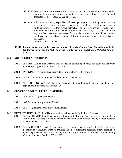- **109.115.2:** Twenty (20) or more acres are not subject to rezoning; however a building permit and on-site septic system must be applied for and approved by the Environmental Inspector for a fee. *(Adopted January 5, 2011)*
- **109.115.3: All** Zoning Districts, **regardless of acreage**, require a building permit for any structure and on-site wastewater treatment, if applicable. Failure to secure a building permit or follow proper setbacks, right of ways and all Density Table Requirements can result in the demolition of the structure(s). The County may use any suitable means or assistance for the demolition, which includes County employees or day laborers employed for that purpose or any other assistance necessary. *(Revised May 11, 2018)*
- **109.116 Road/driveway cuts to be sized and approved by the County Road Supervisor with the landowner paying for the "tube" and the County providing installation.** *(Adopted January 5, 2011)*

# **200 AGRICULTURAL DISTRICTS**

- **200.1 INTENT:** Agricultural Districts are intended to provide open space for economic activities that require large tracts of land in one block.
- **200.2 PARKING:** For parking requirements in these districts see Section 718.
- **200.3 SIGNS:** For sign requirements in these districts, see Section 722.
- **200.4 OTHER REGULATIONS:** For regulations other than parking and signs, see supplementary regulations in Sections 700 through 730.

# **201 CLASSES OF AGRICULTURAL DISTRICTS**

- **201.1** A-1 General Agricultural District
- **201.2** A-2 Commercial Agricultural District
- **201.3** A-OR Agricultural Outer Residential District
- **202 DISTRICT, USES:** See Table of Uses for land uses allowable in Agricultural Districts.
	- **202.1 USES, PERMITTED:** Those uses listed as permitted in the Table of Uses are allowable in Agricultural Districts provided they meet the necessary criteria established by the requirements listed in the Density Table.
	- **202.2 USES, CONDITIONAL:** Those uses listed as conditional in the Table of Uses may be permitted in Agricultural Districts provided they meet at least the necessary criteria established by the requirements listed in the Density Table and any additional requirements of the Planning Commission under Sections 705 and 807.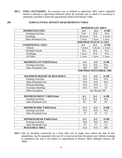**202.3 USES, ACCESSORY:** An accessory use as defined in subsection 109.2 and/or regulated herein is allowed in Agricultural Districts where the principal use to which it is accessory is permitted, provided it meets the requirements listed in the Density Table.

# **203 AGRICULTURAL DENSITY REQUIREMENTS TABLE**

|                                    |                                | <b>MINIMUM LOT AREA</b> |                  |  |
|------------------------------------|--------------------------------|-------------------------|------------------|--|
| <b>PERMITTED USES:</b>             | $A-1$                          | $A-2$                   | $A-OR$           |  |
| <b>Farming Activities</b>          | N/A                            | N/A                     | N/A              |  |
| Dwellings                          | 20 Acres                       | N/A                     | 1 Acres          |  |
| <b>Other Permitted Uses</b>        | 1 Acre                         | 1 Acre                  | 1 Acre           |  |
|                                    | <b>AMENDED AUGUST 15, 2012</b> |                         |                  |  |
| <b>CONDITIONAL USES:</b>           | $A-1$                          | $A-2$                   | $A-OR$           |  |
| Schools                            | 5 Acres                        | 5 Acres                 | 5 Acres          |  |
| Roadside Stands                    | N/A                            | N/A                     | N/A              |  |
| Dwellings                          | 1 Acre                         | N/A                     | N/A              |  |
| All Other                          | 1 Acre                         | 1 Acre                  | 1 Acre           |  |
|                                    |                                |                         |                  |  |
| <b>MINIMUM LOT WIDTH (Feet)</b>    | $A-1$                          | $A-2$                   | $A-OR$           |  |
| <b>Farming Activities</b>          | N/A                            | N/A                     | N/A              |  |
| <b>Other Permitted Uses</b>        | $\overline{200}$               | $\overline{200}$        | $\overline{200}$ |  |
|                                    | <b>AMENDED SEPTEMBER, 1990</b> |                         |                  |  |
| <b>MAXIMUM HEIGHT OF BUILDINGS</b> | $A-1$                          | $A-2$                   | $A-OR$           |  |
| <b>Farming Activities</b>          | N/A                            | N/A                     | N/A              |  |
| <b>Other Permitted Uses</b>        | N/A                            | N/A                     | $\rm N/A$        |  |
| Principal Building                 | $\rm N/A$                      | $\rm N/A$               | 35'              |  |
| <b>Accessory Building</b>          | N/A                            | N/A                     | 35'              |  |
| <b>Other Exceptions</b>            |                                | See Section 700         |                  |  |
|                                    |                                |                         |                  |  |
| <b>MINIMUM FRONT YARD (Feet)</b>   |                                |                         |                  |  |
|                                    | $A-1$                          | $A-2$                   | $A-OR$           |  |
| <b>Farming Activities</b>          | N/A                            | N/A                     | N/A              |  |
| <b>Other Permitted Uses</b>        | 50'                            | 50'                     | 50'              |  |
|                                    |                                |                         |                  |  |
| <b>MINIMUM SIDE YARD (Feet)</b>    | $A-1$                          | $A-2$                   | $A-OR$           |  |
| <b>Farming Activities</b>          | $\rm N/A$                      | $\rm N/A$               | N/A              |  |
| <b>Other Permitted Uses</b>        | 15'                            | 15'                     | 15'              |  |
| <b>MINIMUM REAR YARD (Feet)</b>    | $A-1$                          | $A-2$                   | A-OR             |  |
| <b>Farming Activities</b>          | N/A                            | N/A                     | N/A              |  |
| <b>Other Permitted Uses</b>        | 75'                            | 75'                     | 75'              |  |

<sup>203.1</sup> One (1) dwelling constructed on a forty (40) acre or larger tract, before the date of this amendment, may be separated with one (1) or more acres from the parent tract without rezoning to residential use; and is not subject to requirements of Section 108.6. *(Adopted January 28, 2000)*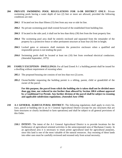- **204 PRIVATE SWIMMING POOL REGULATIONS FOR A-OR DISTRICT ONLY:** Private swimming pools having a water depth of two (2) feet or more are allowed, provided the following conditions are met:
	- **204.1** If located not less than fifteen (15) feet from any rear or side lot line.
	- **204.2** No private swimming pool shall extend forward of the established front building line.
	- **204.3** If located in the side yard, it shall not be less than thirty (30) feet from the front property line.
	- **204.4** The swimming pool area shall be entirely enclosed and separated from the remainder of the property by a protective fence or other permanent structure at least four (4) feet in height.
	- **204.5** Locked gates or entrances shall maintain the protective enclosure when a qualified and responsible person is not tending the pool.
	- 204.6 Swimming pools shall be located at least ten (10) feet from overhead electrical conductors. *(Amended September, 1975)*
- **205 FAMILY EXCEPTION - DWELLINGS:** For all land Zoned A-1 a building permit shall be issued for a dwelling without requirement of rezoning when:
	- **205.1** The proposed housing site consists of not less than two (2) acres.
	- **205.2** Owner/builder requesting the building permit is a sibling, parent, child or grandchild of the owner of the parcel.

**For this purpose, the parcel from which the building site is taken shall not be divided more than one time, nor reduced in size further than allowed by Section 108.6 without approval by a Conditional Use Permit. Any further division of the parcel shall be subject to rezoning and applicable subdivision regulations.** *(Amended June 1998)*

- **210 A-1 GENERAL AGRICULTURAL DISTRICT:** The following regulations shall apply to every lot, tract, parcel or building site in an A-1 General Agricultural District (except for any structures that are farm structures or clearly incidental to farm operations) and shall be subject to all general provisions of this Order.
	- **210.1 INTENT:** The intent of the A-1 General Agricultural District is to provide locations for the furtherance of agricultural oriented activities in the unincorporated area of Buchanan County. In an agricultural area it is necessary to retain prime agricultural land for agricultural purposes, since this land is one of the most valuable of the natural resources. Any rezoning of these lands into other uses must be carefully reviewed and rezoned only from actual necessity.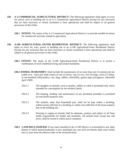- **220 A-2 COMMERCIAL AGRICULTURAL DISTRICT:** The following regulations shall apply to every lot, parcel, tract or building site in an A-2 Commercial Agricultural District (except for any structures that are farm structures or clearly incidental to farm operations) and shall be subject to all general provisions of this Order.
	- **220.1 INTENT:** The intent of the A-2 Commercial Agricultural District is to provide suitable locations for commercial activities related to agriculture.
- **230 A-OR AGRICULTURAL–OUTER RESIDENTIAL DISTRICT:** The following regulations shall apply to every lot, tract, parcel or building site in an A-OR Agricultural-Outer Residential District (except for any structures that are farm structures or clearly incidental to farm operations) and shall be subject to all general provisions of this Order.
	- **230.1 INTENT:** The intent of the A-OR Agricultural-Outer Residential District is to permit a combination of rural residential living and animal husbandry.
	- **230.2 ANIMAL HUSBANDRY:** Shall include the maintenance of no more than one (1) animal unit per usable acre. Such unit shall consist of one (1) horse, one (1) cow, five (5) hogs, seven (7) sheep, or one hundred (100) poultry; cats, dogs, rabbits, chinchillas, guinea pigs and pigeons. *(Amended April 1983)*
		- 230.2.1 The slaughter of animals, such as poultry, rabbits or cattle is permitted only where intended for consumption by the resident family.
		- 230.2.2 The keeping, feeding, and maintenance of any permitted animal(s) is permitted for non-profit purposes only.
		- 230.2.3 The animals, other than household pets, shall not be kept within a dwelling, within twenty (20) feet of a dwelling or within sixty (60) feet of the front property line of the building site.
		- 230.2.4 Housing or caging of animals shall be adequate, sanitary and subject to all State health requirements for health and sanitation. All animal food, except hay and straw, shall be stored in rodent proof containers.
	- **230.3 LAND RECLASSIFIED:** If any land classified in the A-OR District is reclassified to any other district in which animal husbandry is not a permitted use, any such use therein shall cease within one (1) year from the effective date of the reclassification.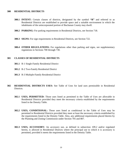### **300 RESIDENTIAL DISTRICTS**

- **300.1 INTENT:** Certain classes of districts, designated by the symbol **"R"** and referred to as Residential Districts are established to provide space and a suitable environment in which the inhabitants of the unincorporated portion of Buchanan County may dwell.
- **300.2 PARKING:** For parking requirements in Residential Districts, see Section 718.
- **300.3 SIGNS:** For sign requirements in Residential Districts, see Section 722.
- **300.4 OTHER REGULATIONS:** For regulations other than parking and signs, see supplementary regulations in Sections 700 through 730.

# **301 CLASSES OF RESIDENTIAL DISTRICTS**

- **301.1** R-1 Single-Family Residential District
- **301.2** R-2 Two-Family Residential District
- **301.3** R-3 Multiple-Family Residential District
- **302 RESIDENTIAL DISTRICTS USES:** See Table of Uses for land uses permissible in Residential Districts.
	- **302.1 USES, PERMITTED:** Those uses listed as permitted in the Table of Uses are allowable in Residential Districts provided they meet the necessary criteria established by the requirements listed in the Density Table.
	- **302.2 USES, CONDITIONAL:** Those uses listed as conditional in the Table of Uses may be permitted in Residential Districts provided they meet at least the necessary criteria established by the requirements listed in the Density Table. Also, any additional requirements placed thereto by the Planning and Zoning Commission under Section 705 and 807.
	- **302.3 USES, ACCESSORY:** An accessory use, as defined in subsection 109.2 and/or regulated herein, is allowed in Residential Districts where the principal use to which it is accessory is permitted, provided it meets the requirements listed in the Density Table.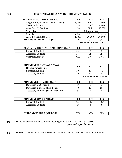# **303 RESIDENTIAL DENSITY REQUIREMENTS TABLE**

| <b>MINIMUM LOT AREA (SQ. FT.)</b>    | $R-1$           | $R-2$   | $R-3$        |
|--------------------------------------|-----------------|---------|--------------|
| Single Family Dwelling (with sewage) | 8,000           | 8,000   | 8,000        |
| Two Family Unit                      | N/A             | 10,000  | 8,000        |
| Over Two (2) Families                | N/A             | N/A     | 10,000       |
| Septic Tank                          | Soil Morphology |         |              |
| Schools                              | 5 Acres         | 5 Acres | 5 Acres      |
| All Other Permitted Uses             | 20,000          | 20,000  | 20,000       |
| <b>MINIMUM LOT WIDTH (Feet)</b>      | $70^{\circ}$    | 70      | $70^{\circ}$ |

*Amended January 15, 2013*

| <b>MAXIMUM HEIGHT OF BUILDING (Feet)</b> | $R-1$ | $R-2$ | $R-3$ |
|------------------------------------------|-------|-------|-------|
| <b>Principal Building</b>                | 35'   | 35'   | 35'   |
| <b>Accessory Building</b>                | 35'   | 35'   | 35'   |
| <b>Other Regulations</b>                 | N/A   | N/A   | N/A   |

| <b>MINIMUM FRONT YARD (Feet)</b><br>(From property line) | $R-1$        | $R-2$        | $R-3$        |
|----------------------------------------------------------|--------------|--------------|--------------|
| Principal Building                                       | $50^{\circ}$ | $50^{\circ}$ | $50^{\circ}$ |
| <b>Accessory Building</b>                                | $50^{\circ}$ | $50^{\circ}$ | 50'          |

*Amended June 11, 1990*

| <b>MINIMUM SIDE YARD (Feet)</b>        | $R-1$          | $R-2$ | $R-3$ |
|----------------------------------------|----------------|-------|-------|
| Dwellings to 20' height                |                |       |       |
| Dwellings in excess of 20' height      | $\overline{0}$ |       |       |
| Accessory Building (See Section 702.4) |                |       |       |

| <b>MINIMUM REAR YARD (Feet)</b> | $R-1$      | R-2         | R-3       |
|---------------------------------|------------|-------------|-----------|
| Principal Building              | つぐり<br>ر ب | n c,<br>ر _ | つく<br>ر ب |
| <b>Accessory Building</b>       |            |             |           |

| $\Lambda$ ( OF LOT)<br><b>BUILDABLE AREA</b> | 30% | 40% | 60% |
|----------------------------------------------|-----|-----|-----|
|----------------------------------------------|-----|-----|-----|

**(1)** See Section 304 for private swimming pool regulations in R-1, R-2 & R-3 Districts.  *(Amended September 1975)*

**(2)** See Airport Zoning District for other height limitations and Section 707.3 for height limitations.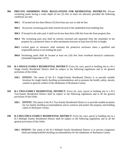- **304 PRIVATE SWIMMING POOL REGULATIONS FOR RESIDENTIAL DISTRICTS:** Private swimming pools having a water depth of two (2) feet or more are allowed, provided the following conditions are met:
	- **304.1** If located not less than fifteen (15) feet from any rear or side lot line.
	- **304.2** No private swimming pool shall extend forward of the established front building line.
	- **304.3** If located in the side yard, it shall not be less than thirty (30) feet from the front property line.
	- **304.4** The swimming pool area shall be entirely enclosed and separated from the remainder of the property by a protective fence or other permanent structure at least four (4) feet in height.
	- **304.5** Locked gates or entrances shall maintain the protective enclosure when a qualified and responsible person is not tending the pool.
	- **304.6** Swimming pools shall be located at least ten (10) feet from overhead electrical conductors. (Amended September 1975)
- **310 R-1 SINGLE-FAMILY RESIDENTIAL DISTRICT:** Every lot, tract, parcel or building site in a R-1 Single Family Residential District shall be subject to the following regulations and to all general provisions of this Order.
	- **310.1 INTENT:** The intent of the R-1 Single-Family Residential District is to provide suitable locations for single family dwelling accommodations and to promote the health, safety, morals, comfort or general welfare of the inhabitants of Buchanan County.
- **320 R-2 TWO-FAMILY RESIDENTIAL DISTRICT:** Every lot, tract, parcel or building site in a R-2 Two-Family Residential District shall be subject to the following regulations and to all the general provisions of this Order.
	- **320.1 INTENT:** The intent of the R-2 Two-Family Residential District is to provide suitable locations for two family dwelling accommodations and to conserve and protect the property and building values in Buchanan County.
- **330 R-3 MULTIPLE-FAMILY RESIDENTIAL DISTRICT:** Every lot, tract, parcel or building site in a R-3 Multiple Family Residential District shall be subject to the following regulations and to all the general provisions of this Order.
	- **330.1 INTENT:** The intent of the R-3 Multiple Family Residential District is to prevent congestion while providing healthful dwelling accommodations for the inhabitants of Buchanan County.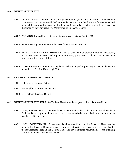### **400 BUSINESS DISTRICTS**

- **400.1 INTENT:** Certain classes of districts designated by the symbol **"B"** and referred to collectively as Business Districts are established to provide space and suitable locations for commerce and trade while coordinating physical development in accordance with present future needs as developed by the Comprehensive Master Plan of Buchanan County.
- **400.2 PARKING:** For parking requirements in business districts see Section 718.
- **400.3 SIGNS:** For sign requirements in business districts see Section 722.
- **400.4 PERFORMANCE STANDARDS:** No land use shall emit or provide vibration, concussion, noise, dust, noxious gases, smoke, particulate matter, glare, heat or radiation that is detectable from the outside of the building.
- **400.5 OTHER REGULATIONS:** For regulations other than parking and signs, see supplementary regulations in Section 700 through 730.

### **401 CLASSES OF BUSINESS DISTRICTS:**

- **401.1** B-1 General Business District
- **401.2** B-2 Neighborhood Business District
- **401.3** B-3 Highway Business District
- **402 BUSINESS DISTRICTS USES:** See Table of Uses for land uses permissible in Business Districts.
	- **402.1 USES, PERMITTED:** Those uses listed as permitted in the Table of Uses are allowable in Business Districts provided they meet the necessary criteria established by the requirements listed in the Density Table.
	- **402.2 USES, CONDITIONAL:** Those uses listed as conditional in the Table of Uses may be permitted in Business Districts, provided they meet at least the necessary criteria established by the requirements listed in the Density Table and any additional requirements of the Planning Commission under Sections 705 and 807.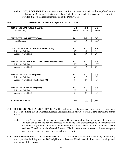**402.3 USES, ACCESSORY:** An accessory use as defined in subsection 109.2 and/or regulated herein is allowed in Business Districts where the principal use to which it is accessory is permitted, provided it meets the requirements listed in the Density Table.

# **403 BUSINESS DENSITY REQUIREMENTS TABLE**

| MINIMUM LOT AREA (SQ. FT.)                            | $B-1$          | $B-2$                 | $B-3$              |
|-------------------------------------------------------|----------------|-----------------------|--------------------|
| Per Building                                          | 6,000          | 6,000                 | 20,000             |
|                                                       |                |                       |                    |
|                                                       |                |                       |                    |
| <b>MINIMUM LOT WIDTH (Feet)</b>                       | $B-1$          | $B-2$                 | $B-3$              |
| Per Building                                          | 60'            | 60'                   | 100'               |
|                                                       |                |                       |                    |
| <b>MAXIMUM HEIGHT OF BUILDING (Feet)</b>              | $B-1$          | $B-2$                 | $B-3$              |
| Principal Building                                    | 35'            | 35'                   | 35'                |
| <b>Accessory Building</b>                             | $20^{\circ}$   | $20^{\circ}$          | $20^{\circ}$       |
|                                                       |                |                       |                    |
|                                                       |                |                       |                    |
| <b>MINIMUM FRONT YARD (Feet) (from property line)</b> | $B-1$          | $B-2$                 | $B-3$              |
| Principal Building                                    | 50'            | 50'                   | 100'               |
| <b>Accessory Building</b>                             | 50'            | 50'                   | 50'                |
|                                                       |                |                       |                    |
| <b>MINIMUM SIDE YARD (Feet)</b>                       | $B-1$          | $B-2$                 | $B-3$              |
| Principal Building                                    | 6 <sup>2</sup> | 6 <sup>2</sup>        | 6 <sup>2</sup>     |
| Accessory Building (See Section 702.4)                | 6 <sup>2</sup> | 6 <sup>2</sup>        | 6 <sup>o</sup>     |
|                                                       |                |                       |                    |
| <b>MINIMUM REAR YARD (Feet)</b>                       | $B-1$          | $B-2$                 | $B-3$              |
|                                                       |                |                       |                    |
| Principal Building                                    | 25'            | 25'<br>6 <sup>5</sup> | 25'<br>$6^{\circ}$ |
| <b>Accessory Building</b>                             | 6 <sup>5</sup> |                       |                    |
|                                                       |                |                       |                    |
| <b>BUILDABLE AREA</b>                                 | 75%            | 75%                   | 50%                |

- **410 B-1 GENERAL BUSINESS DISTRICT:** The following regulations shall apply to every lot, tract, parcel or building site in a General Business District and shall be subject to all general provisions of this Order.
	- **410.1 INTENT:** The intent of the General Business District is to allow for the conduct of commerce and trade and to provide personal services which due to their character require an economic base that extends beyond the community and thereby creates increased traffic flow and higher density land use. Therefore, in the General Business District, care must be taken to insure adequate movement of goods, services and reasonable accessibility.
- **420 B-2 NEIGHBORHOOD BUSINESS DISTRICT:** The following regulations shall apply to every lot, tract, parcel or building site in a B-2 Neighborhood Business District and shall be subject to all general provisions of this Order.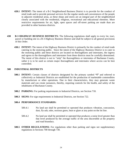- **420.1 INTENT:** The intent of a B-2 Neighborhood Business District is to provide for the conduct of retail trade and to provide personal services for the regular needs and conveniences of the people in adjacent residential areas, as these shops and stores are an integral part of the neighborhood closely associated with the residential, religious, recreational and educational elements. More restrictive requirements for air, light, open spaces and off-street parking are made than are provided in other business districts.
- **430 B-3 HIGHWAY BUSINESS DISTRICTS:** The following regulations shall apply to every lot, tract, parcel or building site in a B-3 Highway Business District and shall be subject to all general provisions of this Order.
	- **430.1 INTENT:** The intent of the Highway Business District is primarily for the conduct of retail trade catering to the motoring public. Since the intent of the Highway Business District is to cater to the motoring public and these districts are located on thoroughfares and interstates, the ingress and egress to the thoroughfares and interstates from these districts must be carefully determined. The intent of this district is not to "strip" the thoroughfares or interstates of Buchanan County, rather it is to be used as certain major thoroughfares and interstates where access can be best controlled.

# **500 INDUSTRIAL DISTRICTS**

- **500.1 INTENT:** Certain classes of districts designated by the primary symbol **"I"** and referred to collectively as Industrial Districts are established for the production of marketable commodities by manufacture or other operations. Due to their characteristics, they may generate waste materials and can create nuisances, thereby, requiring controls for the health, and safety of the inhabitants of Buchanan County.
- **500.2 PARKING:** For parking requirements in Industrial Districts, see Section 718.
- **500.3 SIGNS:** For sign requirements in Industrial Districts, see Section 722.

# **500.4 PERFORMANCE STANDARDS:**

- 500.4.1 No land use shall be permitted or operated that produces vibration, concussion, dust, fly-ash, odor, noxious gases, heat or glare at any point on the lot line.
- 500.4.2 No land use shall be permitted or operated that produces a noise level greater than that level produced by the average traffic of the area discernible at the property and road boundary.
- **500.5 OTHER REGULATIONS:** For regulations other than parking and signs see supplementary regulations in Sections 700 through 730.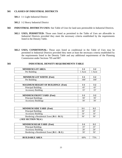# **501 CLASSES OF INDUSTRIAL DISTRICTS**

- **501.1** I-1 Light Industrial District
- **501.2** I-2 Heavy Industrial District
- **502 INDUSTRIAL DISTRICTS USES:** See Table of Uses for land uses permissible in Industrial Districts.
	- **502.1 USES, PERMITTED:** Those uses listed as permitted in the Table of Uses are allowable in Industrial Districts provided they meet the necessary criteria established by the requirements listed in the Density Table.
	- **502.2 USES, CONDITIONAL:** Those uses listed as conditional in the Table of Uses may be permitted in Industrial Districts provided they meet at least the necessary criteria established by the requirements listed in the Density Table and any additional requirements of the Planning Commission under Sections 705 and 807.

# **503 INDUSTRIAL DENSITY REQUIREMENTS TABLE**

| <b>MINIMUM LOT AREA</b>                          | $I-1$        | $I-2$        |
|--------------------------------------------------|--------------|--------------|
| Per Building                                     | 1 Acre       | 1 Acre       |
|                                                  |              |              |
| <b>MINIMUM LOT WIDTH (Feet)</b>                  | $I-1$        | $I-2$        |
| Per Building                                     | 100'         | 100'         |
|                                                  |              |              |
| <b>MAXIMUM HEIGHT OF BUILDINGS (Feet)</b>        | $I-1$        | $I-2$        |
| Principal Building                               | 45'          | 45'          |
| <b>Accessory Building</b>                        | 35'          | 35'          |
|                                                  |              |              |
| <b>MINIMUM FRONT YARD (Feet)</b>                 | $I-1$        | $I-2$        |
| Principal Buildings                              | 50'          | 50'          |
| <b>Accessory Buildings</b>                       | 50'          | 50'          |
|                                                  |              |              |
|                                                  |              |              |
| <b>MINIMUM SIDE YARD (Feet)</b>                  | $I-1$        | $I-2$        |
| Principal Building                               | $20^{\circ}$ | $20^{\circ}$ |
| <b>Accessory Building</b>                        | $10^{\circ}$ | 10'          |
| Bordering a Residential Zone (R-1 - R-3)         | 50'          | 50'          |
| (SEE SECTION 702.4)                              |              |              |
|                                                  |              |              |
| <b>MINIMUM REAR YARD (Feet)</b>                  | $I-1$        | $I-2$        |
| Principal Building                               | 25'          | 25'          |
| <b>Accessory Building</b>                        | 20'          | 20'          |
| Bordering a Residential Zone ( $R - 1 - R - 3$ ) | 50'          | 50'          |
|                                                  |              |              |
| <b>BUILDABLE AREA</b>                            | 60%          | 75%          |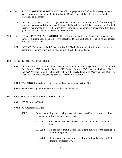- **510 I-1 LIGHT INDUSTRIAL DISTRICT:** The following regulations shall apply to every lot, tract, parcel or building site in an I-1 Light Industrial District and shall be subject to all general provisions of the Order.
	- **510.1 INTENT:** The intent of the I-1 Light Industrial District is primarily for the further refining of semi-finished commodities and materials into highly valued semi-finished products or finished wares. This process may result in unsightly conditions or obnoxious smoke, odor, dust, heat, glare and noise that should be prevented or controlled.
- **520 I-2 HEAVY INDUSTRIAL DISTRICT:** The following regulations shall apply to every lot, tract, parcel or building site in an I-2 Heavy Industrial District and shall be subject to all general provisions of this Order.
	- **520.1 INTENT:** The intent of the I-2 Heavy Industrial District is primarily for the processing of large quantities of raw materials into finished or semi-finished commodities.

# **600 MISCELLANEOUS DISTRICTS**

- **600.1 INTENT:** Certain classes of districts designated by various primary symbols such as **"F"** Flood Area District; **"G"** Recreation District; **"P"** Planned District; **"Q"** Quarry and Mining District and "**ZA"**Airport Zoning District referred to collectively herein, as Miscellaneous Districts. They are established for special purposes as hereinafter set forth.
- **600.2 PARKING:** For parking requirements in these districts see Section 718.
- **600.3 SIGNS:** For sign requirements in these districts see Section 722.

# **601 CLASSES OF MISCELLANEOUS DISTRICTS**

- **601.1 "F"** Flood Area District
- **601.2 "G"** Recreation District
	- 601.2.1 Private swimming pools having a water depth of two (2) feet or more are allowed, provided the following conditions are met:
		- 601.2.1.1 If located not less than fifteen (15) feet from any rear or side lot lines.
		- 601.2.1.2 No private swimming pool shall extend forward of the established front building line.
		- 601.2.1.3If located in the side yard, it shall not be less than thirty (30) feet from the front property.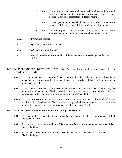- 601.2.1.4 The swimming pool area shall be entirely enclosed and separated from the remainder of the property by a protective fence or other permanent structure at least four (4) feet in height.
- 601.2.1.5 Locked gates or entrances shall maintain the protective enclosure when a qualified and responsible person is not tending the pool.
- 601.2.1.6 Swimming pools shall be located at least ten (10) feet from overhead electrical conductors. (Amended September 1975)
- **601.3 "P"** Planned District
- **601.4 "Q"** Quarry and Mining District
- **601.5 "ZA"** Airport Zoning District
- **601.6 "GRM"** Recreation Residential Mobile Home District Overlay *(Amended June 14, 1989 )*
- **602 MISCELLANEOUS DISTRICTS, USES:** See Table of Uses for land uses permissible in Miscellaneous Districts.
	- **602.1 USES, PERMITTED:** Those uses listed as permitted in the Table of Uses are allowable in Miscellaneous Districts provided they meet the necessary criteria established by the requirements in the Density Table.
	- **602.2 USES, CONDITIONAL:** Those uses listed as conditional in the Table of Uses may be permitted in Miscellaneous Districts provided they meet necessary criteria established by the requirements of the Planning Commission under Sections 705 and 807.
	- **602.3 USES, ACCESSORY:** An accessory use as defined in subsection 109.2 and/or regulated herein is allowed in Miscellaneous Districts where the principal use to which it is accessory is permitted, provided it meets the requirements listed in the Density Table.

# **603 MISCELLANEOUS DISTRICTS DENSITY REQUIREMENTS**

- **603.1** For residential uses permitted in any Miscellaneous District the density requirements of R-3 District shall apply.
- **603.2** For commercial uses permitted in a Miscellaneous District the density requirements of B-2 District shall apply.
- **603.3** For industrial uses permitted in any Miscellaneous District the density requirements of I-1 District shall apply.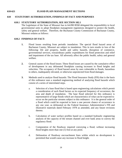# **610-621 FLOOD PLAIN MANAGEMENT SECTIONS**

# **610 STATUTORY AUTHORIZATION, FINDINGS OF FACT AND PURPOSES**

# **610.1 STATUTORY AUTHORIZATION, SEE SECTION 102.1**

The Legislature of the State of Missouri has in 64.090 RSM delegated the responsibility to local governmental units to adopt floodplain management regulations designed to protect the health, safety and general welfare. Therefore, the Buchanan County Commission of Buchanan County, Missouri ordains as follows:

# **610.2 FINDINGS OF FACT:**

- **1.** Flood losses resulting from periodic inundation: The special flood hazard areas of Buchanan County, Missouri are subject to inundation. This in turn results in loss of the following: life and property, health and safety hazards, disruption of commerce, governmental services, extraordinary public expenditures for flood protection and relief and impairment of the tax base. All adversely affect the public health, safety and general welfare.
- **2.** General causes of the flood losses: These flood losses are caused by the cumulative effect of development in any delineated floodplain causing increases in flood heights and velocities. The occupancy of flood hazard areas by uses vulnerable to floods, hazardous to others, inadequately elevated, or otherwise unprotected from flood damages.
- **3.** Methods used to analyze flood hazards: The Flood Insurance Study (FIS) that is the basis of this ordinance uses a standard engineering method of analyzing flood hazards which consist of a series of interrelated steps.
	- a. Selection of a base flood that is based upon engineering calculations which permit a consideration of such flood factors as its expected frequency of occurrence, the area and depth of inundation. The base flood selected for this ordinance is representative of large floods which are characteristics of what can be expected to occur on the particular streams subject to this ordinance. It is the general order of a flood which could be expected to have a one percent chance of occurrence in any one year, as delineated on the Federal Insurance Administration's FIS and illustrative materials dated February 1978 as amended, and any future revisions thereto.
	- b. Calculation of water surface profiles based on a standard hydraulic engineering analysis of the capacity of the stream channel and over bank areas to convey the regulatory flood.
	- c. Computation of the floodway required conveying a flood, without increasing flood heights more than one (1) foot at any point.
	- d. Delineation of floodway encroachment lines within which no development is permitted that would cause any increase in flood height.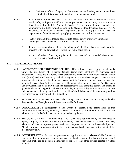- e. Delineation of flood fringes, i.e., that are outside the floodway encroachment lines but which still is subject to inundation by the regulatory flood.
- **610.3 STATEMENT OF PURPOSE:** It is the purpose of this Ordinance to promote the public health, safety and general welfare of unincorporated Buchanan County, and to minimize those losses described in Article I, Section B (1); to establish or maintain the community's eligibility for participation in the National Flood Insurance Program (NFIP) as defined in 44 Code of Federal Regulations (CFR) 59.22(a)(3) and to meet the requirements of 44 CFR 60.3(d) by applying the provisions of this Ordinance to:
	- **1.** Restrict or prohibit uses that are dangerous to health, safety, or property in times of flooding or cause undue increases in flood heights of velocities.
	- **2.** Require uses vulnerable to floods, including public facilities that serve such uses, be provided with flood protection at the time of initial construction.
	- **3**. Protect individuals from buying lands that are unsuited for intended development purposes due to the flood hazard.

# **611 GENERAL PROVISIONS**

- **611.1 LANDS TO WHICH ORDINANCE APPLIES:** This ordinance shall apply to all lands within the jurisdiction of Buchanan County Commission identified as numbered and unnumbered A zones and AE zones. These designations are shown on the Flood Insurance Rate Map (FIRM) and Flood Boundary and Floodway Map (FBFM) dated August 1,1983 and any future revisions thereto. In all areas covered by this Ordinance, no development shall be permitted except through the issuance of a floodplain development permit. The Buchanan County Commission or its duly designated representative shall grant this permit. The permit is granted under such safeguards and restrictions as they may reasonably impose for the promotion and maintenance of the general welfare or health of the inhabitants of the community and as specifically noted in Sections 614, 615 and 616.
- **611.2 FLOODPLAIN ADMINISTRATOR:** The Zoning Officer of Buchanan County is hereby designated as the Floodplain Administrator under this Ordinance.
- **611.3 COMPLIANCE:** No development located within the special flood hazard areas of this community shall be located, extended, converted or structurally altered without full compliance with the terms of this Ordinance and other applicable regulations.
- **611.4 ABROGATION AND GREATER RESTRICTIONS:** It is not intended by this Ordinance to repeal, abrogate, or impair any existing easements, covenants or deed restrictions. However, where this Ordinance imposes greater restrictions, the provisions of this ordinance shall prevail. All other ordinances inconsistent with this Ordinance are hereby repealed to the extent of the inconsistency only.
- **611.5 INTERPRETATION:** In their interpretation and application, the provisions of this Ordinance shall be held to be minimum requirements, shall be liberally construed in favor of the governing body and shall not be deemed a limitation or repeal of any other powers granted by State Statutes.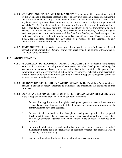- **611.6 WARNING AND DISCLAIMER OF LIABILITY:** The degree of flood protection required by this Ordinance is considered reasonable for regulatory purposes and is based on engineering and scientific methods of study. Larger floods may occur on rare occasions or the flood height may be increased by man-made or natural causes, such as ice jams and bridge openings restricted by debris. The Section does not imply that areas outside the floodway and floodway fringe district boundaries or land uses permitted within such districts will be free from flooding or flood damage. This Ordinance shall not imply those areas outside the floodway and flood fringe or land uses permitted within such areas will be free from flooding or flood damage. This Ordinance shall not create a liability on the part of Buchanan County, any officers or employees thereof, for any flood damages that may result from reliance on this Ordinance or any administrative decision lawfully made thereunder.
- **611.7 SEVERABILITY:** If any section, clause, provision or portion of this Ordinance is adjudged unconstitutional or invalid by a Court of appropriate jurisdiction, the remainder of this ordinance shall not be affected thereby.

### **612 ADMINISTRATION**

- **612.1 FLOODPLAIN DEVELOPMENT PERMIT (REQUIRED):** A floodplain development permit shall be required for all proposed construction or other development including the placement of manufactured homes, in the areas described in Section 611.1. No person, firm, corporation or unit of government shall initiate any development or substantial-improvement or cause the same to be done without first obtaining a separate floodplain development permit for each structure or other development.
- **612.2 DESIGNATION OF FLOODPLAIN ADMINISTRATOR:** The Floodplain Administrator or designated official is hereby appointed to administer and implement the provisions of this Ordinance.
- **612.3 DUTIES AND RESPONSIBILITIES OF THE FLOODPLAIN ADMINISTRATOR:** Duties of the Floodplain Administrator shall include, but not be limited to:
	- 1. Review of all applications for floodplain development permits to assure those sites are reasonably safe from flooding and that the floodplain development permit requirements of this Ordinance have been satisfied.
	- 2. Review of all applications for floodplain development permits, for proposed development, to assure that all necessary permits have been obtained from Federal, State or local governmental agencies from which Federal, State or local law requires prior approval.
	- 3. Review all subdivision proposals and other proposed new development, including manufactured home parks or subdivisions, to determine whether such proposals will be reasonably safe from flooding.
	- 4. Issuance of floodplain development permits for all approved applications.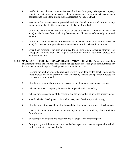- 5. Notification of adjacent communities and the State Emergency Management Agency prior to any alteration or relocations of the watercourse, and submit evidence of such notification to the Federal Emergency Management Agency (FEMA).
- 6. Assurance that maintenance is provided with the altered or relocated portion of any watercourse so that the flood-carrying capacity is not diminished.
- 7. Verification and maintenance of a record of actual elevation (in relation to mean sea level) of the lowest floor, including basement, of all new or substantially improved structures.
- 8. Verification and maintenance of a record of the actual elevation (in relation to mean sea level) that the new or improved non-residential structures have been flood proofed.
- 9. When flood-proofing techniques are utilized for a particular non-residential structure, the Floodplain Administrator shall require certification from a registered professional engineer or architect.
- **612.4 APPLICATION FOR FLOODPLAIN DEVELOPMENT PERMITS:** To obtain a floodplain development permit, the applicant shall first file an application in writing on a form furnished for that purpose. Every floodplain development permit application shall:
	- 1. Describe the land on which the proposed work is to be done by lot, block, tract, house, street address or similar description that will readily identify and specifically locate the proposed structure or work;
	- 2. Identify and describe the work to be covered by the floodplain development permit;
	- 3. Indicate the use or occupancy for which the proposed work is intended;
	- 4. Indicate the assessed value of the structure and the fair market value of the improvement;
	- 5. Specify whether development is located in designated flood fringe or floodway;
	- 6. Identify the existing base flood elevation and the elevation of the proposed development;
	- 7. Give such other information as reasonably may be required by the Floodplain Administrator;
	- 8. Be accompanied by plans and specifications for proposed construction; and
	- 9. Be signed by the Administrator or his authorized agent who may be requested to submit evidence to indicate such authority.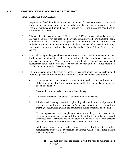### **614 PROVISIONS FOR FLOOD HAZARD REDUCTION**

### **614.1 GENERAL STANDARDS**

- 1. No permit for floodplain development shall be granted for new construction, substantial improvements and other improvements, including the placement of manufactured homes, within all numbered and unnumbered A Zones and AE Zones, unless the conditions of this Section are satisfied.
- 2. All areas identified as unnumbered A Zones on the FIRM are subject to inundation of the 100-year flood, however, the base flood elevation is not provided. Development within unnumbered A Zones is subject to all provisions of this ordinance. If flood insurance study data is not available, the community shall obtain, review and reasonably utilize any base flood elevation or floodway data currently available from Federal, State or other sources.
- 3. Until a floodway is designated, no new construction, substantial improvements or other development, including fill, shall be permitted within the cumulative effect of the proposed development. When combined with all other existing and anticipated development, it will not increase the water surface elevation of the base flood more than one foot at any point within the community.
- 4. All new construction, subdivision proposals, substantial-improvements, prefabricated structures, placement of manufactured homes and other developments shall require:
	- a. Design or adequate anchorage to prevent flotation, collapse or lateral movement of the structure resulting from hydrodynamic and hydrostatic loads, including the effects of buoyancy;
	- b. Construction with materials resistant to flood damage;
	- c. Utilization of methods and practices that minimize flood damage;
	- d. All electrical, heating, ventilation, plumbing, air-conditioning equipment and other service facilities be designed and/or located so as to prevent water from entering or accumulating within the components during conditions of flooding;
	- e. New or replacement water supply systems and/or sanitary sewage systems be designed to minimize or eliminate infiltration of flood waters into the systems and discharges from the systems into flood waters. Any on-site waste disposal systems must be located so as to avoid impairment or contamination; and
	- f. Subdivision proposals and other proposed new development, including manufactured home parks or subdivisions, located within special flood hazard areas are required to assure that:
		- (1) All such proposals are consistent with the need to minimize flood damage;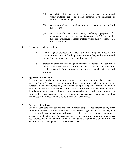- (2) All public utilities and facilities, such as sewer, gas, electrical and water systems, are located and constructed to minimize or eliminate flood damage;
- (3) Adequate drainage is provided so as to reduce exposure to flood hazards; and
- (4) All proposals for development, including proposals for manufactured home parks and subdivisions of five (5) acres or fifty (50) lots, whichever is lesser, include within such proposals base flood elevation data.
- 5. Storage, material and equipment
	- a. The storage or processing of materials within the special flood hazard area, that are in time of flooding, buoyant, flammable, explosive or could be injurious to human, animal or plant life is prohibited.
	- b. Storage or other material or equipment may be allowed if not subject to major damage by floods, if firmly anchored to prevent flotation or if readily removable from the area within the time available after a flood warning.

### **6. Agricultural Structures**

Structures used solely for agricultural purposes in connection with the production, harvesting, storage, drying or raising of agricultural commodities, including the raising of livestock, may be constructed at-grade and wet flood proofed provided there is no human habitation or occupancy of the structure. The structure must be of single-wall design; there is no permanent retail, wholesale, or manufacturing use included in the structure; a variance has been granted from the floodplain management requirements of this ordinance; and a floodplain development permit has been issued.

### **7. Accessory Structures**

Structures used solely for parking and limited storage purposes, not attached to any other structure on the site, of limited investment value, and not larger than 400 square feet, may be constructed at-grade and wet-flood proofed provided there is no human habitation or occupancy of the structure. The structure must be of single-wall design, a variance has been granted from the standard floodplain management requirements of this ordinance and a floodplain development permit has been issued.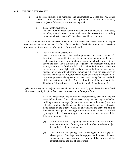#### **614.2 SPECIFIC STANDARDS**

- **1.** In all areas identified as numbered and unnumbered A Zones and AE Zones where base flood elevation data has been provided, as set forth in Article 4, Section A (2) the following provisions are required.
	- a. Residential Construction New construction or substantial-improvement of any residential structures, including manufactured homes, shall have the lowest floor, including basement, elevated to one (1) foot above base flood elevation.

*(\*In all unnumbered and numbered A Zones and AE Zones, the FEMA Region VII office recommends elevation to one (1) foot above the base flood elevation to accommodate floodway conditions when the floodplain is fully developed.)*

b. Non-Residential Construction

New construction or substantial-improvement of any commercial, industrial, or non-residential structures, including manufactured homes, shall have the lowest floor, including basement, elevated one (1) foot above the base flood elevation or, together with attendant utility and sanitary facilities, be flood proofed so that below the base flood elevation the structure is watertight with walls substantially impermeable to the passage of water, with structural components having the capability of resisting hydrostatic and hydrodynamic loads and effect of buoyancy. A registered professional engineer or architect shall certify that the standards of this subsection are satisfied. Such certification shall be provided to the Floodplain Administrator as set forth in Section 612.4 and number 9.

*(The FEMA Region VII office recommends elevation to one (1) foot above the base flood elevation to quality for flood insurance rates based upon flood proofing.)*

- c. All new construction and substantial-improvements, that fully enclose areas below lowest floor and are used solely for parking of vehicles, building access or storage, (in an area other than a basement) that are subject to flooding, shall be designed to automatically equalize hydrostatic flood forces on the exterior walls, by allowing for the entry and exit of floodwaters. Designs for meeting this requirement must either be certified by a registered professional engineer or architect or meet or exceed the following minimum criteria:
	- (1) A minimum of two (2) openings having a total net area of not less than one square inch for every square foot of enclosed area subject to flooding, shall be provided; and
	- (2) The bottom of all openings shall be no higher than one (1) foot above grade. Openings may be equipped with screens, louvers, valves or other coverings or devices provided that they permit the automatic entry and exit of floodwaters.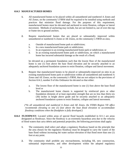## **614.3 MANUFACTURED HOMES**

- **1.** All manufactured homes to be placed within all unnumbered and numbered A Zones and AE Zones, on the community's FIRM shall be required to be installed using methods and practices that minimize flood damage. For the purposes of this requirement, manufactured homes must be elevated and anchored to resist flotation, collapse or lateral movement. Methods of anchoring may include, but are not limited to, use of over-the-top or frame ties to ground anchors.
- **2.** Require manufactured homes that are placed or substantially improved within unnumbered or numbered A Zones or AE Zones, on the community's FIRM on sites;
	- a. Outside of manufactured home park or subdivision;
	- b. In a new manufactured home park or subdivision;
	- c. In an expansion to an existing manufactured home park or subdivision; or
	- d. In an existing manufactured home park or subdivision, on which a manufactured home has incurred substantial damage as the result of a flood;

be elevated on a permanent foundation such that the lowest floor of the manufactured home is one (1) foot above the base flood elevation and be securely attached to an adequately anchored foundation system to resist flotation, collapse and lateral movement.

- **3.** Require that manufactured homes to be placed or substantially-improved on sites in an existing manufactured home park or subdivision within all unnumbered and numbered A Zones and AE Zones, on the community's FIRM, that are not subject to the provisions of Section 614.3, number 9 of this Ordinance be elevated so that either:
	- a. The lowest floor of the manufactured home is one (1) foot above the base flood level or
	- b. The manufactured home chassis is supported by reinforced piers or other foundation elements of at least equivalent strength that are no less than thirty-six (36) inches in height above grade and be securely attached to an adequately anchored foundation system to resist flotation, collapse and lateral movement.

 *(\*In all unnumbered and numbered A Zones and AE Zones, the FEMA Region VII office recommends elevating to one (1) foot above the base flood elevation to accommodate floodway conditions when the floodplain is fully developed.)*

- **614.4 FLOODWAY:** Located within areas of special flood hazards established in 611.1 are areas designated as floodways. Since the floodway is an extremely hazardous area due to the velocity of flood waters that carry debris and potential projectiles, the following provisions shall apply:
	- **1.** The community shall select and adopt a regulatory floodway based on the principle that the area chosen for the regulatory floodway must be designed to carry the waters of the base flood without increasing the water surface elevation of that flood more than one (1) foot at any point.
	- **2.** The community shall prohibit any encroachments, including fill, new construction, substantial improvements, and other development within the adopted regulatory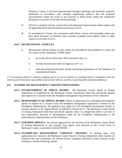floodway. Unless, it has been demonstrated through hydrologic and hydraulic analyses, performed in accordance with standard engineering practice, that the proposed encroachment would not result in any increase in flood levels within the community during the occurrence of the base flood discharge.

- **3.** If 614.4 is satisfied, all new construction and substantial improvements shall comply with all applicable flood hazard reduction provisions of 614.
- **4.** In unnumbered A Zones, the community shall obtain, review and reasonably utilize any base flood elevation or floodway data currently available from Federal, State or other sources as set forth in 614.1.

## **614.5 RECREATIONAL VEHICLES**

- **1.** Recreational vehicles placed on sites within all unnumbered and numbered A Zones and AE Zones on the community's FIRM either:
	- a. be on the site for fewer than 180 consecutive days; or
	- b. be fully licensed and ready for highway use\* ; or
	- c. meet the permitting elevation and the anchoring requirements of the Ordinance of manufactured homes.

*(\* A recreation vehicle is ready for highway use if it is on its wheels or a jacking system is attached to the site only by quick disconnect type utilities and security devices, and has no permanently attached additions.)*

## **615 FLOODPLAIN MANAGEMENT VARIANCE PROCEDURES**

- **615.1 ESTABLISHMENT OF APPEAL BOARD:** The Buchanan County Board of Zoning Adjustment as established by the Buchanan County Commission shall hear and decide appeals and requests for variances from the floodplain management requirements of this Ordinance.
- **615.2 RESPONSIBILTY OF APPEAL BOARD:** Where an application for a floodplain development permit or request for a variance from the floodplain management regulations is denied by the Floodplain Administrator, the applicant may apply for such floodplain development permit or variance directly to the Appeal Board, as defined in Section 615.1. The Buchanan County Board of Zoning Adjustment shall hear and decide appeals when it is alleged that there is an error in any requirement, decision or determination made by the Floodplain Administrator in the enforcement or administration of this Ordinance.
- **615.3 FURTHER APPEALS:** Any person aggrieved by the decision of the Buchanan County Board of Zoning Adjustment or any taxpayer may appeal such decision to the Circuit Court of Buchanan County as provided in 64.620 RSMO.
- **615.4 FLOODPLAIN MANAGEMENT VARIANCE CRITERIA:** In passing upon such applications for variances, the Buchanan County Board of Zoning Adjustment shall consider all technical data and evaluations, all relevant factors, standards specified in other sections of this Ordinance, and the following criteria: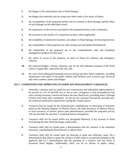- **1.** the danger to life and property due to flood damage;
- **2.** the danger that materials may be swept onto other lands to the injury of others;
- **3.** the susceptibility of the proposed facility and its contents to flood damage and the effect of such damage on the individual owner;
- **4.** the importance of the services provided by the proposed facility to the community;
- **5.** the necessity to the facility of a waterfront location, where applicable;
- **6.** the availability of alternative locations, not subject to flood damage, for the proposed use;
- **7.** the compatibility of the proposed use with existing and anticipated development;
- **8.** the relationship of the proposed use to the Comprehensive plan and floodplain management program for that area;
- **9.** the safety of access to the property, in times of flood, for ordinary and emergency vehicles;
- **10.** the expected heights, velocity, duration, rate of rise and sediment transport of the flood waters, if applicable, expected at the site; and
- **11.** the costs of providing governmental services during and after flood conditions, including maintenance and repair of the public utilities and facilities such as sewer, gas, electrical and water systems; streets and bridges.

### **615.5 CONDITIONS FOR APPROVING FLOODPLAIN MANAGEMENT VARIANCES**

- **1.** Generally, variances may be issued for new construction and substantial improvements to be erected on a lot of one-half acre or less in size, contiguous to and surrounded by lots with existing structures constructed below the base flood level, providing items 2 through 6 below have been fully considered. As the lot size increases beyond the one-half acre, the technical justification required for issuing the variance grows.
- **2.** Variances may be issued for the reconstruction, rehabilitation or restoration of structures listed on the National Register of Historic Places, the State Inventory of Historic Places, or local inventory of historic places upon determination, provided the proposed activity will not preclude the structure's continued historic designation.
- **3.** Variances shall not be issued within any designated floodway if any increase in flood level during the base flood discharge would result.
- **4.** Variances shall only be issued upon a determination that the variance is the minimum necessary, considering the flood hazard, to afford relief.
- **5.** Variances shall only be issued upon (a) showing of good and sufficient cause, (b) a determination that failure to grant the variance would result in exceptional hardship to the applicant and (c) a determination that the granting of a variance will not result in increased flood heights. Additionally, there can be no threats to public safety,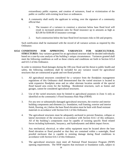extraordinary public expense, and creation of nuisances, fraud or victimization of the public or conflict with existing local laws or ordinances.

- **6.** A community shall notify the applicant in writing, over the signature of a community official that:
	- 1. The issuance of a variance to construct a structure below base flood level will result in increased premium rates for flood insurance up to amounts as high as \$25.00 for \$100.00 of insurance coverage.
	- 2. Such construction below the base flood level increases risks to life and property.

Such notification shall be maintained with the record of all variance actions as required by this Ordinance.

**615.6 CONDITIONS FOR APPROVING VARIANCES FOR AGRICULTURAL STRUCTURES:** Any variance granted for an agricultural structure shall be decided individually based on a case-by-case analysis of the building's unique circumstances. Variances granted shall meet the following conditions as well as those criteria and conditions set forth in Section 615.4 and 615.5 of this Ordinance.

In order to minimize flood damages during the 100-year flood and the threat to public health and safety, the following conditions shall be included for any variance issued for agricultural structures that are constructed at-grade and wet-flood proofed.

- 1. All agricultural structures considered for a variance from the floodplain management regulations of this Ordinance shall demonstrated that the varied structure is located in wide expansive floodplain areas and no other alternate location outside of the special flood hazard area exists for the building. Residential structures, such as homes and garages, cannot be considered agricultural structures.
- 2. Use of the varied structures must be limited to agricultural purposes in Zone A only as identified on the community's Flood Insurance Rate Map (FIRM).
- 3. For any new or substantially damaged agricultural structures, the exterior and interior building components and elements (i.e. foundation, wall framing, exterior and interior finish, flooring, etc.) below the base flood elevation must be built with flood resistant materials in accordance with Section 614.1 of this Ordinance.
- 4. The agricultural structures must be adequately anchored to prevent flotation, collapse or lateral movement of the structures in accordance with Section 614.1 of this ordinance. All of the building's components must be capable of resisting specific flood related forces including hydrostatic, buoyancy, and hydrodynamic and debris impact forces.
- 5. Any mechanical, electrical, or other utility equipment must be located above the base flood elevation or flood proofed so that they are contained within a watertight, flood proofed enclosure that is capable to resisting damage during flood conditions in accordance with Section 614.1 of this Ordinance.
- 6. The agricultural structures must meet all National Flood Insurance Program (NFIP) opening requirements. The NFIP requires that enclosure or foundation walls, subject to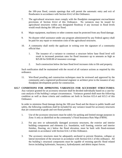the 100-year flood, contain openings that will permit the automatic entry and exit of floodwaters in accordance with Section 614.2 of this Ordinance.

- 7. The agricultural structures must comply with the floodplain management encroachment provisions of Section 614.4 of this Ordinance. No variances may be issued for agricultural structures within any designated floodway if any increase in flood levels would result during the 100-year flood.
- 8. Major equipment, machinery or other contents must be protected from any flood damage.
- 9. No disaster relief assistance under any program administered by any Federal agency shall be paid for any repair or restoration costs of the agricultural structures.
- 10. A community shall notify the applicant in writing over the signature of a community official that:
	- 1. The issuance of a variance to construct a structure below base flood level will result in increased premium rates for flood insurance up to amounts as high as \$25.00 for \$100.00 of insurance coverage.
	- 2. Such construction below the base flood level increases risks to life and property.

Such notification shall be maintained with the record of all variance actions as required by this ordinance.

11. Wet-flood proofing and construction techniques must be reviewed and approved by the community and a registered professional engineer or architect prior to the issuance of any floodplain development permit for construction.

# **615.7 CONDITIONS FOR APPROVING VARIANCES FOR ACCESSORY STRUCTURES:**

Any variance granted for an accessory structure shall be decided individually based on a case-bycase analysis of the building's unique circumstances. Variances granted shall meet the following condition as well as those criteria and conditions set forth in Section 615.4 and 615.5 of this Ordinance.

In order to minimize flood damage during the 100-year flood and the threat to public health and safety, the following conditions shall be included for any variance issued for accessory structures that are constructed at-grade and wet-flood proofed.

- 1. Use of the accessory structures must be solely for parking and limited storage purposes in Zone A only as identified on the community's Flood Insurance Rate Map (FIRM).
- 2. For any new or substantially damaged accessory structures, the exterior and interior building components and elements (i.e. foundation, wall framing, exterior and interior finishes, flooring, etc.) below the flood elevation, must be built with flood-resistant materials in accordance with Section 614.1 of this Ordinance.
- 3. The accessory structures must be adequately anchored to prevent flotation, collapse or lateral movement of the structure in accordance with Section 614.1 of this ordinance. All the building's structural components must be capable of resisting specific flood related forces including hydrostatic, buoyancy, hydrodynamic and debris impact forces.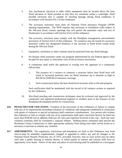- 4. Any mechanical, electrical or other utility equipment must be located above the base flood elevation or flood proofed so that they are contained within a watertight, flood proofed enclosure that is capable of resisting damage during flood conditions in accordance with Section 614.1 of this Ordinance.
- 5. The accessory structures must meet all National Flood Insurance Program (NFIP) opening requirements. The NFIP requires that enclosure or foundation walls subject to the 100-year flood, contain openings that will permit the automatic entry and exit of floodwaters in accordance with Section 614.2 of this ordinance.
- 6. The accessory structures must comply with the floodplain management encroachment provisions of Section 614.4 of this ordinance. No variances may be issued for accessory structures within any designated floodway if any increase in flood levels would result during the 100-year flood.
- 7. Equipment, machinery or other contents must be protected from any flood damage.
- 8. No disaster relief assistance under any program administered by any Federal agency shall be paid for any repair or restoration costs of the accessory structure(s).
- 9. A community shall notify the applicant in writing over the signature of a community official that:
	- 1. The issuance of a variance to construct a structure below base flood level will result in increased premium rates for flood insurance up to amounts as high as \$25.00 for \$100.00 of insurance coverage.
	- 2. Such construction below the base flood level increases risks to life and property.

Such notification shall be maintained with the record of all variance actions as required by this Ordinance.

- 10. Wet-flood proofing and construction techniques must be reviewed and approved by the community and registered professional engineer or architect prior to the issuance of any floodplain development permit for construction.
- **616 PENALTIES FOR VIOLATION:** Violation of the provisions of this Ordinance or failure to comply with any of its requirements (including violations of conditions and safeguards established in connection with grants of variances or special exceptions) shall constitute a misdemeanor. Any person who violates this ordinance or fails to comply with any of its requirements shall upon conviction thereof, be fined not more than \$100.00 and in addition shall pay all costs and expenses involved in the case. Each day such violation continues shall be considered a separate offense. Nothing herein contained shall prevent the Buchanan County Commission or other appropriate authority from taking such other lawful action as is necessary to prevent or remedy any violation.
- **617 AMENDMENTS:** The regulations, restrictions and boundaries set forth in this Ordinance may from time-to-time be amended, supplemented, changed or appealed to reflect any and all changes in the National Flood Disaster Protection Act of 1973, provided, however, that no such action may be taken until after a public hearing in relation thereto, at which parties in interest and citizens shall have an opportunity to be heard. Notice of the time and place of such hearing shall be published in a newspaper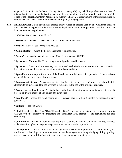of general circulation in Buchanan County. At least twenty (20) days shall elapse between the date of this publication and the public hearing. A copy of such amendments will be provided to the Region VII office of the Federal Emergency Management Agency (FEMA). The regulations of this ordinance are in compliance with the National Flood Insurance Program (NFIP) regulations.

**618 DEFINITIONS:** Unless specifically defined below, words or phrases used in this Ordinance shall be interpreted so as to give them the same meaning they have in common usage and to give this Ordinance its most reasonable application.

**"100-Year Flood"-**see *"Base Flood."*

**"Accessory Structure" –** means the same as *"Appurtenant Structure."*

**"Actuarial Rates" –** see *"risk premium rates."*

**"Administrator" –** means the Federal Insurance Administrator.

**"Agency" –** means the Federal Emergency Management Agency (FEMA).

**"Agricultural Commodities"**- means agricultural products and livestock.

**"Agricultural Structure"** – means any structure used exclusively in connection with the production, harvesting, storage, drying or raising of agricultural commodities.

**"Appeal"**-means a request for review of the Floodplain Administrator's interpretation of any provision of this Ordinance or a request for a variance.

**"Appurtenant Structure"**- means a structure that is on the same parcel of property as the principle structure to be insured and the use of which is incidental to the use of the principal structure.

**"Area of Special Flood Hazard"** – is the land in the floodplain within a community subject to one (1) percent or greater chance of flooding in any given year.

**"Base Flood"** – means the flood having one (1) percent chance of being equaled or exceeded in any given year.

**"Building"** – see *"Structure".*

**"Chief Executive Officer" or "Chief Elected Official" –** means the official of the community who is charged with the authority to implement and administer laws, ordinances and regulations for that community.

**"Community" –** means any State or area or political subdivision thereof, which has authority to adopt and enforce floodplain management regulations for the areas within it jurisdiction.

**"Development" –** means any man-made change to improved or unimproved real estate including, but not limited to, buildings or other structures, levees, levee systems, mining, dredging, filling, grading, paving, excavation or drilling operations, or storage of equipment or materials.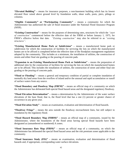**"Elevated Building" –** means for insurance purposes, a non-basement building which has its lowest elevated floor raised above ground level by foundation walls, shear walls, posts, piers, pilings or columns.

**"Eligible Community" or "Participating Community" –** means a community for which the Administrator has authorized the sale of flood insurance under the National Flood Insurance Program (NFIP).

**"Existing Construction" –** means for the purposes of determining rates, structures for which the *"start of construction"* commenced before the effective date of the FIRM or before January 1, 1975, for FIRM's effective before that date. *"Existing construction"* may also be referred to as *"existing structures"*.

**"Existing Manufactured Home Park or Subdivision" –** means a manufactured home park or subdivision for which the construction of facilities for servicing the lots on which the manufactured homes are to be affixed is completed before the effective date of the floodplain management regulations adopted by the community. This includes at a minimum, the installation of utilities, the construction of streets and either final site grading or the pouring of concrete pads.

**"Expansion to an Existing Manufactured Home Park or Subdivision" –** means the preparation of additional sites by the construction of facilities for servicing the lots on which the manufactured homes are to be affixed. This includes the installation of utilities, the construction of street and either final site grading or the pouring of concrete pads.

**"Flood or Flooding" –** means a general and temporary condition of partial or complete inundation of normally dry land areas from the overflow of inland and/or the unusual and rapid accumulation or runoff of surface waters from any source.

**"Flood Boundary and Floodway Map (FBFM)" –** means an official map of a community on which the Administrator has delineated both special flood hazard areas and the designated regulatory floodway.

**"Flood Elevation Determination" –** means a determination by the Administrator of the water surface elevations of the base flood, that is, the flood level that has a one (1) percent or greater chance of occurrence in any given year.

**"Flood Elevation Study" –** means an examination, evaluation and determination of flood hazards.

**"Floodway Fringe" –** means the area outside the floodway encroachment lines, but still subject to inundation by the regulatory flood.

**"Flood Hazard Boundary Map (FHBM)" –** means an official map of a community, issued by the Administrator, where the boundaries of the flood areas having special flood hazards have been designated as (unnumbered or numbered) A zones.

**"Flood Insurance Rate Map (FIRM)" –** means an official map of a community, on which the Administrator has delineated the special flood hazard areas and the risk premium zones applicable to the community.

**"Flood Insurance Study (FIS)" –** means an examination, evaluation and determination of flood hazards and, if appropriate, corresponding water surface elevations.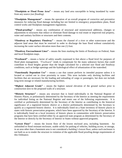**"Floodplain or Flood Prone Area" –** means any land area susceptible to being inundated by water from any source *(see flooding)*.

**"Floodplain Management" –** means the operation of an overall program of corrective and preventive measures for reducing flood damage including but not limited to emergency preparedness plans, flood control works and floodplain management regulations.

**"Flood-proofing"** – means any combination of structural and nonstructural additions, changes or adjustments to structures that reduce or eliminate flood damage to real estate or improved real property, water and sanitary facilities or structures and their contents.

**"Floodway or Regulatory Floodway" –** means the channel of a river or other watercourse and the adjacent land areas that must be reserved in order to discharge the base flood without cumulatively increasing the water surface elevation more than one (1) foot.

**"Floodway Encroachment Lines" –** means the lines marking the limits of floodways on Federal, State and local floodplain maps.

**"Freeboard" –** means a factor of safety usually expressed in feet above a flood level for purposes of flood plain management. *"Freeboard"* tends to compensate for the many unknown factors that could contribute to flood heights greater than the height calculated for a selected size flood and floodway conditions, such as bridge openings and the hydrological effect of urbanization of the watershed.

**"Functionally Dependent Use" –** means a use that cannot perform its intended purpose unless it is located or carried out in close proximity to water. This term includes only docking facilities and facilities that are necessary for the loading and unloading of cargo or passengers, but does not include long-term storage or related manufacturing facilities.

**"Highest Adjacent Grade" –** means the highest natural elevation of the ground surface prior to construction next to the proposed walls of a structure.

**"Historic Structure" –** means any structure that is listed individually in the National Register of Historic Places, or preliminarily determined by the Secretary of the Interior as meeting the requirements for individual listing on the National Register and meets one of the following requirements. It is certified or preliminarily determined by the Secretary of the Interior as contributing to the historical significance of a registered historic district or a district preliminarily determined by the Secretary to qualify as a registered historic district. It is individually listed on a State inventory of historic places in states with historic preservation programs, which have been approved by the Secretary of the Interior. It is individually listed on a local inventory of historic places in communities with historic preservation programs that have been certified either by an approved state program as determined by the Secretary of the Interior or directly by the Secretary of Interior in States without approved programs.

**"Lowest Floor" –** means the lowest floor of the lowest enclosed area, including basement. An unfinished or flood resistant enclosure, usable solely for parking of vehicles, building access, or storage, in an area other than a basement area is not considered a building's lowest floor, unless such enclosure is not built so as to render the structure in violation of the applicable flood proofing design requirements of this Ordinance.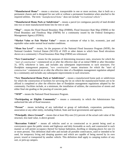**"Manufactured Home" –** means a structure, transportable in one or more sections, that is built on a permanent chassis and is designed for use with or without a permanent foundation when attached to the required utilities. The term *"manufactured home"* does not include "*recreational vehicle"*.

**"Manufactured Home Park or Subdivision" –** means a parcel (or contiguous parcels) of land divided into two or more manufactured home lots for rent or sale.

**"Map" –** means the Flood Hazard Boundary Map (FHBM), Flood Insurance Rate Map (FIRM) or the Flood Boundary and Floodway Map (FBFM) for a community issued by the Federal Emergency Management Agency (FEMA).

**"Market Value or Fair Market Value" –** means an estimate of what is fair, economic, just and equitable value under normal local market conditions.

**"Mean Sea Level" –** means, for the purposes of the National Flood Insurance Program (NFIP), the National Geodetic Vertical Datum (NGVD) of 1929 or other datum to which base flood elevations shown on a community's Flood Insurance Rate Map (FIRM) are referenced.

**"New Construction" –** means for the purposes of determining insurance rates, structures for which the *"start of construction"* commenced on or after the effective date of an initial FIRM or after December 31, 1974, whichever is later, and includes any subsequent improvements to such structures. For floodplain management purposes, "*new construction"* means structures for which the "*start of construction"* commenced on or after the effective date of a floodplain management regulation adopted by a community and includes any subsequent improvements to such structures.

**"New Manufactured Home Park or Subdivision" –** means a manufactured home park or subdivision for which the construction of facilities for servicing the lot on which the manufactured homes are to be affixed is completed or after the effective date of floodplain management regulations adopted by the community. Facilities include, at a minimum, the installation of utilities, the construction of streets and either final site grading or the pouring of concrete pads.

**"NFIP" –** means the National Flood Insurance Program.

**"Participating or Eligible Community" –** means a community in which the Administrator has authorized the sale of flood insurance.

**"Person"** – means including of any individual or group of individuals, corporation, partnership, association or any other entity, including Federal, State and local governments and agencies.

**"Principally Above Ground" –** means that at least fifty-one (51) percent of the actual cash value of the structure, less land value, is above ground.

**"Recreation Vehicle" –** means all vehicles used or so constructed as to permit being used as conveyances upon the public streets and highways and duly licensable as such, and constructed in such manner as will permit occupancy thereof for human habitation, dwelling or sleeping places for one (1) or more persons. This definition shall refer and include all portable contrivances, used or intended to be used, for temporary living and sleeping quarters and which are capable of being moved by its own power, towed or transported by another vehicle. This definition shall apply to camping trailers of any sort, or pick-up campers.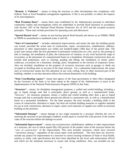**"Remedy A Violation" –** means to bring the structure or other development into compliance with Federal, State or local floodplain management regulations; if this is not possible, to reduce the impacts of its noncompliance.

**"Risk Premium Rates" –** means those rates established by the Administrator pursuant to individual community studies and investigations which are undertaken to provide flood insurance in accordance with Section 1307 of the National Flood Disaster Protection Act of 1973 and the accepted actuarial principles. These rates include provisions for operating costs and allowances.

**"Special Hazard Area" –** means an area having special flood hazards and shown on an FHBM, FIRM or FBFM as unnumbered or numbered zones A and AE.

**"Start of Construction" –** includes substantial improvements and means the date the building permit was issued, provided the actual start of construction, repair, reconstruction, rehabilitation, addition, placement or other improvement was within one hundred-eighty (180) days of the permit date. The *actual start* means either the first placement of permanent construction on a site, such as, the pouring of slab or footings, the installation of piles, the construction of columns, or any work beyond the stage of excavation, or the placement of a manufactured home on a foundation. Permanent construction does not include land preparation, such as clearing, grading and filling, the installation of streets and/or walkways, excavation for a basement, footings, piers, foundations or the erection of temporary forms. Also not included, installation on the property of accessory structures such as garages or sheds not occupied as dwelling units or not part of the main structure. For a substantial improvement, the actual *start of construction* means the first alteration of any wall, ceiling, floor or other structural part of the building, whether or not that alteration affects the external dimensions of the building.

**"State Coordinating Agency"-** means that agency of the State government or other office designated by the Governor of the State or by State statute at the request of the Administrator to assist in the implementation of the National Flood Insurance Program (NFIP) in that State.

**"Structure" –** means, for floodplain management purposes, a walled and roofed building, including a gas or liquid storage tank that is principally above ground, as well as a manufactured home. *"Structure",* for insurance purposes, means a walled and roofed building other than a gas or liquid storage tank that is principally above ground and affixed to a permanent site, as well as a manufactured home on a permanent foundation. For the latter purpose, the term includes a building while in the course of construction, alteration or repair, but does not include building materials or supplies intended for use in such construction, alteration or repair, unless such materials or supplies are within an enclosed building on the premises.

**"Substantial Damage" –** means damage of any origin sustained by a structure whereby the cost of restoring the structure to pre-damaged condition would equal or exceed fifty (50) percent of the market value of the structure before the damage occurred.

**"Substantial Improvement" –** means any reconstruction, rehabilitation, addition or other improvement of a structure, the cost of which equals fifty (50) percent of the market value of the structure before the *"start of construction"* of the improvement. This term includes structures, which have incurred *"substantial damage"*, regardless of the actual repair work performed. The term does not, however, include any project for improvement of a structure to correct existing violations of State or local health, sanitary or safety code specifications that have been identified by the local code enforcement official and which are the minimum necessary to assure safe living conditions. Also, not included are any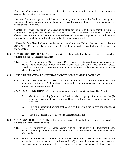alterations of a *"historic structure"*, provided that the alteration will not preclude the structure's continued designation as a *"historic structure"*.

**"Variance" –** means a grant of relief by the community from the terms of a floodplain management regulation. Flood insurance requirements remain in place for any varied use or structure and cannot be varied by the community.

**"Violation" –** means the failure of a structure or other development to be fully compliant with the community's floodplain management regulations. A structure or other development without the elevation certificate, or certifications or other evidence of compliance required by this ordinance is presumed to be in violation until such time as that documentation is provided.

**"Water Surface Elevation" –** means the height in relation to the National Geodetic Vertical Datum (NGVD) of 1929 or other datum, where specified, of floods of various magnitudes and frequencies in the floodplain.

- **625 "G" RECREATION DISTRICT:** The following regulations shall apply to every lot, tract, parcel or building site in a "G" Recreation District.
	- **625.1 INTENT:** The intent of a "G" Recreation District is to provide large tracts of open space for leisure time activities around public and private water reservoirs, ponds, lakes, and other areas. Therefore, the erection of structures within the district is limited to those whose use is relative to leisure time activities.

### **626 "GRM" RECREATION RESIDENTIAL MOBILE HOME DISTRICT OVERLAY**

- **626.1 INTENT:** The intent of a "GRM" District is to provide a combination of temporary and permanent housing in "G" Recreation areas around lakes, reservoirs and other areas where limited housing is recommended.
- **626.2 USES, CONDITIONAL:** The following uses are permitted by a Conditional Use Permit.
	- **A.** Manufactured housing (mobile homes) individually or in groups of not more than five (5) on a single tract, not platted as a Mobile Home Park, for occupancy by owner and/or as a rental unit.
	- **B.** All such manufactured housing shall comply with all single-family dwelling regulations for R-3 Districts.
	- **C.** All other Conditional Uses allowed in a Recreation District.
- **630 "P" PLANNED DISTRICT:** The following regulations shall apply to every lot, tract, parcel, or building site in the Planned District:
	- **630.1 INTENT:** The intent of the Planned District is to allow flexibility in the development land, location of building, structure of roads and at the same time preserve the general intent and spirit of this Order.
	- **630.2 PLAN OF DEVELOPMENT FOR "P" PLANNED DISTRICT:** The owner or owners of any tract of land comprising an area of not less than five (5) acres or all of a renewal or development area, may submit to the Zoning Officer, a plan for the use and development of all such tracts of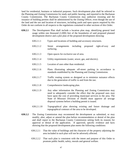land for residential, business or industrial purposes. Such development plan shall be referred to the Planning and Zoning Commission for study and public hearing, and reported to the Buchanan County Commission. The Buchanan County Commission may authorize rezoning and the issuance of building permits shall be administered by the Zoning Officer, even though the use of the land and the use and location of structures, including yards and open spaces required by this Order do not conform in all respects to the regulations contained in other sections of this Order.

- **630.2.1** The Development Plan shall include a location plan map, identifying general land usage within one thousand (1,000) feet of the boundaries of said proposed planned development district and a plot plan of the proposed development showing:
	- 630.2.1.1 Types and locations of building and accessory structures.
	- 630.2.1.2 Street arrangements including proposed right-of-way and surfacing.
	- 630.2.1.3 Open spaces for exclusive use of area.
	- 630.2.1.4 Utility requirements (water, sewer, gas, and electric).
	- 630.2.1.5 Location of uses other than residential.
	- 630.2.1.6 Plans illustrating adequate off-street parking in accordance to standards established by the Planning and Zoning Commission.
	- 630.2.1.7 Traffic routing system so designed as to minimize nuisance effects due to the generation of traffic to and from the use.
	- 630.2.1.8 Comprehensive landscaping plan.
	- 630.2.1.9 Any other information the Planning and Zoning Commission may need to adequately consider the effect that the proposed uses may have upon the cost of providing municipal services to the area. The State of Missouri Division of Health must approve all sewage disposal systems before a building permit is issued.
	- 630.2.1.10 Topographical plan showing existing and future drainage and topographical contours of the area to be developed.
- **630.2.2** The Zoning Commission may recommend the development as submitted, or may modify, alter, adjust or amend the plan before recommendation or denial of the plan and shall report to the Buchanan County Commission setting forth its reasons for approval or denial of the application. If approved, specific evidence and facts showing that the proposed development plan meets the following conditions:
	- 630.2.2.1 That the value of buildings and the character of the property adjoining the area included in such plan will not be adversely affected.
	- 630.2.2.2 That such plan is consistent with the intent and purpose of this Order to promote public health, safety, morals and general welfare.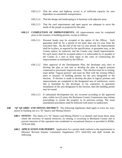- 630.2.2.3 That the street and highway access is of sufficient capacity for uses dependent on automobile transportation.
- 630.2.2.4 That the design and landscaping is in harmony with adjacent areas.
- 630.2.2.5 That the yard requirements and open spaces are adequate to serve the needs of the people as projected by the plan.
- **630.2.3 COMPLETION OF IMPROVEMENTS:** All improvements must be completed prior to the issuance of building permits, except as follows:
	- 630.2.3.1 Personal bonds may be accepted at the option of the Officer. Such guarantee shall be for a period of not more than one (1) year from the execution date. By the end of the one (1) year period, the improvements shall be in place, as required by the specification, or guarantee may, at the County option, be enforced, and the County may install improvements. No such surety shall be accepted unless it is enforceable by or payable to the County in a sum at least equal to the costs of constructing the improvements as estimated by the Officer.
	- 630.2.3.2 After approval of the Development Plan, the developer may elect to develop the plan as one unit or develop the plan in logical portions connected to previously improved areas. This election must be in writing, must define "logical portion" and must be filed with the Zoning Officer prior to issuance of building permits for the area designated in the election. If election is made to develop the plan in logical portions and improvements are completed in the designated area of satisfactory surety that is furnished by the developer or his contractor, to guarantee installation of the area designated in the election, then the building permit may be issued.
	- 630.2.3.3 If substantial development has not occurred according to the approved plan, within two (2) years, the Buchanan County Commission may initiate proceedings to rezone the property to its previous zoning. The usual amendment procedures shall be followed with notice to landowners.
- **640 "Q" QUARRY AND MINING DISTRICT:** The following regulations shall apply to every lot, tract, parcel or building site in a "Q" Quarry and Mining District.
	- **640.1 INTENT:** The intent of a "Q" Quarry and Mining District is to identify and locate those areas where the recovery of natural resources, by mining, is occurring in Buchanan County and to prevent intrusion of this operation into residential or recreational districts as provided in RSMo. 1978 (64.560).
	- **640.2 APPLICATION FOR PERMIT:** Application for a permit shall conform to the requirements in Missouri Revised Statutes Cumulative Supplement 1971 (444.550) and shall include the following: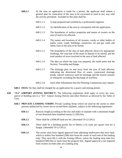- **640.2.1** At the time an application is made for a permit, the applicant shall submit a general plan for restoration of the area to be excavated or used in any way with the activity permitted. Included in this plan shall be:
	- 640.2.1.1 A map prepared and certified by a professional engineer.
	- 640.2.1.2 An identification of the area to correspond with the application.
	- 640.2.1.3 The boundaries of surface properties and names of owners on the area of land to be affected.
	- 640.2.1.4 The names and locations of all streams, creeks or other bodies of public water, roads, buildings, cemeteries, oil and gas wells and utility lines in the area to be mined.
	- 640.2.1.5 The boundaries of the area of land affected, shown by appropriate markings, the crop line of the seam or deposit to be mined, and the total number of acres involved in the area of land affected.
	- 640.2.1.6 The date on which the map was prepared, the north point and the Section, Township and Range.
	- 640.2.1.7 The drainage plan on and away from the area of land affected, indicating the directional flow of water, constructed drainage ponds, natural waterway used for drainage and the nearest streams or tributaries recording the discharge of overflow.
	- 640.2.1.8 Such other information that the Planning Commission may require.
- **640.3 FEES:** No fees shall be charged for an application for a quarry and mining permit.
- **650 "ZA" AIRPORT ZONING DISTRICT:** The following regulations shall apply to every lot, tract, parcel or building site in a "ZA" Airport Zoning District and other Districts as allowed by the Table of Uses.
	- **650.1 PRIVATE LANDING STRIPS:** Private Landing Strips which are used by the owner or other persons authorized by owner not to exceed three airplanes, subject to the following regulations:
		- **650.1.1** Runway length according to the size and make of airplane with a minimum length of one thousand three hundred twenty (1,320) feet.
		- **650.1.2** There shall be a \$300.00 land use fee. *(Amended 10-12-2011)*
		- **650.1.3** There shall be a building permit fee of fifteen (.15) cents per square foot for a hangar. *(Amended 10-12-2011)*
		- **650.1.4** The owner must have signed approval from adjoining landowners that have land, which is within five hundred (500) feet from the center of each end of the landing strip. They must file it with the Zoning Officer, unless the landing strip ends five hundred (500) feet or more from the property line. Signed approval is not required from owners on both sides of a landing strip.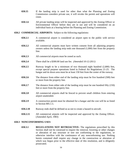- **650.15** If the landing strip is used for other than what the Planning and Zoning Commission considers private use, it will revoke the permit and operations will cease.
- **650.1.6** All private landing strips will be inspected and approved by the Zoning Officer or Environmental Officer before they are in use and will be considered on an individual basis at a hearing before the Planning and Zoning Commission.

### **650.2 COMMERCIAL AIRPORTS:** Subject to the following regulations:

- **650.2.1** A commercial airport is considered an airport open to the public with service available.
- **650.2.2** All commercial airports must have written consent from all adjoining property owners unless the landing strip ends one thousand (1,000) feet from the property line.
- **650.2.3** All commercial airports must be zoned as such.
- **650.2.4** There shall be a \$300.00 land use fee. *(Amended 10-12-2011)*
- **650.2.5** Runway length to be a minimum of two thousand eight hundred (2,800) feet, except special purpose operations listed in Federal Air Regulations 21-25. The hangar and tie down area must be at least 150 feet from the center of the runway.
- **650.2.6** The distance from either end of the landing strip must be five hundred (500) feet or more from the property line.
- **650.2.7** The distance from either side of the landing strip must be one hundred fifty (150) feet or more from the property line.
- **650.2.8** All commercial airports shall be fenced to prevent small children from entering airport unattended.
- **650.2.9** A construction permit must be obtained for a hangar and the cost will be as listed in Section 805.1.5.
- **650.2.10** Runway ends shall be defined so as not to create a hazard to aircraft.
- **650.2.11** All commercial airports will be inspected and approved by the Zoning Officer. (Amended April, 1983)

#### **650.3 NONCONFORMING USES**

**650.3.1 REGULATIONS NOT RETROACTIVE:** The regulations prescribed by this Section shall not be construed to require the removal, lowering or other changes or alteration of any structure or tree not conforming to the regulations, or otherwise interfere with the continuance of any nonconforming use. Nothing herein contained shall require any change in the construction or alteration of which was begun prior to the effective date of this resolution, and is diligently prosecuted.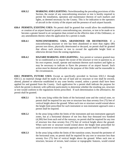- **650.3.2 MARKING AND LIGHTING:** Notwithstanding the preceding provisions of this Section, the owner of any nonconforming structure or tree is hereby required to permit the installation, operation and maintenance thereon of such markers and lights, as deemed necessary by the County. This is for indication to the operators of aircraft in the vicinity of the airport and the presence of such airport hazards.
- **650.4 PERMITS, EXISTING USES:** No permit shall be granted that would allow the establishment or creation of an airport hazard or permit a nonconforming use, structure, or tree to be made or to become a greater hazard to air navigation than existed on the effective date of this Ordinance, or any amendments thereto when the application for a permit is made.
	- **650.4.1 NONCONFORMING USES, ABANDONED OR DESTROYED:** If a nonconforming structure or tree has been abandoned or more than eighty (80) percent torn down, physically deteriorated or decayed, no permit shall be granted that allows such structure or tree to exceed the applicable height limit or otherwise deviate from the zoning regulations.
	- **650.4.2 HAZARD MARKING AND LIGHTING:** Any permit or variance granted may be so conditioned as to require the owner of the structure or tree in question to, at his own expense, install, operate and maintain thereon such markers and lights as may be necessary to indicate to flyers the presence of an airport hazard. Such action must be deemed advisable to the purpose of this Order and be reasonable in the circumstances.

**650.5 PERMITS, FUTURE USES:** Except as specifically provided in Sections 650.5.1 through 650.5.3, no material change shall be made in the use of land and no structure or tree shall be erected, altered, planted or otherwise established in any zone hereby created, unless a permit shall have been applied for and granted from the County. Each application for a permit shall indicate the purpose for which the permit is desired, with sufficient particularity to determine whether the resulting use, structure or tree would conform to the regulations herein prescribed. If such determination is the affirmative, the permit shall be granted.

- **650.5.1** In the area lying within the limits of the horizontal zone and the conical zone, no permit shall be required for any tree or structure less than seventy five (75) feet of vertical height above the ground. When such tree or structure would extend above the height limit prescribed for such instrument or non-instrument approach zone a permit shall be required.
- **650.5.2** In the areas lying within the limits of the instrument and non-instrument approach zones, but at a horizontal distance of not less than four thousand two hundred (4,200) feet from each end of the runways, no permit shall be required for any tree of structure less than seventy five (75) feet of vertical height above the ground. When such tree or structure would extend above the height limit prescribed for such instrument or non-instrument approach zone a permit shall be required.
- **650.5.3** In the areas lying within the limits of the transition zones, beyond the perimeter of the horizontal zone, no permit shall be required for any tree or structure less than seventy five (75) feet of vertical height above the ground. When such tree or structure, because of terrain, land contour or topographic features, would extend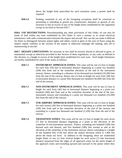above the height limit prescribed for such transition zones a permit shall be required.

**650.5.4** Nothing contained in any of the foregoing exceptions shall be construed as permitting or intending to permit any construction, alteration or growth of any structure or tree in excess of any of the height limits established by the regulation except as set forth in Section 650.7.

**650.6 USE RESTRICTIONS:** Notwithstanding any other provisions of this Order, no use may be made of land within any zone established by this Order in such a manner as to create electrical interference with radio communication between the airport and aircraft. Nor can the use make it difficult for flyers to distinguish between airport lights and others, result in glare in the eyes of flyers using the airport, impair visibility in the vicinity of the airport or otherwise endanger the landing, take off or maneuvering of aircraft.

**650.7 HEIGHT LIMITATIONS:** No structure or tree shall be erected, altered or allowed to grow, or maintained, except as otherwise provided in this Section of these regulations, in any zone, as defined in this Section, to a height in excess of the height limit established for such zone. Such height limitations are hereby established for each of the zones as follows:

- **650.7.1 INSTRUMENT APPROACH ZONES:** This zone will be one (1) foot in height for each fifty (50) feet in horizontal distance beginning at a point two hundred (200) feet from and at the centerline elevation of the end of the instrument runway, thence, extending to a distance of ten thousand two hundred (10,200) feet from the end of the runway; thence one (1) foot in height for each forty (40) feet in horizontal distance to a point fifty thousand two hundred (50,200) feet from the end of the runway.
- **650.7.2 NON**-**INSTRUMENT APPROACH ZONES:** This zone will be one (1) foot in height for each forty (40) feet in horizontal distance beginning at a point two hundred (200) feet from and at the centerline elevation of the end of the noninstrument runway and extending to a point ten thousand two hundred (10,200) feet from the end of the runway.
- **650.7.3 VFR AIRPORT APPROACH ZONES:** This zone will be one (1) foot in height for each twenty (20) feet in horizontal distance beginning at a point one hundred (100) feet from and at the centerline elevation of the end of the runway and extending to a point two thousand one hundred (2,100) feet from the end of the runway.
- **650.7.4 TRANSITION ZONES:** This zone will be one (1) foot in height for each seven (7) feet in horizontal distance beginning at a point at the elevation of the centerline of non-instrument runways. Thence, extending two hundred (200) feet beyond each end thereof, and five hundred (500) feet normal to and at the elevation of the centerline of the instrument runway; thence extending to a height of one hundred fifty (150) feet above the airport elevation which is 1,000 feet above the mean sea level. In addition to the foregoing, there are established height limits of one (1) foot vertical height for each seven (7) feet horizontal distance measured from the edges of all approach zones for the entire length of the approach zones and extending upward and outward to the points where they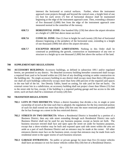intersect the horizontal or conical surfaces. Further, where the instrument approach zone projects through and beyond the conical zone, a height limit of one (1) foot for each seven (7) feet of horizontal distance shall be maintained beginning at the edge of the instrument approach zone. Then, extending a distance of five thousand (5,000) feet from the edge of the instrument approach zone measured normal to the centerline of the runway.

- **650.7.5 HORIZONTAL ZONE:** One hundred fifty (150) feet above the airport elevation or a height of 1,000 feet above mean sea level.
- **650.7.6 CONICAL ZONE:** One (1) foot in height for each twenty (20) feet of horizontal distance beginning at the periphery of the horizontal zone, extending to a height of one thousand (1000) feet above the airport elevation.
- **650.7.7 EXCEPTED HEIGHT LIMITATIONS:** Nothing in this Order shall be construed as prohibiting the growth, construction or maintenance of any tree or structure to a height up to one thousand (1,000) feet above the surface of the land.

# **700 SUPPLEMENTARY REGULATIONS**

**701 ACCESSORY BUILDINGS:** Accessory buildings, as defined in subsection 109.1 and/or regulated herein, are permitted in any district. No detached accessory building hereafter constructed shall occupy a required front yard or be located within ten (10) feet of any dwelling existing or under construction on the building site. No single accessory building in any district shall occupy more than thirty (30) percent, nor shall all such buildings collectively occupy more than forty (40) percent of the required yard spaces in the rear half of the lot. See Density Tables, based on zoning, for side yard lot line set backs. On external corner lots in a subdivision, an accessory building shall not project closer than fifteen (15) feet to the street side lot line, except, if the building is a required parking garage and has access to the side street, such set-back shall be a minimum of twenty (20) feet.

### **702 TRANSITION REGULATIONS**

- **702.1 LOTS IN TWO DISTRICTS:** Where a district boundary line divides a lot, in single or joint ownership of record at the time such line is adopted, the regulations for the less restricted portion of such lot shall extend not more than thirty (30) feet onto the more restricted portion, provided the lot has frontage on a street in the less restricted district.
- **702.2 STREETS IN TWO DISTRICTS:** Where a Residential District is bounded by a portion of a Business District, then any side street extending through such Residential District into such Business District shall not be used for any business purpose, except as herein set forth. The business structure erected shall face and open upon the street set aside for business purposes, except that a show-window may be built and exposed upon said side street within the area set aside as a part of such Business District and an entrance may be made at the corner. All other entrances thereto must face on the business street, except that entrances may be made from such residential street to the upper stories of such business structure.
- **702.3 GARAGE ENTRANCES:** No public or private garage for more than five (5) motor vehicles shall have an entrance or exit for motor vehicles within fifty (50) feet of a Residential District.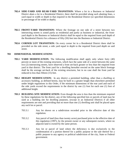- **702.4 SIDE-YARD AND REAR-YARD TRANSITION:** Where a lot in a Business or Industrial District abuts a lot in a Residential District, there shall be provided along such abutting lines, a yard equal in width or depth to that required in the Residential District (or specified dimensions or percentage of lot width or depth).
- **702.5 FRONT-YARD TRANSITION:** Where the frontage on one side of a street between two intersecting streets is zoned partly as residential and partly as business or industrial, the frontyard depth in the Business or Industrial district shall be equal to the required front-yard depth of the Residential District for a distance of fifty (50) feet into the Business or Industrial District.
- **702.6 CORNER LOT TRANSITION:** On every corner lot in a Residential District there shall be provided on the side street, a side yard equal in depth to the required front-yard depth on said street.

## **703 DIMENSIONAL MODIFICATIONS**

- **703.1 YARD MODIFICATION:** The following modification shall apply only where forty (40) percent or more of the existing structures, which face the same side of a street between the same two (2) intersecting streets, have observed a front set-back greater or less than the required front yard in that district. The front yard for a dwelling hereafter erected on the same block frontage shall be the average set-back of the existing structures, but in no case shall the front yard be reduced to less than fifteen (15) feet.
- **703.2 HEIGHT MODIFICATION:** In any district a permitted building, other than a dwelling or accessory building, as defined herein, may be built to a greater height than elsewhere permitted under height regulations in this Order, if the minimum dimensions of the rear yard and each of the side yards exceed the requirements in the district by one (1) foot for each one (1) foot of additional height.
- **703.3 BUILDING SITE MODIFICATION:** Even though the area is less than the minimum required by these regulations for the district, any of the following specified lots or parcels of land may be used as a building site for dwelling purposes, (except in an Industrial District) if all other requirements are met and providing that no more than one (1) dwelling unit shall be placed upon any such lot or parcel.
	- 703.3.1 Any lot shown on a subdivision recorded prior to the effective date of this regulation.
	- 703.3.2 Any parcel of land (less than twenty acres) purchased prior to the effective date of this regulation (1997), by the present owner or any subsequent owners, where no adjacent land is owned by the same person.
	- 703.3.3 Any lot or parcel of land where the deficiency is due exclusively to the condemnation of a portion thereof for a public purpose or the sale thereof for a public purpose to any agency or political subdivision of the city, State or Federal government.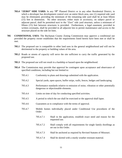- **703.4 "ZERO" SIDE YARD:** In any **"P"** Planned District or in any other Residential District, in which a developer has development control over an entire block area, one (1) required side yard may be eliminated, providing the minimum of the remaining side yard shall be at least fifteen (15) feet in dimension. No other structure, either main or accessory, on subject parcel or adjacent parcel, shall be permitted next to the "Zero" side yard structure, unless a minimum of fifteen (15) feet between structures is provided. Furthermore, a legal easement, provided in written covenants, shall be provided in all adjacent lots to permit maintenance and access to the structure placed on the side lot lines.
- **705 CONDITIONAL USES:** The Buchanan County Zoning Commission may approve a conditional use provided the property owner establishes that the requirements listed herein have been met or shall be met.
	- **705.1** The proposed use is compatible to other land uses in the general neighborhood and will not be detrimental to the property or building values of the area.
	- **705.2** Roads or streets of capacity will serve the site sufficient to carry the traffic generated by the proposed use.
	- **705.3** The proposed use will not result in a hardship or hazard upon the neighborhood.
	- **705.4** The Commission may provide that approval be contingent upon acceptance and observance of specified conditions, including but not limited to:
		- 705.4.1 Conformity to plans and drawings submitted with the application.
		- 705.4.2 Special yards, open spaces, buffer strips, walls, fences, hedges and landscaping.
		- 705.4.3 Performance standards relative to emission of noise, vibration or other potentially dangerous or objectionable elements.
		- 705.4.4 Limits on time of day for conducting specified activities.
		- 705.4.5 A period in which the use shall be exercised or the approval shall lapse.
		- 705.4.6 Guarantees as to compliance with the terms of approval.
		- 705.4.7 Mobile homes individually placed under Conditional Use procedures of the Order:
			- 705.4.7.1 Shall in the application, establish exact need and reason for the requested use.
			- 705.4.7.2 Shall comply with all requirements for single family dwellings as set out in this Order.
			- 705.4.7.3 Shall be anchored as required by Revised Statutes of Missouri.
			- 705.4.7.4 Shall be skirted with a sturdy weather resistant material.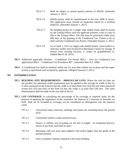- 705.4.7.5 Shall be subject to annual permit renewal of \$50.00. *(Amended January 5, 2011)*
- 705.4.7.6 Mobile homes shall be manufactured in the year 2000 or newer. The application must include an inspection report by a certified inspector. *(Amended January 1, 2017)*
- 705.4.7.7 No building permit for a single wide mobile home shall be issued by the Zoning Officer until the applicant presents a title or copy of title to the Zoning Office. The title must be presented within sixty (60) days of the granting of the Conditional Use. Failure to do so shall void the Conditional Use Permit. *(Amended January 5, 2011)*
- 705.4.7.8 As of April 1, 2012 no single wide mobile homes, travel trailers or semi-box trailers may be placed in Buchanan County for storage. If moved from existing location, it cannot be grandfathered in. (*Added March 26, 2012)*
- **705**.**5** Additional applicable Sections Conditional Use Permit 804.5 Fees for Conditional Use applications 805.6 – Conditional Use Procedures 807. *(Amended March 9, 1988)*
- **705**.**6** A Conditional Use shall be satisfied within one (1) year after utilities are in place and the septic system is operational and occupied by applicant. *(Adopted January 5, 2011)*

### **707 INTERPRETATION**

- **707.1 BUILDING SITE REQUIREMENTS – IRREGULAR LOTS:** Where the side lot lines are not parallel, the minimum width requirement may be applied to the average lot width of the lot; if when measured at the front lot line the width is at least thirty-five (35) feet and when measured twenty-five (25) feet back of the front lot line, the width is as least fifty (50) feet. The same determination shall be made on the rear half of the lot.
- **707.2 LOT COVERAGE:** In calculating the percentage of lot coverage or required yards, for the purpose of applying the regulations of this resolution, the features of a structure as hereafter set forth, shall not be included as coverage, nor be considered an infringement into the required yards:
	- 707.2.1 Unenclosed steps, stairways, landings and stoops not extending above the ground level.
	- 707.2.2 Unenclosed surfaces walks and driveways.
	- 707.2.3 Fences or trellises not exceeding six (6) feet in height. In residential districts, fences in the front yard shall be open.
	- 707.2.4 Retaining walls not more than eighteen (18) inches higher than the grade of the ground retained.
	- 707.2.5 Flue or fireplace chimney attached to the main building.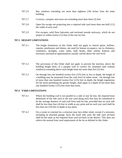- 707.2.6 Bay windows extending not more than eighteen (18) inches from the main building.
- 707.2.7 Cornices, canopies and eaves not extending more than three (3) feet.
- 707.2.8 Open fire escape not projecting into a required side yard more than one-half (1/2) the width of such yard.
- 707.2.9 Fire escapes, solid floor balconies and enclosed outside stairways, which do not project to within twelve (12) feet of the rear lot line.

### **707.3 HEIGHT LIMITATIONS**

- 707.3.1 The height limitations of this Order shall not apply to church spires, belfries, cupolas, penthouses and domes, not used for human occupancy, nor to chimneys, ventilators, skylights, water tanks, bulk heads, other similar features and necessary mechanical appurtenances usually carried above the roof level.
- 707.3.2 The provisions of this Order shall not apply to prevent the erection, above the building height limit, of a parapet wall or cornice for ornament (and without windows) extending above such height limit not more than five (5) feet.
- 707.3.3 On through lots one hundred twenty-five (125) feet or less in depth, the height of a building may be measured from the curb level of either street. On through lots of more than one hundred twenty-five (125) feet in depth, the height regulations for the street permitting the greater height, shall apply to a depth of not more than one hundred twenty (125) feet from that street.

### **707.4 YARD LIMITIATIONS**

- 707.4.1 Where the building wall is not parallel to a side or rear lot line, the required least dimension of the side yard or the rear yard along such line may be considered to be the average distance of said wall from said lot line, provided that no such side shall be less than four (4) feet in width at any point and no such rear yard shall be less than ten (10) feet in depth at any point.
- 707.4.2 On a corner or external lot, a structure may face either street, except if a structure, including an attached garage, faces the street side yard, the side yard set-back shall be the same as the required front yard set-back in the district. This does not relieve the normal front yard requirement of the lot as defined in this Order.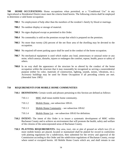**708 HOME OCCUPATIONS:** Home occupations when permitted, as a "Conditional Use" in any Agricultural or Residential District must meet the criteria listed herein. The following criteria shall be employed to determine a valid home occupation:

- **708.1** No employment of help other than the members of the resident's family by blood or marriage.
- **708.2** No outdoor display or storage of material.
- **708.3** No signs displayed except as permitted in this Order.
- **708.4** No commodity is sold on the premises except that which is prepared on the premises.
- **708.5** No more than twenty (20) percent of the net floor area of the dwelling may be devoted to the occupation.
- **708.6** No required off-street parking space shall be used in the conduct of the home occupation.
- **708.7** No mechanical equipment is used which makes any loud, unnecessary or unusual noise or any noise, which annoys, disturbs, injures or endangers the comfort, repose, health, peace or safety of others.
- **708.8** In no way shall the appearance of the structure be so altered by the conduct of the home occupation within the structure that it may reasonably be recognized as serving a nonresidential purpose (either by color, materials of construction, lighting, sounds, noises, vibrations, etc.). Accessory buildings may be used for Home Occupation if all preceding criteria are met. *(Amended June 1985)*

### **710 REQUIREMENTS FOR MOBILE HOME COMMUNITIES**

- **710.1 DEFINITIONS:** Certain words and phrases pertaining to this Section are defined as follows:
	- 710.1.1 MHC shall mean mobile home community.
	- 710.1.2 Mobile Home see subsection 109.61.
	- 710.1.3 Mobile Home Community see subsection 109.62
	- 710.1.4 Mobile Home Lot see subsection 109.63 for definition.
- **710.2 INTENT:** The intent of this Order is to insure a systematic development of MHC within Buchanan County and to achieve an environment that will promote the health, safety and welfare of the citizens of the unincorporated areas of Buchanan County.
- **710.3 PLATTING REQUIREMENTS:** Any area, tract, site or plat of ground on which two (2) or more mobile homes are placed, located or maintained shall be platted for record in conformity with platting regulations for a subdivision, then submitted for the review and approval of the Commission according to this Order and the subdivision regulations of Buchanan County, except where noted or excepted herein. All Mobile Home Courts which are, and shall remain in one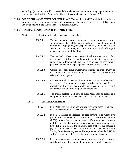ownership, (no lots to be sold or streets dedicated) require the same platting requirements, but shall be only filed with the Assessor's Office, not recorded. *(Amended August, 1985)*

**710.4 COMPREHENSIVE DEVELOPMENT PLAN:** The location of MHC shall be in compliance with the orderly development plans and processes of the unincorporated areas of Buchanan County as shown in the Master Plan for Buchanan County.

#### **710.5 GENERAL REQUIREMENTS FOR MHC SITES**

- **710.5.1** The location of the MHC site shall be such that:
	- 710.5.1.1 The site, including mobile home stands, patios, structures and all site improvements, shall be harmoniously and efficiently organized in relation to topography, the shape of the plot, and the shape, size and position of structures, and common facilities with full regard to use, appearance and livability.
	- 710.5.1.2 The site shall not be exposed to objectionable smoke, noise, orders or other adverse influences, and no portion subject to unpredictable and/or sudden flooding subsidence or erosion shall be used for any purpose, which would expose persons or property to hazards.
	- 710.5.1.3 Conditions of soil, ground water level, drainage and topography at the site shall not create hazards to the property or the health and safety of the occupants.
	- 710.5.1.4 Exposed ground surfaces in all parts of every MHC may be paved, or covered with stone screenings, or other solid material, or protected with a vegetative growth that is capable of preventing soil erosion and of eliminating objectionable dust.
	- 710.5.1.5 The ground surface in all parts of every MHC may be graded and equipped to drain all surface water in a safe efficient manner.

#### **710.5.2 RECREATION AREAS**

- 710.5.2.1 In all MHC there shall be one or more recreation areas which shall be easily accessible to all occupants of said MHC.
- 710.5.2.2 In a MHC the size of a recreational area for two (2) to twenty-five (25) mobile homes shall be a minimum of twenty-five hundred (2,500) square feet or one hundred (100) square feet for each mobile home lot. For a recreational area with more than twentyfive (25) mobile homes the minimum area shall be five thousand (5,000) square feet for each mobile home lot. The Planning and Zoning Commission may waive this requirement when the MHC is within four hundred (400) feet of a public or recreational area.
- 710.5.2.3 Recreation areas shall be so located as to be free of traffic hazards, and should, where the topography permits, be centrally located.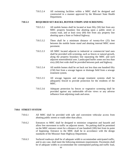710.5.2.4 All swimming facilities within a MHC shall be designed and constructed in a manner approved by the Missouri State Health Department.

### **710.5.3 REQUIRED SET-BACKS, BUFFER STRIPS AND SCREENING**

- 710.5.3.1 All mobile homes shall be located at least fifty (50) feet from any MHC property boundary line abutting upon a public street or county road, and at least sixty (60) feet from any property line abutting upon a State or Federal highway.
- 710.5.3.2 There shall be a minimum distance of twenty-five (25) feet between the mobile home stand and abutting internal MHC street pavement.
- 710.5.3.3 All MHC located adjacent to industrial or commercial land uses shall be provided with screening, such as fences or natural growth, along the property boundary line separating the MHC and such adjacent nonresidential uses. Landscaped buffer zones not less than sixty (60) feet wide shall be provided between park and highway.
- 710.5.3.4 All mobile homes shall be set back not less than one hundred fifty (150) feet from a sewage lagoon or drainage field from a sewage treatment system.
- 710.5.3.5 All sewage lagoons and sewage treatment systems shall be adequately fenced to provide protection for the residents of the MHC.
- 710.5.3.6 Adequate protection by fences or vegetative screening shall be provided against any undesirable off-site views or any adverse influence from adjoining roads and areas.

### **710.6 STREET SYSTEM**

- 710.6.1 All MHC shall be provided with safe and convenient vehicular access from abutting public streets or roads other than alleys.
- 710.6.2 Entrances to MHC shall be designed to minimize congestion and hazards and allow free movement to traffic on adjacent streets. No parking shall be permitted on the MHC entrance street for a distance of one hundred (100) feet from its point of beginning. Entrance to the MHC shall be in accordance with the design standards of the Missouri State Highway Department.
- 710.6.3 Surfaced roadways shall be of adequate width to accommodate anticipated traffic, and in any case, shall meet the following minimum requirements: Pavements shall be of adequate widths to accommodate the contemplated parking and traffic load,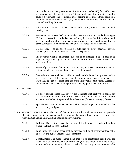in accordance with the type of street. A minimum of twelve (12) foot wide lanes are required for collector streets, ten (10) foot wide lanes for local streets and a seven (7) foot wide lane for parallel guest parking is required. Streets shall be a minimum width of twenty-seven (27) feet of surfaced roadway with a right-ofway width of fifty (50) feet.

- 710.6.4 All streets in a MHC shall be provided with one (1) seven (7) foot surfaced parking lane.
- 710.6.5 Pavements: All streets shall be surfaced to meet the minimum standards for Type "C" streets, as outlined in the Buchanan County Rules for Land Subdivision, and shall be durable and well drained under normal use and weather conditions. Street surfaces shall be maintained free of cracks, holes and other hazards.
- 710.6.6 Grades: Grades of all streets shall be sufficient to insure adequate surface drainage, but shall not be more than twelve (12) percent.
- 710.6.7 Intersections: Within one hundred (100) feet of an intersection, streets shall be at approximately right angles. Intersections of more than two streets at one point shall be avoided.
- 710.6.8 Potentially hazardous locations, such as major street intersections, MHC entrances and steps or stepped ramps shall be illuminated.
- 710.6.9 Convenient access shall be provided to each mobile home lot by means of an access-way reserved for maneuvering the mobile home into position. Accessways shall be kept free from trees and other immovable obstructions. Access to mobile home stands shall not be permitted from any public road or highway.

### **710.7 PARKING**

- 710.7.1 Off-street parking spaces shall be provided at the rate of at least two (2) spaces for each mobile home lot to provide for guest parking, for tenants and for delivery and service vehicles. A space shall be at least nine (9) feet by twenty (20) feet.
- 710.7.2 Space between mobile homes may be used for the parking of motor vehicles if the space is clearly designated.
- **710.8 MOBILE HOME LOTS:** The area of the mobile home lot shall be improved to provide adequate support for the placement and tie-down of the mobile home, thereby securing the superstructure against uplift, sliding, rotation and overturning.
	- 710.8.1 **Pad Size:** Each unit or space shall be provided with a pad or stand not less than twelve (12) feet by sixty (60) feet.
	- 710.8.2 **Patio Size:** Each unit or space shall be provided with an all weather surface patio of at least one hundred eighty (180) square feet.
	- 710.8.3 **Construction:** The mobile home stand shall be so constructed that it will not heave, shift or settle unevenly under the weight of the mobile home due to frost action, inadequate drainage, vibration or other forces acting on the structure. The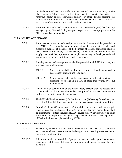mobile home stand shall be provided with anchors and tie-downs, such as, cast-inplace concrete "dead men" eyelets imbedded in concrete foundations or runaways, screw augers, arrowhead anchors, or other devices securing the stability of the mobile home. Anchors and tie-downs shall be placed at least at each corner of the mobile home stand. (Refer to 618.2.4)

710.8.4 **Location:** All stands shall be a minimum of one hundred fifty (150) feet from any sewage lagoon, disposal facility cesspool, septic tank or seepage pit within the MHC or on adjacent property.

### **710.9 WATER AND SEWAGE**

- 710.9.1 An accessible, adequate, safe, and potable supply of water shall be provided in each MHC. Where a public supply of water of satisfactory quantity, quality and pressure is available at the site or at the boundary of the site, connection shall be made thereto and its supply used exclusively. When a satisfactory public water supply is not available, a private water supply system may be developed and used as approved by the Missouri State Health Department.
- 710.9.2 An adequate and safe sewage system shall be provided in all MHC for conveying and disposing of all sewage.
	- 710.9.2.1 Such system shall be designed, constructed and maintained in accordance with State and local laws.
	- 710.9.2.2 Septic tanks shall not be considered an adequate method for disposing of sewage in a MHC of more than twenty-five (25) mobile homes.
- 710.9.3 Every well or suction line of the water supply system shall be located and constructed in such a manner that neither underground nor surface contamination will reach the water supply from any source.
- 710.9.4 The MHC shall maintain one (1) flush toilet and one (1) lavatory for each sex, per each fifty (50) mobile homes or fraction thereof, as emergency sanitary facilities.
- 710.9.5 In a MHC of two (2) to twenty-five (25) mobile homes where individual septic tanks are used for the disposal of sewage, the lot size for each mobile home shall be a minimum of fifteen thousand (15,000) square feet. Where group septic tanks are used for the disposal of sewage, the requirements of the Missouri Department of Health shall be met. (Amended July 1974)

#### **710.10 REFUSE HANDLING**

- 710.10.1 The storage, collection and disposal of refuse in the MHC shall be so conducted as to create no health hazards, rodent harborages, insect breeding areas, accidents, fire hazards or air pollution.
- 710.10.2 All refuse shall be stored in fly-tight, watertight, rodent-proof containers. Containers shall be provided in sufficient number and capacity to properly store all refuse.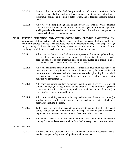- 710.10.3 Refuse collection stands shall be provided for all refuse containers. Such container stands shall be so designed as to prevent containers from being tipped, to minimize spillage and container deterioration, and to facilitate cleaning around them.
- 710.10.4 All refuse containing garbage shall be collected at least weekly. Where suitable collection service is not available from municipal agencies, **the MHC operator shall provide this service**. All refuse shall be collected and transported in covered vehicles or covered containers.
- **710.11 SERVICE BUILDINGS AND OTHER COMMUNITY SERVICE FACILITIES:** The requirements of this Section shall apply to service buildings, recreation buildings and other community service facilities when provided, such as management offices, repair shops, storage areas, sanitary facilities, laundry facilities, indoor recreation areas and commercial uses supplying essential goods or services for the exclusive use of park occupants.
	- 710.11.1 All portions of the structure shall be properly protected from damage by ordinary uses and by decay, corrosion, termites and other destructive elements. Exterior portions shall be of such materials and be so constructed and protected as to prevent entrance or penetration of moisture and weather.
	- 710.11.2 All rooms containing sanitary or laundry facilities shall have sound resistant walls extending to the ceiling between male and female sanitary facilities. Walls and partitions around showers, bathtubs, lavatories and other plumbing fixtures shall be constructed of dense, nonabsorbent, waterproof material or covered with moisture resistant material.
	- 710.11.3 All rooms containing sanitary or laundry facilities shall have at least one (1) window or skylight facing directly to the outdoors. The minimum aggregate gross area of windows for each required room shall be not less than ten (10) percent of the floor area served by them.
	- 710.11.4 All rooms containing sanitary or laundry facilities shall have at least one (1) window which can be easily opened, or a mechanical device which will adequately ventilate the room.
	- 710.11.5 Toilets shall be located in separate compartments equipped with self-closing doors. Shower stalls shall be of the individual type. The rooms shall be screened to prevent direct view of the interior when the exterior doors are open.
	- 710.11.6 Hot and cold water shall be furnished to every lavatory, sink, bathtub, shower and laundry fixture, and cold water shall be furnished to every water closet and urinal.

## **710.12 WALKS**

710.12.1 All MHC shall be provided with safe, convenient, all season pedestrian walks. Sudden changes in alignment and gradient shall be avoided.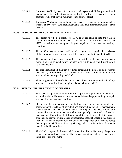- 710.12.2 **Common Walk System:** A common walk system shall be provided and maintained between locations where pedestrian traffic is concentrated. Such common walks shall have a minimum width of four (4) feet.
- 710.12.3 **Individual Walks:** All mobile home stands shall be connected to common walks, to roads or driveways. Such individual walks shall have a minimum width of three (3) feet.

## **710.13 RESPONSIBILITIES OF THE MHC MANAGEMENT**

- 710.13.1 The person to whom a permit for MHC is issued shall operate the park in compliance with this Order and shall provide adequate supervision to maintain the MHC, its facilities and equipment in good repair and in a clean and sanitary condition.
- 710.13.2 The MHC management shall notify MHC occupants of all applicable provisions of this Order and inform them of their duties and responsibilities under this Order.
- 710.13.3 The management shall supervise and be responsible for the placement of each mobile home on its stand, which includes securing its stability and installing all utility connections.
- 710.13.4 The management shall maintain a register containing the names of all occupants identified by lot number or street address. Such register shall be available to any authorized person inspecting the MHC.
- 710.13.5 The management shall notify the Missouri Health Department immediately of any suspected communicable or contagious disease within the MHC.

### **710.14 RESPONSIBILITIES OF MHC OCCUPANTS**

- 710.14.1 The MHC occupant shall comply with all applicable requirements of this Order and shall maintain his mobile home lot, its facilities and equipment in good repair and in a clean and sanitary condition.
- 710.14.2 Skirting may be installed on each mobile home and porches, awnings and other additions may be installed if permitted and approved by the MHC management. When installed, they shall be maintained in good repair. The space immediately underneath a mobile home may be used for storage, only if permitted by the MHC management. If permitted, the following conditions shall be satisfied; the storage area shall be provided with a base of impervious material; stored items shall be located so as not to interfere with the underneath inspection of the mobile home; the storage area shall be enclosed by skirting and no combustible or flammable materials shall be permitted.
- 710.14.3 The MHC occupant shall store and dispose of all his rubbish and garbage in a clean, sanitary and safe manner. The garbage container shall be rodent-proof, insect-proof and watertight.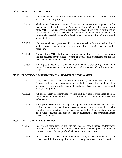### **710.15 NONRESIDENTIAL USES**

- 710.15.1 Any nonresidential use of the property shall be subordinate to the residential use and character of the property.
- 710.15.2 The land area devoted to commercial use shall not exceed five (5) percent of the total area or as determined by the Planning and Zoning Commission. Any portion of the MHC, which is devoted to commercial use, shall be primarily for the use of or service to the MHC occupants and shall be incidental and related to the residential use and character of the development. Such use is limited to stores and service facilities.
- 710.15.3 Nonresidential use is prohibited if such use adversely affects the desirability of subject property or neighboring properties for residential use or family occupancy.
- 710.15.4 No part of any MHC shall be used for nonresidential purposes, except such uses that are required for the direct servicing and well being of residents and for the management and maintenance of the MHC.
- 710.15.5 Nothing contained in this Order shall be deemed as prohibiting the sale of a mobile home located on a mobile home stand and connected to the permanent utilities.

### **710.16 ELECTRICAL DISTRIBUTION SYSTEM-TELEPHONE SYSTEM**

- 710.16.1 Every MHC shall contain an electrical wiring system consisting of wiring, fixtures, equipment and appurtenances that shall be installed and maintained in accordance with applicable codes and regulations governing such systems and shall be underground.
- 710.16.2 All lateral electrical distribution systems and telephone service lines to each mobile home or service building shall be located underground in an approved and safe manner.
- 710.16.3 All exposed non-current carrying metal parts of mobile homes and all other equipment shall be grounded by means of an approved grounding conductor with branch circuit conductors or other approved method to ground metallic wiring. The neutral conductor shall not be used as an equipment ground for mobile homes or other equipment.

### **710.17 FUEL SUPPLY AND STORAGE**

- 710.17.1 Each mobile home lot provided with fuel gas shall have a manual shutoff valve installed upstream of the fuel outlet. The outlet shall be equipped with a cap to prevent accidental discharge of fuel when the outlet is not in use.
- 710.17.2 Pressurized fuel systems shall be provided with safety devices to relieve excessive pressures and shall be arranged so that the discharge terminates at a safe location.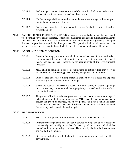- 710.17.3 Fuel storage containers installed on a mobile home lot shall be securely but not permanently fastened to prevent accidental overturning.
- 710.17.4 No fuel storage shall be located inside or beneath any storage cabinet, carport, mobile home or any other structure.
- 710.17.5 Fuel storage tanks located in areas subject to traffic shall be protected against physical damage.
- **710.18 BARBECUE PITS, FIREPLACES, STOVES:** Cooking shelters, barbecue pits, fireplaces and wood burning stoves shall be located, constructed, maintained and used to minimize fire hazards and smoke nuisance, both on the property on which used and on neighboring property. No open fire shall be permitted except in facilities provided. No open fire shall be left unattended. No fuel shall be used and no material burned which emits dense smoke or objectionable odors.

# **710.19 INSECT AND RODENT CONTROL**

- 710.19.1 Grounds, buildings, and structures shall be maintained free of insect and rodent harborage and infestation. Extermination methods and other measures to control insects and rodents shall conform to the requirements of the Environmental Inspector.
- 710.19.2 MHC shall be maintained free of accumulations of debris, which may provide rodent harborage or breeding places for flies, mosquitoes and other pests.
- 710.19.3 Lumber, pipe and other building materials shall be stored at least one (1) foot above the ground to prevent rodent harborage.
- 710.19.4 Where the potential for insect and rodent infestation exists, all exterior openings in or beneath any structure shall be appropriately screened with wire mesh or other suitable materials.
- 710.19.5 The growth of brush, weeds, and grass shall be controlled to prevent harborage of ticks, chiggers and other noxious insects. MHC shall be so maintained as to prevent the growth of ragweed, poison ivy, poison oak, poison sumac and other noxious weeds considered detrimental to health. Open areas shall be maintained free of heavy undergrowth of any description.

## **710.20 FIRE PROTECTION**

- 710.20.1 MHC shall be kept free of litter, rubbish and other flammable materials.
- 710.20.2 Portable fire extinguishers shall be kept in service buildings and at other locations conveniently and readily accessible for use by all occupants and shall be maintained in good operating condition. Their capacity shall not be less than two and one-half (2½) pounds.
- 710.20.3 Fire hydrants shall be installed where the park water supply system is capable of serving them.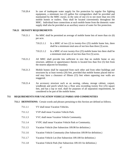710.20.4 In case of inadequate water supply for fire protection by regular fire fighting equipment, a minimum two (2) gallon fire extinguishers shall be provided and maintained by the MHC owner, in the ratio of one (1) to not more than ten (10) mobile homes or trailers. They shall be located conveniently throughout the MHC. Individual hose connections at each mobile home from the domestic water supply shall also be provided as an auxiliary source of water for fire protection.

## **710.21 DENSITY REQUIREMENTS**

- 710.21.1 No MHC shall be permitted an average of mobile home lots of more than six (6) per acre.
	- $710.21.1.1$  In a MHC of two (2) to twenty-five (25) mobile home lots, there shall be a minimum total area of not less than three (3) acres.
	- 710.21.1.2 In a MHC of over twenty-five (25) mobile home lots there shall be a minimum total area of not less than five (5) acres.
- 710.21.2 All MHC shall provide lots sufficient in size that no mobile home or any structure, addition or appurtenance thereto is located less than five (5) feet from the nearest adjacent lot boundary.
- 710.21.3 Mobile homes shall be separated from each other and from other buildings and structures by at least twenty (20) feet, provided that mobile homes placed end-toend may have a clearance of fifteen (15) feet where opposing rear walls are staggered.
- 710.21.4 An accessory structure such as an awning, cabana, storage cabinet, carport, windbreak and porch which has a floor area exceeding twenty five (25) square feet, and has a top or roof, shall for purposes of all separation requirements, be considered to be part of the mobile home.

## **711 REQUIREMENTS FOR VACATION VEHICLE PARKS AND COMMUNITIES**

- **711.1 DEFINITIONS:** Certain words and phrases pertaining to this Section are defined as follows.
	- 711.1.1 VV shall mean Vacation Vehicles.
	- 711.1.2 VVP shall mean Vacation Vehicle Park.
	- 711.1.3 VVC shall mean Vacation Vehicle Community.
	- 711.1.4 VVPC shall mean Vacation Vehicle Park or Community.
	- 711.1.5 Vacation Vehicle (See Subsection 109.98 for definition.)
	- 711.1.6 Vacation Vehicle Community (See Subsection 109.99 for definition.)
	- 711.1.7 Vacation Vehicle Lot (See Subsection 109.100 for definition.)
	- 711.1.8 Vacation Vehicle Park (See Subsection 109.101 for definition.)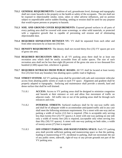- **711.2 GENERAL REQUIREMENTS:** Condition of soil, groundwater level, drainage and topography shall not create hazards to the property or the health or safety of the occupants. The site shall not be exposed to objectionable smoke, noise, odors or other adverse influences, and no portion subject to unpredictable and/or sudden flooding, settling or erosion shall be used for any purpose that would expose persons or property to hazards.
- **711.3 SOIL AND GROUND COVER REQUIREMENTS:** Exposed ground surfaces in all parts of every parking area shall be covered with stone screenings, or other solid materials, or protected with a vegetative growth that is capable of preventing soil erosion and of eliminating objectionable dust.
- **711.4 REQUIRED SEPARATION BETWEEN VV:** VV shall be separated from each other and from other structures by at least ten (10) feet.
- **711.5 DENSITY REQUIREMENT:** The density shall not exceed thirty-five (35) VV spaces per acre of gross site area.
- **711.6 REQUIRED RECREATION AREA:** In all VV parking areas there shall be at least one recreation area which shall be easily accessible from all trailer spaces. The size of such recreation area shall not be less than eight (8) percent of the gross site area or two thousand five hundred (2,500) square feet, whichever is greater.
- **711.7 REQUIRED SETBACKS FROM PUBLIC ROADS:** All VV shall be located at least twenty five (25) feet from any boundary line abutting upon a public road or highway.
- **711.8 STREET SYSTEM:** All VV parking areas shall be provided with safe and convenient vehicular access from abutting public streets or roads to each VV space. Alignment and gradient shall be properly adapted to topography. Surfacing and maintenance shall provide a smooth, hard and dense surface that shall be well drained.
	- 711.8.1 **ACCESS:** Access to VV parking areas shall be designed to minimize congestion and hazards at their entrance or exit and allow free movement of traffic on adjacent roads. All traffic into or out of the parking areas shall be through such entrances and exits.
	- 711.8.2 **INTERNAL STREETS:** Surfaced roadways shall be for one-way traffic only and shall be of adequate width to accommodate anticipated traffic and in any case shall meet the following minimum requirements. For a street with one-way and no parking a width of twelve (12) feet is required. (This is acceptable only serving less than twenty-five (25) VV spaces.) A street with one-way parking on one side only a width of twenty feet (20) is required, (acceptable only when serving less than fifty (50) VV spaces). A street with one-way parking on both sides, a width of twenty-seven (27) feet is required.
	- 711.8.3 **OFF-STREET PARKING AND MANEUVERING SPACE:** Each VV parking area shall provide sufficient parking and maneuvering space so that the parking, loading or maneuvering of VV, incidental to parking, shall not necessitate the use of any public street, sidewalk, right-of-way or any private grounds not part of the VV parking area.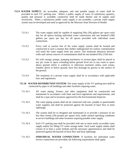- **711.9 WATER SUPPLY:** An accessible, adequate, safe and potable supply of water shall be provided in each VV parking area. Where a public supply of water of satisfactory quantity, quality and pressure is available, connection shall be made thereto and its supply used exclusively. When a satisfactory public water supply is not available, a private water supply system may be developed and used as approved by the Missouri State Division of Health.
	- 711.9.1 The water supply shall be capable of supplying fifty (50) gallons per space each day for all spaces lacking individual water connections and one hundred (100) gallons per space per day for all spaces provided with individual water connections.
	- 711.9.2 Every well or suction line of the water supply system shall be located and constructed in such a manner that neither underground nor surface contamination will reach the water supply from any source. The minimum distances between wells and various sources of contamination shall be one hundred fifty (150) feet.
	- 711.9.3 No well casings, pumps, pumping machinery or suction pipes shall be placed in any pit, room or space extending below ground level nor in any room or space above ground which is walled-in or otherwise enclosed, unless such rooms, whether above or below ground, have free drainage by gravity to the surface of the ground.
	- 711.9.4 The treatment of a private water supply shall be in accordance with applicable laws and regulations.
	- **711.10 WATER DISTRIBUTION SYSTEM:** The water supply of the VV parking area shall be connected by pipes to all buildings and other facilities requiring water.
		- 711.10.1 All water piping, fixtures and other equipment shall be constructed and maintained in accordance with State and local regulations and requirements, and shall be a type and in locations approved by the Environmental Inspector.
		- 711.10.2 The water piping system shall not be connected with non- potable or questionable water supplies and shall be protected against the hazards of back flow or back siphonage.
		- 711.10.3 The system shall be so designed and maintained as to provide a pressure of not less than twenty (20) pounds per square inch, under normal operating conditions at service buildings and other locations requiring potable water supply.
		- 711.10.4 Each VV parking area shall be provided with one or more easily accessible water supply outlets for filling VV water storage tanks. Such water supply outlets shall consist of at least a water hydrant and the necessary appurtenances and shall be protected against the hazards of back flow and back siphonage.
		- 711.10.5 **INDIVIDUAL WATER CONNECTION:** If facilities for individual water service connections are provided, the following requirements shall apply: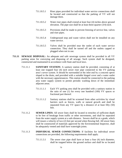- 711.10.5.1 Riser pipes provided for individual water service connections shall be located and constructed so that the parking of VV will not damage them.
- 711.10.5.2 Water riser pipes shall extend at least four (4) inches above ground elevation. The pipe size shall be at least three-quarter (3/4) inch.
- 711.10.5.3 Provisions shall be made to prevent freezing of service line, valves and riser pipes.
- 711.10.5.4 Underground stop and waste valves shall not be installed on any water service.
- 711.10.5.5 Valves shall be provided near the outlet of each water service connection. They shall be turned off and the outlets capped or plugged when not in use.
- **711.11 SEWAGE DISPOSAL:** An adequate and safe sewerage system shall be provided in all VV parking areas for conveying and disposing of all sewage. Such system shall be designed, constructed and maintained in accordance with State and local laws.
	- 711.11.1 **SANITARY STATION:** A sanitary station shall be provided, consisting of at least one trapped four (4) inch sewer riser pipe connected to the VV parking area's sewer system. It should be surrounded at the inlet end by a concrete apron sloped to the drain, and provided with a suitable hinged cover and a water outlet with the necessary appurtenances. This station should be connected to the parking area water supply system to permit periodic washing down of the immediate adjacent areas.
		- 711.11.1.1 Each VV parking area shall be provided with a sanitary station in the ratio of one (1) for every one hundred (100) VV spaces or fractional part thereof.
		- 711.11.1.2 Sanitary stations shall be screened from other activities by visual barriers such as fences, walls or natural growth and shall be separated from any VV space by a distance of at least fifty (50) feet.
	- 711.11.2 **SEWER LINES:** All sewer lines shall be located in trenches of sufficient depth to be free of breakage from traffic or other movements, and shall be separated from the water supply system at a safe distance. Sewers shall be at a grade, which will insure a velocity of two (2) feet per second when flowing full. All sewer lines shall be constructed of materials approved by the Environmental Inspector, shall be adequately vented and shall have watertight joints.
	- 711.11.3 **INDIVIDUAL SEWER CONNECTIONS:** If facilities for individual sewer connections are provided, the following requirements shall apply.
		- 711.11.3.1 The sewer riser pipe shall have at least a four (4) inch diameter, shall be trapped below the ground surface and shall be so located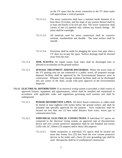on the VV space that the sewer connection to the VV drain outlet will approximate a vertical position.

- 711.11.3.2 The sewer connection shall have a nominal inside diameter of at least three (3) inches, and the slope of any portion thereof shall be at least one-fourth (1/4) inch per foot. The sewer connection shall consist of one (1) pipeline only without any branch fittings. All joints shall be watertight.
- 711.11.3.3 All materials used for sewer connections shall be corrosive resistant, nonabsorbent and durable. The inner surface shall be smooth.
- 711.11.3.4 Provisions shall be made for plugging the sewer riser pipe when a VV does not occupy the space. Surface drainage shall be diverted away from the riser.
- 711.11.4 **SINK WASTES:** No liquid wastes from sinks shall be discharged onto or allowed to accumulate on the ground surface.
- 711.11.5 **SEWAGE TREATMENT AND/OR DISCHARGE:** Where the sewer lines of the VV parking area are not connected to a public sewer, all proposed sewage disposal facilities shall be approved by the Environmental Inspector prior to construction. Effluents from sewage treatment facilities shall not be discharged into any waters of the State, except with prior approval of the Environmental Inspector.
- **711.12 ELECTRICAL DISTRIBUTION:** If an electrical wiring system is provided, it shall consist of approved fixtures, equipment and appurtenances, which shall be installed and maintained in accordance with applicable codes and regulations governing such systems and shall be underground.
	- 711.12.1 **POWER DISTRIBUTION LINES:** All direct burial conductors or cables shall be buried at least eighteen (18) inches below the ground surface and shall be insulated and specially approved for the purpose. Such conductors shall be located not less than one (1) foot radial distance from water, sewer, gas or communication lines.
	- 711.12.2 **INDIVIDUAL ELECTRICAL CONNECTIONS:** If individual VV spaces are connected to the electrical wiring system, an approved type of disconnection device and over current protective equipment shall be one hundred and twenty (120) volts AC, fifteen (15) amperes and/or thirty (30) amperes.
		- 711.12.2.1 Outlet receptacles at individual VV spaces shall be located not more that twenty five (25) feet from the over current protective devices in the trailer and a three (3) wire grounding type shall be used. Receptacles shall be of weatherproof construction.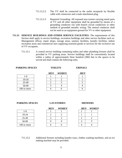- 711.12.2.2 The VV shall be connected to the outlet receptacle by flexible cable with connectors and a male attachment plug.
- 711.12.2.3 Required Grounding: All exposed non-current carrying metal parts of VV and all other equipment shall be grounded by means of a grounding conductor run with branch circuit conductors or other method of grounded metallic wiring. The neutral conductor shall not be used as an equipment ground for VV or other equipment.
- **711.13 SERVICE BUILDINGS AND OTHER SERVICE FACILITIES:** The requirements of this Section shall apply to service buildings, recreation buildings and other service facilities such as: Management offices, repair shops, storage areas, sanitary facilities, laundry facilities, indoor recreation areas and commercial uses supplying essential goods or services for the exclusive use of VV occupants.
	- 711.13.1 A central service building containing toilets and other plumbing fixtures shall be provided in VV parking areas. Service buildings shall be conveniently located within a radius of approximately three hundred (300) feet to the spaces to be served and shall contain the following units.

| <b>PARKING SPACES</b> | <b>TOILETS</b> | <b>URINALS</b> |
|-----------------------|----------------|----------------|
|                       |                |                |

| 1-9         |
|-------------|
| 10-24       |
| 25-49       |
|             |
| 50-99       |
| 100 or more |

|             | <b>MEN</b> | <b>WOMEN</b> | <b>MEN</b> |
|-------------|------------|--------------|------------|
| $1-9$       |            |              |            |
| $10-24$     |            |              |            |
| 25-49       |            |              |            |
| 50-99       |            |              |            |
| 100 or more |            |              |            |

| MET<br>v |  |
|----------|--|
|          |  |
|          |  |
|          |  |
|          |  |
|          |  |
|          |  |

 **PARKING SPACES LAVATORIES SHOWERS**

| 1-9         |
|-------------|
| 10-24       |
| 25-49       |
| 50-99       |
| 100 or more |

|             | <b>MEN</b> | WOMEN | <i><b>MEN</b></i> | W |
|-------------|------------|-------|-------------------|---|
| 1-9         |            |       |                   |   |
| $10-24$     |            |       |                   |   |
| 25-49       |            |       |                   |   |
| 50-99       |            |       |                   |   |
| 100 or more |            |       |                   |   |

|             | <b>MEN</b> | <b>WOMEN</b> | <b>MEN</b> | <b>WOMEN</b> |
|-------------|------------|--------------|------------|--------------|
| $-\zeta$    |            |              |            |              |
| $10 - 24$   |            |              |            |              |
| 25-49       |            |              |            |              |
| 50-99       |            |              |            |              |
| 100 or more |            |              |            |              |

711.13.2 Additional fixtures including laundry trays, clothes washing machines, and an ice making machine may be provided.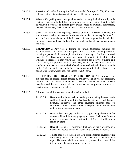- 711.13.3 A service sink with a flushing rim shall be provided for disposal of liquid wastes, unless a sanitary station is conveniently accessible for this purpose.
- 711.13.4 Where a VV parking area is designed for and exclusively limited to use by selfcontained trailers, only the following minimum emergency sanitary facilities shall be required. For each one hundred (100) trailer spaces, or fractional part thereof, there shall be one (1) flush toilet and one (1) lavatory for each sex.
- 711.13.5 When a VV parking area requiring a service building is operated in connection with a resort or other business establishment, the number of sanitary facilities for such business establishment shall be in excess of those required by the schedule for trailer spaces and shall be based on the total number of persons using such facilities.
- 711.13.6 **EXEMPTIONS:** Any person desiring to furnish temporary facilities for accommodating a VV rally, or other group of VV assembled for the purpose of traveling together, shall make application for such activity to the Environmental Inspector. The Environmental Inspector, upon determination that public health will not be endangered, may waive the requirements for a service building and other sanitary and physical facilities. However, location of the site, the facilities, which are provided, and the method of conduction, such rally shall be acceptable to the Environmental Inspector before a temporary permit shall be issued for a period of operation, which shall not exceed ten (10) days.
- 711.13.7 **STRUCTURAL REQUIREMENTS FOR BUILDINGS:** All portions of the structure shall be protected from damage by ordinary use and by decay, corrosion, termites and other destructive elements. Exterior portions shall be of such materials and be so constructed and protected as to prevent entrance or penetration of moisture and weather.
- 711.13.8 All rooms containing sanitary or laundry facilities shall:
	- 711.13.8.1 Have sound resistant walls extending to the ceiling between male and female sanitary facilities. Walls and partitions around showers, bathtubs, lavatories and other plumbing fixtures shall be constructed of dense, nonabsorbent waterproof material or covered with moisture resistant material.
	- 711.13.8.2 Have at least one (1) window or skylight facing directly to the outdoors. The minimum aggregate gross area of windows for each required room shall be not less than ten (10) percent of floor area served by them.
	- 711.13.8.3 Have at least one (1) window, which can be easily opened, or a mechanical device, which will adequately ventilate the room.
	- 711.13.8.4 Toilets shall be located in separate compartments equipped with self-closing doors. The shower stalls shall be of the individual type. The rooms shall be screened to prevent direct view of the interior when the exterior doors are open.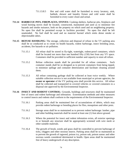- 711.13.8.5 Hot and cold water shall be furnished to every lavatory, sink, bathtub, shower and laundry fixture and cold water shall be furnished to every water closet and urinal.
- **711.14 BARBECUE PITS, FIREPLACES, STOVES:** Cooking shelters, barbecue pits, fireplaces and wood burning stoves shall be located, constructed, maintained and used as to minimize fire hazards and smoke nuisance, both on the property on which used and on neighboring property. No open fire shall be permitted except in facilities provided. No open fire shall be left unattended. No fuel shall be used and no material burned which emits dense smoke or objectionable odors.
- **711.15 REFUSE HANDLING:** The storage, collection and disposal of refuse in the VV parking area shall be so conducted as to create no health hazards, rodent harborage, insect breeding areas, accidents, fire hazards or air pollution.
	- 711.15.1 All refuse shall be stored in fly-tight, watertight, rodent-proof containers, which shall be located not more than one hundred fifty (150) feet from any VV space. Containers shall be provided in sufficient number and capacity to store all refuse.
	- 711.15.2 Refuse collection stands shall be provided for all refuse containers. Such container stands shall be so designed as to prevent containers from being tipped, to minimize spillage and container deterioration and facilitate cleaning around them.
	- 711.15.3 All refuse containing garbage shall be collected at least twice weekly. Where suitable collection service is not available from municipal or private agencies, the **owner or operator** of the VV parking area shall provide this service. All refuse shall be collected and transported in covered vehicles or covered containers to a disposal site approved by the Environmental Inspector.
- **711.16 INSECT AND RODENT CONTROL:** Grounds, buildings and structures shall be maintained free of insect and rodent harborage and infestation. Extermination methods and other measures to control insects and rodents shall conform to the requirements of the Environmental Inspector.
	- 711.16.1 Parking areas shall be maintained free of accumulations of debris, which may provide rodent harborage or breeding places for flies, mosquitoes and other pests.
	- 711.16.2 Storage areas shall be so maintained as to prevent rodent harborage: lumber, pipe and other building materials shall be stored at least one (1) foot above ground.
	- 711.16.3 Where the potential for insect and rodent infestation exists, all exterior openings in or beneath any structure shall be appropriately screened with wire mesh or other suitable materials.
	- 711.16.4 The growth of brush, weeds and grass shall be controlled to prevent harborage of ticks, chiggers and other noxious insects. Parking areas shall be so maintained as to prevent the growth of ragweed, poison ivy, poison oak, poison sumac and other noxious weeds considered detrimental to health. Open areas shall be maintained free of heavy undergrowth of any description.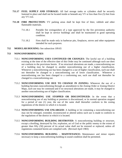- **711.17 FUEL SUPPLY AND STORAGE:** All fuel storage tanks or cylinders shall be securely fastened in place and shall not be located inside or beneath any VV or less than five (5) feet from any VV exit.
- **711.18 FIRE PROTECTION:** VV parking areas shall be kept free of litter, rubbish and other flammable materials.
	- 711.18.1 Portable fire extinguishers of a type approved by the fire prevention authority shall be kept in service buildings and shall be maintained in good operating condition.
	- 711.18.2 Fires shall be made only in barbecue pits, fireplaces, stoves and other equipment intended for such purposes.
- **712 MODULAR HOUSING:** See subsection 109.65

### **713 NONCONFORMING USES**

- 713.1 **NONCONFORMING USES CONTINUED OR CHANGES:** The lawful use of a building existing at the time of the effective date of this Order may be continued although such use does not conform to the provisions herein. If no structural alterations are made, a nonconforming use of a building may be changed to another nonconforming use of a higher classification. Whenever a nonconforming use has been changed to a use of higher classification, such use shall not thereafter be changed to a nonconforming use of lower classification. Whenever a nonconforming use has been changed to a conforming use, such use shall not thereafter be changed to a nonconforming use.
- 713.2 **NONCONFORMING USE DUE TO CHANGE IN ZONING:** Whenever the use of a building becomes nonconforming through an amendment to the Zoning Order or Zoning District Maps, such use may be continued and if no structural alterations are made, it may be changed to another nonconforming use of higher classification.
- 713.3 **NONCONFORMING USE STOPPED OR DISCONTINUED:** In the event that a nonconforming use of any building or premises is discontinued, or its normal operation stopped for a period of one (1) year, the use of the same shall thereafter conform to the zoning regulations of the district in which it is located.
- 713.4 **NONCONFORMING USE ENLARGED:** A building or lot containing a nonconforming use may not be enlarged, extended, reconstructed or altered unless such use is made to conform to the regulations of the district in which it is located.
- 713.5 **NONCONFORMING BUILDING DESTROYED:** A nonconforming building or structure, except a dwelling, destroyed by fire, explosion, act of God or the public enemy to the extent of greater than fifty (50) percent of its actual value shall not be restored or replaced, unless all regulations contained herein are complied with. (Revised April 1983)
- 713.6 **NONCONFORMING BUILDING – MAINTENANCE:** Maintenance and minor repairs necessary to keep a nonconforming building in sound condition shall be permitted.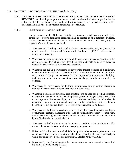# **714 DANGEROUS BUILDINGS & NUISANCES** *(Adopted 2011)*

- **714.1 DANGEROUS BUILDINGS DECLARED TO BE A PUBLIC NUISANCE ABATEMENT REQUIRED:** All buildings or portions thereof which are determined after inspection by the Enforcement Officer to be dangerous as defined in this Order are hereby declared to be public nuisances and shall be abated by repair, rehabilitation or removed.
- 714.1.1 Identification of Dangerous Buildings

For the purpose of this Order, any building or structure, which has any or all of the conditions or defects hereinafter described, shall be deemed to be a dangerous building, provided that such conditions or defects exist to the extent that the life, health, property or safety of the public are endangered.

- 1. Whenever such buildings are located in Zoning Districts A-OR, R-1, R-2, R-3 and G or whenever located in an A-1 District within five hundred (500) feet of a residence in separate ownership.
- 2. Whenever fire, earthquake, wind and flood thereof, have damaged any portion, or by any other cause, to such an extent that the structural strength or stability thereof is materially less than it was before such catastrophe.
- 3. Whenever the building or structure, or any portion thereof, because of dilapidation, deterioration or decay, faulty construction, the removal, movement or instability of any portion of the ground necessary for the purpose of supporting such building, including the foundation, or any other cause, is likely, partially or completely to collapse.
- 4. Whenever, for any reason, the building or structure, or any portion thereof, is manifestly unsafe for the purpose for which it is being used.
- 5. Whenever a building or structure, used or intended to be used for dwelling purposes, because of inadequate maintenance, dilapidation, decay, damaged faulty construction or arrangement, inadequate light, air or sanitation facilities, or otherwise, is determined by the Environmental Inspector to be unsanitary, unfit for human habitation or in such a condition that it is likely to cause sickness or disease.
- 6. Whenever any building or structure, because of obsolescence, dilapidated condition, deterioration, damage, inadequate exits, lack of sufficient fire-resistive construction, faulty electric wiring, gas connections, heating apparatus or other cause is determined by the Fire Marshall to be a fire hazard.
- 7. Whenever any building or structure is in such a condition as to constitute a public nuisance known to the common law or in equity jurisprudence.
- 8. Nuisance, Mixed: A nuisance which is both a public nuisance and a private nuisance at the same time; it interferes with a right of the general public and also interferes with a particular person's use and enjoyment. *(Adopted January 5, 2011)*
- 9. Nuisance, Private: An actionable interference with a person's use and enjoyment of his land. *(Adopted January 5, 2011)*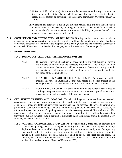- 10. Nuisance, Public (Common): An unreasonable interference with a right common to the general public. It is behavior which unreasonably interferes with the health, safety, peace, comfort or convenience of the general community. *(Adopted January 5, 2011)*
- 11. Whenever any portion of a building or structure remains on a site after the demolition or destruction or whenever any building or structure is abandoned for a period in excess of six (6) months so as to constitute such building or portion thereof as an unattractive nuisance or hazard to the public.
- **715 COMPLETION AND RESTORATION OF BUILDINGS:** Nothing herein contained shall require a change in the plans, construction or designated use of a building, the foundation for which has been completely constructed at the time of the adoption of this Zoning Order and the remaining construction of which shall have been completed within one (1) year of the adoption of this Zoning Order.

# **717 HOUSE NUMBERING**

# **717.1 ZONING OFFICER TO ESTABLISH HOUSE NUMBERS**

- 717.1.1 The Zoning Officer shall establish all house numbers and shall furnish all owners and builders of houses with the necessary information. The Officer will then issue a certificate of the number and keep a record of the same according to roads and streets, and all numbering shall be done in strict conformity with the directions of the Zoning Officer.
- 717.1.2 **DUTY OF CONTRACTOR ERECTING HOUSE:** The owner or builder erecting any house in Buchanan County may report the location thereof to the Zoning Officer and procure a certificate of the number to be placed thereon.
- 717.1.3 **LOCATION OF NUMBER:** It shall be the duty of the owner of each house or building to keep and maintain the number on such premises or postal receptacle at a place where it shall be clearly visible from such street.
- **718 OFF STREET PARKING AND LOADING:** For all buildings or structures hereafter erected, constructed, reconstructed, moved or altered, off-street parking in the form of private garages, carports, or open areas made available exclusively for that purpose shall be provided. The average parking area provided for each car may be nine (9) feet by twenty (20) feet plus the maneuvering space necessary to utilize each space. No portion of a parking area, except the necessary drives, shall extend into a public road, street or alley. Ingress and egress from parking areas to a road or street shall not be greater than thirty five (35) feet in width. Any signs used to illuminate said parking areas should be directed away from any adjacent residential district.
	- **718.1 PARKING FOR DWELLINGS AND CABINS:** For all dwellings there shall be provided two (2) off-street parking spaces for every single family unit, four (4) parking spaces for every duplex, and one and one-half (1 ½) parking spaces for every multiple-family unit. Such parking areas are to be located on the same lot as the main building or buildings, or in a community garage in the same block. For each cabin there shall be one (1) off-street parking space. In addition, each lot shall provide adequate surfaced turn-around space so that exiting vehicles do not back into roads or streets. *(Amended November 1985)*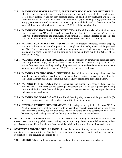- **718.2 PARKING FOR HOTELS, MOTELS, FRATERNITY HOUSES OR DORMITORIES**: For all hotels, motels, fraternity houses, sorority houses or dormitories there shall be provided one (1) off-street parking space for each sleeping room. In addition any restaurant which is an accessory use to any of the above uses shall provide one (1) off-street parking space for each four (4) patron seats in said restaurant. Such parking area shall be located on the same lot as the main building, or on a lot within three hundred (300) feet of the main building.
- **718.3 PARKING FOR HOSPITALS AND INSTITUTIONS:** For all hospitals and institutions there shall be provided one (1) off-street parking space for each three (3) beds, plus one (1) space for each two (2) staff members and employees. Such parking areas shall be located on the same lot as the main building or on a lot within three hundred (300) feet of the main building.
- **718.4 PARKING FOR PLACES OF ASSEMBLY:** For all theaters, churches, funeral chapels, stadiums, auditoriums or any other public or private places of assembly there shall be provided one (1) off-street parking space for each four (4) patron seats. Such parking areas shall be located on the same lot as the main building or on a lot within three hundred (300) feet of the principal building.
- **718.5 PARKING FOR BUSINESS BUILDINGS:** For all business or commercial buildings there shall be provided one (1) off-street parking space for each one-hundred (100) square feet of service floor area in the building. Such parking area shall be located on the same lot as the main building or on a lot within three hundred (300) feet on land zoned for business.
- **718.6 PARKING FOR INDUSTRIAL BUILDINGS:** For all industrial buildings there shall be provided adequate parking space for each employee. Such parking area shall be located on the same lot as the main building or within five hundred (500) feet on land zoned for industry.
- **718.7 PARKING FOR SCHOOLS:** For all elementary and junior high schools there shall be provided two (2) off-street parking spaces per classroom, plus an off-street passenger loading zone. For all high schools there shall be provided ten (10) off-street parking spaces per classroom and an off-street loading zone.
- **718.8 PARKING FOR BOWLING ALLEYS:** For all bowling alleys there shall be provided six (6) off-street parking spaces for each bowling lane within the main building.
- **718.9 GENERAL PARKING REQUIREMENTS:** All parking areas required in Sections 718.2 to 718.8 inclusive above, shall be surfaced with an asphalt or concrete pavement and a solid fence, wall or screen planting, not less than three (3) feet in height, shall be constructed as a screen between any such parking area and an abutting lot in district R-1 to R-3 inclusive.
- **719 PROTECTION OF SEWERS AND UTILITY LINES:** No building or addition thereto shall be erected over or across any public sewer or utility line, nor upon any platted or recorded easement, unless permission is granted in writing by the County and the public utility whose lines are involved, if any.
- **720 SANITARY LANDFILL REGULATIONS:** It shall be unlawful for any person to use any land, premises or property within the County for the operation of a sanitary landfill without first making application for and securing a permit to do so.
	- **720.1 DEFINITIONS:** For the purposes of this regulation the following terms are defined.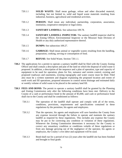- 720.1.1 **SOLID WASTE:** Shall mean garbage, refuse and other discarded material, including, but not limited to, solid and liquid waste materials resulting from industrial, business, agricultural and residential activities.
- 720.1.2 **PERSON:** Shall mean any individual, partnership, corporation, association, institution, cooperative enterprise or legal entity.
- 720.1.3 **SANITARY LANDFILL:** See subsection 109.78.
- 720.1.4 **SANITARY LANDFILL INSPECTOR:** The sanitary landfill inspector shall be the Zoning Officer, Environmental Inspector or the Missouri State Division of Health or any duly authorized representative thereof.
- 720.1.5 **DUMPS:** See subsection 109.27.
- 720.1.6 **GARBAGE:** Shall mean animal or vegetable wastes resulting from the handling, preparation, cooking, serving or consumption of food.
- 720.1.7 **REFUSE:** See Solid Waste, Section 720.1.1.
- **720.2** The applications for a permit to operate a sanitary landfill shall be filed with the County Zoning Officer and shall contain a description and plat of the land on which the disposal of solid waste is proposed. In addition, a description of the sequence and a plan of operation, type and capacity of equipment to be used for operation, plans for fire, nuisance and vermin control, existing and proposed roadways and easements, existing topography and water course must be filed. Filed also must be a written statement and diagram explaining the proposed location and extent of earth work and fill operations, proposed measures to control storm drainage and estimated daily or weekly volume of solid waste to be placed in the sanitary land fill.
- **720.3 FEES AND BOND:** The permit to operate a sanitary landfill shall be granted by the Planning and Zoning Commission only after the following conditions have been met. Delivery to the County of a cash or performance bond in the amount of \$5,000, said cash or performance bond shall run to the County and shall be conditioned as follows:
	- 720.3.1 The operation of the landfill shall operate and comply with all of the terms, conditions, provisions, requirements and specifications contained in these regulations by the permittee, his agents and employees.
	- 720.3.2 That the operator, his agents and employees will save harmless the County from any expense incurred through the failure to operate and maintain the sanitary landfill as required by these regulations. This includes any expense the County may be put to for correcting any condition or violation of these regulations. Whenever the Zoning Commission determines it necessary for the County to correct any unsanitary condition or conditions volatile of these regulations or from any damage growing out of the negligence of the operator, his agents or employees, the County's own labor and equipment will be used.
	- 720.3.3 Bond shall run for a period of two (2) years after the landfill site has been finished and brought to final grade.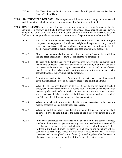- 720.3.4 For Fees of an application for the sanitary landfill permit see the Buchanan County Table of Uses.
- **720.4 UNAUTHORIZED DISPOSAL:** The dumping of solid waste in open dumps or in unlicensed landfill operations which do not meet the conditions of regulations is prohibited.
- **720.5 REGULATIONS:** Any person, firm or corporation to whom a permit is granted for the operation of a sanitary landfill shall observe these regulations. These regulations shall govern the operation of all sanitary landfills in the County and any failure to observe these regulations shall be sufficient grounds for suspension or revocation of the permit as hereinafter provided.
	- 720.5.1 All garbage and other refuse accepted by the permit holder shall be thoroughly compacted by equipment of sufficient weight and capacity to carry out all necessary operations. Sufficient auxiliary equipment shall be available to the site or otherwise available to permit operation in case of equipment breakdown.
	- 720.5.2 Mixed refuse material shall be spread out on the working face of the landfill so that the depth does not exceed two (2) feet prior to its compaction.
	- 720.5.3 The area of the landfill shall be continually policed to prevent fire and smoke and the blowing of papers. Open areas shall be neat and orderly at all times and shall be covered at the end of each day's operation with at least six (6) inches of cover material, as well as when wind conditions warrant it through the day, with sufficient material to prevent unsightly conditions.
	- 720.5.4 A minimum depth of twelve (12) inches of compacted cover and final spread cover material shall be kept on all inactive faces of the landfill at all times.
	- 720.5.5 When the fill has been brought up to two (2) feet below the desired finished grade, it shall be covered with at least twenty-four (24) inches of compacted cover material graded and seeded in such a manner as to prevent erosion. The final graded and seeded finished surface of the fill shall be maintained for a period of two (2) years after filling operations have been completed.
	- 720.5.6 Where the trench system of a sanitary landfill is used successive parallel trenches must be separated by an adequate inter-trench area.
	- 720.5.7 Where the landfill operation is conducted in a ravine, the sides of the ravine shall be terraced prior to land filling if the slope of the sides of the ravine is 1:1 or greater.
	- 720.5.8 In the event that refuse material exists on the site at the time the permit is issued, whether in the form of an open dump or any other form, such refuse material shall be collected, compacted and covered with the cover material at least two (2) feet in depth at the finished grade. In areas in which land filling operations will be conducted, at least six (6) inches of cover material must be provided. This cover operation shall be completed within fifteen (15) working days after the issuance of a permit, unless some other period of time is specified in the permit.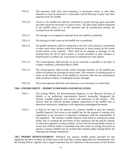- 720.5.9 The operation shall erect such temporary or permanent fences or take other measures as may be necessary to reasonably control blowing of paper and other materials from the landfill.
- 720.5.10 Access to the landfill site shall be controlled by proper fencing, gates and locks and other measures necessary to control access. No solid waste shall be deposited in the landfill unless it is in full operation and all unauthorized persons are excluded from the landfill area.
- 720.5.11 The salvage or scavenging of materials from the landfill is prohibited.
- 720.5.12 The burning of solid waste on the landfill site is prohibited.
- 720.5.13 No landfill operations shall be conducted so that fill will be placed in streambeds or other areas where streams would be obstructed or when erosion by the stream would remove cover material. There shall be no seepage or drainage of any material from the fill of such a nature as would constitute an odor nuisance or health hazard, or pollute any watercourse or underground water aquifer.
- 720.5.14 The owner/operator shall provide an access road that is passable in all types of weather conditions. *(Amended March 1994)*
- 720.5.15 The owner/operator shall provide surface drainage facilities on the landfill site, which will permit the drainage of storm water. The existence of standing pools of water on the finished face of the landfill six (6) hours after the last precipitation shall constitute evidence of inadequate surface drainage.
- 720.5.16 The owner/operator shall take such measures as are necessary to control dust.

## **720.6 ENFORCEMENT – PERMIT SUSPENSION AND REVOCATION**

- 720.6.1 The Zoning Officer, the Environmental Inspector, or the Missouri Division of Health, or an authorized representative thereof, hereinafter designated the Sanitary Landfill Inspector may enforce the provisions of this Section. This Section shall be enforced through frequent inspections of the landfill sites to determine satisfactory compliance with regulations promulgated hereunder.
- 720.6.2 It shall be the duty of the operator of a sanitary landfill to give the Sanitary Landfill Inspector free access to the landfill site for the purpose of making such inspections as are necessary to determine compliance with the requirements of this regulation. The Sanitary Landfill Inspector shall notify in writing any permit holder who is violating the provisions of this regulation and the specific manner in which the regulation is being violated. In the event the permit holder refuses to correct the violation within a reasonable time after notice in writing, the permit to operate a sanitary landfill may be revoked after suitable public hearing before the Planning and Zoning Commission.

**720.7 PERMIT REINSTATEMENT:** Whenever any sanitary landfill permit provided for this regulation has been revoked, the holder may at the time file a written application for reinstatement with the Zoning Officer, together with a signed statement that all violations of the provisions of this Section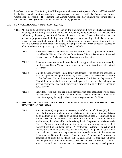have been corrected. The Sanitary Landfill Inspector shall make a re-inspection of the landfill site and if he/she finds that all violations have in fact been corrected, he shall so notify the Planning and Zoning Commission in writing. The Planning and Zoning Commission may reinstate the permit after a reinstatement fee of \$5000.00 is paid to Buchanan County. *(Amended 10-12-2011)*

# **721 SEWAGE DISPOSAL** *(Amended April 12, 1996)*

- **721.1** All buildings, structures and uses of land in the unincorporated area of Buchanan County, including farm buildings or farm dwellings, shall hereafter, be equipped with an adequate safe and sanitary disposal system for all human, domestic, commercial and industrial wastes. No person or property owner including farm buildings and farm dwellings shall dispose of any sewage in any way that may result in the contamination of surface waters, groundwater or present a nuisance or imminent health hazard. For purposes of this Order, disposal of sewage or other liquid wastes may be had by one of the following methods:
	- 721.1.1 A sanitary sewer system and a mechanical treatment plant approved and a permit issued by the Missouri Clean Water Commission, Missouri Department of Natural Resources or the Buchanan County Environmental Inspector.
	- 721.1.2 A sanitary sewer system and an oxidation basin approved and a permit issued by the Missouri Clean Water Commission or Missouri Department of Natural Resources.
	- 721.1.3 On-site disposal systems (single family residences). The design and installation shall be approved and a permit issued by the Missouri State Department of Health or the Buchanan County Environmental Inspector. The Missouri Department of Natural Resources shall be the approval agency for on site disposal systems serving commercial and multi-family units producing a daily flow in excess of 3,000 gallons.
	- 721.1.4 Individual septic tank and sand filter provided that each individual system shall first be approved and a permit issued by the Missouri State Division of Health or other State agency having jurisdiction over sewage treatment facilities.

# **721.2 THE ABOVE SEWAGE TREATMENT SYSTEMS SHALL BE PERMITTED OR REQUIRED AS FOLLOWS:**

721.2.1 Any developer(s) or persons undertaking a subdivision of fifteen (15) lots or more, be it a new subdivision, a re-subdivision of lots in an existing subdivision or an addition of new lots to an existing subdivision that is contiguous or is known, designated or advertised as a common unit or by a common name or similar name, that when added to the existing lots in the present subdivision totals fifteen (15) lots or more shall provide for the treatment of sewage by mechanical treatment plant or oxidation basin. A centralized wastewater collection and treatment system shall be installed by the developer(s) or person(s) at his own cost and must meet the requirements and specifications of the Missouri Department of Natural Resources. Any developer(s) or person(s) proposing a subdivision of seven (7) to fifteen (15) lots each being less than five (5) acres must be permitted to do so by the Missouri Clean Water Commission, 10CSR20- 1.030 Disposal of Wastewater in Residential Housing Developments.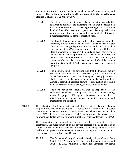Applications for this purpose can be obtained in the Office of Planning and Zoning. **This order also applies to all development in the miscellaneous Planned Districts**. *(Amended July 2005.)*

- 721.2.1.1 The site of a mechanical treatment plant or oxidation basin shall be such that no portion of the equipment or basin shall be closer than three hundred (300) feet to an existing dwelling or closer than one hundred fifty (150) feet to a property line. Buildings otherwise permitted may not be constructed within one hundred (100) feet of a mechanical treatment plant or oxidation basin.
- 721.2.1.2 The Board of Adjustment may, after public hearing, permit by variance, oxidation basins having five (5) acres or less of water area or other sewage disposal facilities to be located closer than one hundred fifty (150) feet to a property line. In addition, the Board of Adjustment may permit an oxidation basin of any size to be located adjacent to a property line, if the owners of all property within three hundred (300) feet of the basin relinquish, by easement of record, the right to use any and all of their land which is within two hundred (200) feet of said basin for residential purposes.
- 721.2.1.3 The maximum number of dwelling units that the treatment facility can safely accommodate, as determined by the Missouri Clean Water Commission or any other State agency having jurisdiction, shall be entered on the building permits for the facility and the Zoning Officer shall not issue permits for construction of dwelling units, to be served by that facility, in excess of that number.
- 721.2.1.4 The developer of the subdivision shall be responsible for the continued maintenance and operation of the treatment facility, unless the proper public agency, homeowner's association or private operating company agrees in writing to assume said maintenance and operation.
- 721.2.2 The installation of individual septic tanks shall be permitted only where there is no possibility, now or in the future, as allowed by the Missouri Clean Water Commission, for connection to a sanitary sewer, and where there are less than fifteen (15) units in the development. Such installations shall be subject to the following standards under the following guidelines. *(Amended October 13, 1990)*

These regulations are enacted for the purpose of regulating the design, construction and modification of on-site sewage disposal systems as the term is defined in these regulations. They are in order to protect and promote the public health and to prevent the entrance of infectious, contagious, communicable or dangerous diseases into Buchanan County.

721.2.2.1 The Buchanan County Commission hereby adopts Missouri State Statute 701.025 through 701.059 laws for septic systems and 19CSR 20-3.080 Minimum Construction Standards for septic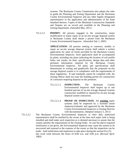systems. The Buchanan County Commission also adopts the rules to guide the Planning and Zoning Department and the Buchanan County Environmental Inspector and any other legally designated representative in the application and administration of the State Standard thereon. Copies of the Minimum Construction Standards and Statutes are on record and available in the Planning and Zoning Department. *(Amended May, 2011)*

721.2.2.2 **PERMIT:** All persons engaged in the construction, major modification or major repair of an on-site sewage disposal system in Buchanan County shall obtain a permit from the Buchanan County Environmental Inspector. *(Amended July 1, 2005)*

> **APPLICATION:** All persons seeking to construct, modify or repair an on-site sewage disposal system shall submit a written application for same on forms provided by the Buchanan County Environmental Inspector. Such application shall be accompanied by plans, including site plans indicating the location of soil profile holes, test results, lot lines, specifications, design data and other pertinent information required by the Buchanan County Environmental Inspector. All plans and specifications shall demonstrate in writing and graphically that the proposed on-site sewage disposal system is in compliance with the requirements of these regulations. If said standards cannot be complied with, the Zoning Officer shall not issue the building permit for construction of a structure requiring disposal on the premises.

- 721.2.2.1.2 **INSPECTION:** The Buchanan County Environmental Inspector shall inspect up to one hundred percent of on-site sewage disposal systems constructed, modified or repaired by on-site sewage disposal system contractors.
- 721.2.2.1.4 **PROOF OF INSPECTION:** All **existing** septic systems shall be inspected by a licensed onsite inspector/evaluator and approved by the Buchanan County Environmental Inspector or Zoning Director with documentation. *(Adopted January 5, 2011)*
- 721.2.2.2 The Buchanan County Environmental Inspector or their duly authorized representative shall be notified by the owner at the time each septic tank is being installed and shall make such inspection as is deemed necessary to assure that the system satisfies the requirements of the Zoning Order. In case the above-required notification is not given, the Environmental Inspector may cause the system to be uncovered and exposed at the expense of the owner so that the inspection can be made. Said notification and inspection to take place during the normal five (5) day work week between the hours of 8:00 a.m. and 4:00 p.m. *(Revised April, 1983)*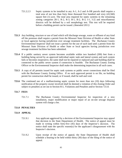- 721.2.2.3 Septic systems to be installed in any A-1, A-2 and A-OR parcels shall require a total area of not less than forty three thousand five hundred and sixty (43,560) square feet (1) acre. The total area required for septic systems in the remaining zoning categories [R-1, R-2, R-3, B-1, B-2, B-3, I-1, I-2] and miscellaneous districts will be defined by a soil morphology test. This test will be required before a building permit can be issued. *(Amended 2011)*
- **721.3** Any building, structure or use of land which will discharge sewage, waste or effluent of any kind off the premises shall require a permit from the Missouri State Division of Health or other State or local agencies having jurisdiction over sewage treatment facilities. The Buchanan County Environmental Inspector shall not issue a permit for the use of such land until a permit from the Missouri State Division of Health or other State or local agencies having jurisdiction over sewage treatment facilities has been submitted.
- **721.4** If a public sanitary sewer system becomes available within two hundred (200) feet from a building being served by an approved individual septic tank and lateral system and such system fails or becomes inoperative, the same shall not be repaired or replaced and said building shall be connected to the public sewer system if connection is feasible. The Buchanan County Zoning Officer or the Environmental Inspector shall make the determining inspection in all such cases.
- **721.5** A copy of all permits issued for septic tank systems or public sewer connections shall be filed with the Buchanan County Zoning Office. If no such approved permit is on file, no building permit for construction shall be issued, or if issued, shall be null and void.
- **721.6** The continued use of a malfunctioning septic system for more than ten (10) days following notification of the property owner involved shall be deemed a violation of this Zoning Order and subject to penalties as set out in Section 811, Violations and Penalties and/or Section 721.8.

# **721.7 FEES**

721.7.1 The Buchanan County Environmental Inspector for inspection of a new installation, major modification or major repair of an on-site sewage disposal system will charge a fee.

# **721.8 PENALTIES**

## **721.9 APPEAL**

- 721.9.1 Any applicant aggrieved by a decision of the Environmental Inspector may appeal that decision to the State Department of Health. The notice of appeal must be made in writing within forty-five (45) days of the Inspector's decision. The notice shall state the specific reason(s) for the applicant's disagreement with the Inspector's decision.
- 721.9.2 Upon receipt of the notice of appeal, the State Department of Health shall schedule a hearing to be held within thirty (30) days of the filing of the notice of appeal.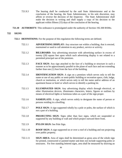- 721.9.3 The hearing shall be conducted by the said State Administrator and at the conclusion of the hearing, the State Administrator, in his sole discretion, may affirm or reverse the decision of the Inspector. The State Administrator shall make the decision in writing and shall supply a copy of his decision to the applicant within fifteen (15) days of the conclusion of the hearing.
- **721.10 AUTHORITY:** This ordinance is promulgated under the authority of Section 192.300 RSMo.

## **722 SIGNS**

- **722.1 DEFINITIONS:** For the purpose of this regulation the following terms are defined.
	- 722.1.1 **ADVERTISING DISPLAY:** Any structure not within a building, that is erected, maintained or used to call attention to any product, service or activity.
	- 722.1.2 **BILLBOARD:** Any advertising structure with advertising surface in excess of twenty (20) square feet upon which such advertising display is not related to a permitted principal use of the premises.
	- 722.1.3 **FACE SIGN:** Any sign attached to the face of a building or structure in such a manner as to be approximately parallel to the plane of such face and not extending farther than one (1) foot from the face of the building.
	- 722.1.4 **IDENTIFICATION SIGN:** A sign on a premises which serves only to tell the name or use of any public or semi-public building or recreation space, club, lodge, church or institution, or which serves only to tell the name and/or address of an apartment house or hotel or which serves to identify a parking lot.
	- 722.1.5 **ILLUMINATED SIGN:** Any advertising display which through electrical, or other illumination devices, illuminates characters, letters, figures or outlines by means of electrical lights or luminous tubes as a part of the sign proper.
	- 722.1.6 **NAMEPLATE:** A sign, which serves solely to designate the name of person or persons residing in a dwelling.
	- 722.1.7 **POLE SIGN:** A sign supported wholly by a pole or poles, the surface of which is not a part of a building.
	- 722.1.8 **PROJECTING SIGN:** Signs other than face signs, which are suspended or supported by any building or wall and which project outward there from.
	- 722.1.9 **PYLON SIGN:** See Pole Sign.
	- 722.1.10 **ROOF SIGN:** A sign supported on or over a roof of a building and not projecting over public property.
	- 722.1.11 **SIGN AREA:** Area of signs shall be determined as gross area of the whole sign for printed, constructed or painted matter and does not include supporting poles or structures. For free standing lettered signs, area shall be measured by drawing an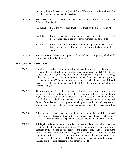imaginary line, a distance of one (1) inch from all letters and words, enclosing the complete sign and area calculated as above.

- 722.1.12 **SIGN HEIGHT:** The vertical distance measured from the highest of the following three levels:
	- 722.1.12.1 From the street curb level to the level of the highest point of the sign.
	- 722.1.12.2 From the established or mean street grade, in case the curb has not been constructed, to the level of the highest point of the sign.
	- 722.1.12.3 From the average finished ground level adjoining the sign if it sets back from the street line, to the level of the highest point of the sign.
- 722.1.13 **TEMPORARY SIGNS:** Any sign to be displayed for a short period, which shall not be greater than six (6) months.

# **722.2 GENERAL PROVISIONS**

- 722.2.1 No billboard or other advertising display, not specifically related to the use of the property where it is located, may be closer than six hundred sixty (660) feet to the nearest edge of a right-of-way on an interstate highway or a primary highway, unless such ground is zoned commercial or industrial. In this case, no sign may be closer than one (1) foot to the nearest edge of the right-of- way. No billboard may be erected closer than five hundred (500) feet from any existing billboard. *(Amended July 1974)*
- 722.2.2 There are no specific requirements on the design and/or construction of a sign permitted by these regulations except that the permission to erect or maintain a sign is not considered to be an approval of the method of construction either specifically or implied. The Buchanan County Commission or Planning and Zoning Commission or other governmental agencies within the County do not assume any liability for the sign or signs constructed under the provisions of this Order.
- 722.2.3 All signs must be kept neatly presented and the copy on signs shall be neat and orderly, properly braced and supported and the area beneath signs shall be kept free of weeds and debris by the person or persons to whom a sign permit is issued.
- 722.2.4 All legally existing signs at the effective date of these regulations shall be considered legally nonconforming signs. Any nonconforming signs, which are damaged by fire, storms or other cause, to the extent of fifty (50) percent or more of its value, (on approval of the County), shall be removed. Within ninety (90) days of the effective date of this resolution, all nonconforming signs shall be registered by either the owner of the land on which it is located or by the owner of the sign and a fee paid according to the schedule in 722.4.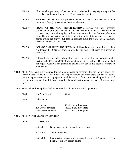- 722.2.5 Illuminated signs using colors that may conflict with safety signs may not be erected closer than one hundred (100) feet to an intersection.
- 722.2.6 **HEIGHT OF SIGNS:** All projecting signs in business districts shall be a minimum of ten (10) feet above the street elevation.
- 722.2.7 **SIGNS AT OR NEAR INTERSECTIONS, ETC.:** All signs, whether permanent or portable, shall not be located nearer than five (5) feet from the property line, nor shall they be, in the case of corner lots, in the triangular area formed by the intersection street lines and a straight line joining said street lines at points which are thirty (30) feet in distance from the point of intersection, measured along said street lines.
- 722.2.8 **SCENIC AND HISTORIC SITES:** No billboards may be located nearer than one thousand (1,000) feet from an area that has been established as a scenic or historic area.
- 722.2.9 Billboard signs or other advertising subject to regulation and controls under Section 226.500 to 226.600 RSMo.by Missouri State Highway Department shall not require County Fees, permits or bonds as set out in this section. *(Amended June 1985)*
- **722.3 PERMITS:** Permits are required for every sign erected or constructed in the County, except for "Name Plates", "For Sale", "For Rent" and temporary signs and those signs defined in Section 722.2.9. Applications for such sign permits shall be made on forms provided along with proof of agreement of owner of land, (if not owned by the applicant) to erect the sign. *(Amended June 1985)*
- **722.4 FEES:** The following fees shall be required for all applications for sign permits.

| 722.4.1 | On Premise Sign                                                 | \$25.00                                                                             |
|---------|-----------------------------------------------------------------|-------------------------------------------------------------------------------------|
| 722.4.2 | Other Signs                                                     |                                                                                     |
|         | 0-99 square feet<br>100-299 square feet<br>Over 300 square feet | \$30.00 every three years<br>\$45.00 every three years<br>\$60.00 every three years |

### **722.5 PERMITTED SIGNS-BY DISTRICT**

| 722.5.1 | <b>A-1 DISTRICT</b> |  |
|---------|---------------------|--|
|         |                     |  |

- 722.5.1.1 Name plates not to exceed four (4) square feet.
- 722.5.1.2 Temporary signs.
- 722.5.1.3 Identification signs, not to exceed twenty (20) square feet in height, or ten (10) feet in height.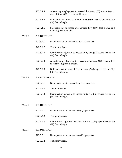- 722.5.1.4 Advertising displays not to exceed thirty-two (32) square feet or exceed fifteen (15) feet in total height.
- 722.5.1.5 Billboards not to exceed five hundred (500) feet in area and fifty (50) feet in height.
- 722.5.1.6 Pole signs not to exceed one hundred fifty (150) feet in area and fifty (50) feet in height.

### 722.5.2 **A-2 DISTRICT**

- 722.5.2.1 Name plates not to exceed four (4) square feet.
- 722.5.2.2 Temporary signs.
- 722.5.2.3 Identification signs not to exceed thirty-two (32) square feet or ten (10) feet in height.
- 722.5.2.4 Advertising displays, not to exceed one hundred (100) square feet or twenty (20) feet in height.
- 722.5.2.5 Billboards not to exceed five hundred (500) square feet or fifty (50) feet in height.

### 722.5.3 **A-OR DISTRICT**

- 722.5.3.1 Name plates not to exceed four (4) square feet.
- 722.5.3.2 Temporary signs.
- 722.5.3.3 Identification signs not to exceed thirty-two (32) square feet or ten (10) feet in height.

#### 722.5.4 **R-1 DISTRICT**

- 722.5.4.1 Name plates not to exceed two (2) square feet.
- 722.5.4.2 Temporary signs.
- 722.5.4.3 Identification signs not to exceed thirty-two (32) square feet, or ten (10) feet in height.

### 722.5.5 **R-2 DISTRICT**

- 722.5.5.1 Name plates not to exceed two (2) square feet.
- 722.5.5.2 Temporary signs.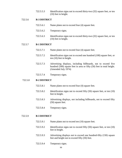722.5.5.3 Identification signs not to exceed thirty-two (32) square feet, or ten (10) feet in height.

## 722.5.6 **R-3 DISTRICT**

- 722.5.6.1 Name plates not to exceed four (4) square feet.
- 722.5.6.2 Temporary signs.
- 722.5.6.3 Identification signs not to exceed thirty-two (32) square feet, or ten (10) feet in height.

### 722.5.7 **B-1 DISTRICT**

- 722.5.7.1 Name plates not to exceed four (4) square feet.
- 722.5.7.2 Identification signs not to exceed one hundred (100) square feet, or ten (10) feet in height.
- 722.5.7.3 Advertising displays, including billboards, not to exceed five hundred (500) square feet in area or fifty (50) feet in total height. (Amended July 1974)
- 722.5.7.4 Temporary signs.

#### 722.5.8 **B-2 DISTRICT**

- 722.5.8.1 Name plates not to exceed four (4) square feet.
- 722.5.8.2 Identification signs not to exceed fifty (50) square feet, or ten (10) feet in height.
- 722.5.8.3 Advertising displays, not including billboards, not to exceed fifty (50) square feet.
- 722.5.8.4 Temporary signs.

#### 722.5.9 **B-3 DISTRICT**

- 722.5.9.1 Name plates not to exceed ten (10) square feet.
- 722.5.9.2 Identification signs not to exceed fifty (50) square feet, or ten (10) feet in height.
- 722.5.9.3 Advertising displays not to exceed one hundred-fifty (150) square feet and height not to exceed fifty (50) feet.
- 722.5.9.4 Temporary signs.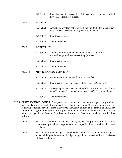722.5.9.5 Pole signs not to exceed fifty (50) feet in height or one hundred fifty (150) square feet in area.

### 722.5.10 **I-1 DISTRICT**

- 722.5.10.1 Advertising displays not to exceed two hundred fifty (250) square feet in area or exceed fifty (50) feet in total height.
- 722.5.10.2 Identification signs.
- 722.5.10.3 Temporary signs.

### 722.5.11 **I-2 DISTRICT**

- 722.5.11.1 There is no limitation on area of advertising displays but the total height shall not exceed fifty (50) feet.
- 722.5.11.2 Identification signs.
- 722.5.11.3 Temporary signs.

### 722.5.12 **MISCELLANEOUS DISTRICTS**

- 722.5.12.1 Name plates not to exceed four (4) square feet.
- 722.5.12.2 Identifications signs not to exceed thirty-two (32) square feet.
- 722.5.12.3 Advertising displays, not including billboards, not to exceed thirtytwo (32) square feet in area or twenty-five (25) feet in total height.
- 722.5.12.4 Temporary signs.
- **722.6 PERFORMANCE BONDS:** The permit to construct and maintain a sign or signs either individually or in groups, shall be granted by the Planning and Zoning Commission only after the following conditions have been met: Delivery to the County of bond in the amount of \$1,000 for an individual sign or at the option of the applicant, blanket bond in the amount of \$5000 for any number of signs in the County. Said bond shall run to the County and shall be considered as follows:
	- 722.6.1 That the permittee, his agents and employees, will comply with all of the terms, conditions, provisions, requirements and specifications contained in these regulations.
	- 722.6.2 That the permittee, his agents and employees, will faithfully maintain the sign or signs and the premises around the sign or signs in accordance with the provisions of these regulations.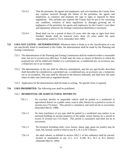- 722.6.3 That the permittee, his agents and employees, will save harmless the County from any expense incurred through the failure of the permittee, his agents and employees, to construct and maintain the sign or signs as required by these regulations. This includes any expense the County may be put to for correcting any condition, violation of these regulations or damages growing out of negligence of the permittee, his agents and employees, by the County's own labor and equipment whenever the Zoning Commission determines it necessary.
- *722.6.4* Bond shall run for a period of three (3) years after the sign or signs have been finished. Bonds shall be renewed every three (3) years under the same requirements stated in 722.6. *(Amended June 1985)*
- **723 USES NOT LISTED – DETERMINATION:** Whenever there is doubt as to the classification of a use not specifically listed or mentioned in this Order, the determination shall be made by the Planning and Zoning Commission.
	- 723.1 The determination of the Planning and Zoning Commission shall be rendered within a reasonable time, but not to exceed sixty (60) days. It shall state the class or classes of districts in which the proposed use will be added and whether it is a permitted use, a conditional use, an accessory use, a temporary use or an exception.
	- 723.2 The determination of the use shall be effective immediately, and the use specifically described shall thereafter be considered as a permitted use, a conditional use, an accessory use, a temporary use or an exception. The uses shall be allowed in the districts indicated, and shall have the same status as other uses listed and as regulated therein.
	- 723.3 Application for the determination shall be made in writing. No specific form is required.
- **724 USES PROHIBITED:** The following uses shall be prohibited.

# 724.1 **RESIDENTIAL OR AGRICULTURAL DISTRICTS:**

- 724.1.1 No wrecked, derelict or inoperable vehicle shall be parked in a residential or agricultural district on a public street, road or alley therein for a period in excess of seventy-two (72) hours. This period is cumulative and need not be in succession. *(Amended March, 1988)*
- 724.1.2 No farm machinery of any type shall be parked in a residential area (unless in an enclosed building on private property) or the public streets therein for a period in excess of seventy-two (72) hours. This period is cumulative and need not be in succession.
- 724.1.3 No livestock including cattle, cows, horses, sheep, pigs, goats nor poultry may be kept, fed, housed, stored or bred in any R-1, R-2 or R-3 District.
- 724.1.4 No adult cabaret, as defined in section 109.2.1 of this ordinance shall be erected, located or maintained in any A-1, A-2, A-OR, R-1, R-2 or R-3 District. *(Amended March, 1994)*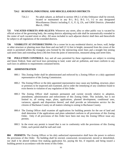# **724.2 BUSINESS, INDUSTRIAL AND MISCELLANEOUS DISTRICTS**

724.2.1 No adult cabaret, as defined in section 109.2.1 of this Ordinance shall be erected, located or maintained in any B-1, B-2, B-3, I-1, I-2 or any designated Miscellaneous District including F, G, P, Q, ZA, and GRM Districts. *(Amended March, 1994)*

**725 VACATED STREETS AND ALLEYS:** Whenever any street, alley or other public way is vacated by official action of the governing body, the zoning districts adjoining each side shall be automatically extended to the center of such vacated street or alley. All areas included in such adjacent district shall then and thenceforth be subject to all regulations of the extended districts.

**726 VISIBILITY AT INTERSECTIONS:** On a corner lot in any residential district, no fence, wall, hedge or other structure or planting more than three and one half (3 ½) feet in height, measured from the crown of the street is permitted within the triangular area formed by the intersecting street lines and a straight line joining said street lines and extending thirty (30) feet from the point of intersection, measured along said street lines.

**730 POLLUTION CONTROLS:** Any and all uses permitted by these regulations are subject to existing and future Federal, State and local laws pertaining to land, water and air pollution, and must conform to any such laws in addition to requirements contained herein.

# **800 ADMINISTRATION**

- 800.1 This Zoning Order shall be administrated and enforced by a Zoning Officer or a duly appointed representative of the Zoning Commission.
- 800.2 The Zoning Officer or the duly appointed representative may cause any building, structure, place or premises to be inspected and examined, and to order the remedying of any condition found to exist therein in violation of any regulation of this Order.
- 800.3 The Zoning Officer shall maintain permanent and current records relative to adoption, amendment, administration and enforcement of this Zoning Order. This includes, but is not limited to, all zoning maps, plans, applications, planned development, conditional uses, variances, appeals and disposition thereof, and shall provide an information service for the citizens of Buchanan County on all matters relating to zoning in Buchanan County.
- 800.4 The Zoning Officer shall examine all applications for building permits for the use of land and shall determine if the applications and plans submitted conform to all provisions of this Zoning Order. Only if all provisions of this Order have been met may the Zoning Officer issue any permits.
- 800.5 In the event any permit is issued that is not in conformity with the provisions of this Zoning Order, such permit shall be null and void.

**804 PERMITS:** The Zoning Officer or his duly authorized representative shall have the power to enforce the provisions of this Order. No building shall be erected, constructed, reconstructed, moved or demolished, nor shall it be altered without first making application for, paying the fee, if required, and being issued a building permit in accordance with the terms of this Order.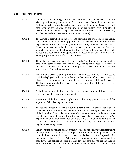### **804.1 BUILDING PERMITS**

- 804.1.1 Applications for building permits shall be filed with the Buchanan County Planning and Zoning Officer, upon forms prescribed. The application must set forth among other things the taxing map-block-parcel number assigned, a general description of any building or structure to be constructed, erected or altered therein, including the size, shape and location of the structure on the premises, and the intended use. (See Fee Schedule in Section 805.)
- 804.1.2 The Zoning Officer shall be empowered to act within the provisions of the Order, upon all applications for building permits, and the same shall be approved, if all requirements of this Order are met, not later than thirty (30) days after the date of filing. In the event an application does not meet the requirements of this Order, or action has not been completed within the thirty (30) days, the Zoning Officer shall so notify the applicant and the applicant may appeal the decision to the Board of Zoning Adjustment as provided in Section 900.
- 804.1.3 There shall be a separate permit for each building or structure to be constructed, erected or altered, except accessory buildings, and appurtenances which may be included in the permit for the main building upon payment of additional fee, and when construction is simultaneous.
- 804.1.4 Each building permit shall be posted upon the premises for which it is issued. It shall be displayed so that it is visible from the street, or if no street is nearby, displayed on the structure or premises in or on a location visible for inspection. The building permit shall be displayed for a period of thirty (30) days from the time of completion.
- 804.1.5 A building permit shall expire after one (1) year, provided however that extensions may be made where warranted.
- 804.1.6 A record of all building permit applications and building permits issued shall be kept in the Office issuing such permits.
- 804.1.7 The issuing Officer may revoke a building permit issued in accordance with the provisions of this and other pertinent regulations if such issuing Officer finds any of the following: Prior to the completion of the structure for which the permit was issued, there is a departure from the approved plans, specifications and/or requirements or conditions required under the terms of the building permit, or the permit was issued under false representation or that any other provisions of this regulation are being violated.
- 804.1.8 Failure, refusal or neglect of any property owner or his authorized representative to apply for and secure a valid and proper permit(s), including the payment of the prescribed fee, as provided, shall be reason for the issuance of a "stop order" by the Zoning Officer. For this "stop order", owner or authorized representative shall have been notified in writing at least ten (10) days prior to the issuance of said "stop order" that he/she is in violation of regulations of the County. Said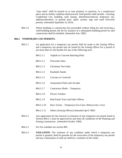"stop order" shall be posted on or near property in question, in a conspicuous place and no further condition shall proceed. Said permits shall include: rezoning, Conditional Use, building, solar energy, demolition/removal, temporary use, addition/alteration, in ground pool, septic system, sign and retail fireworks permits. *(Amended September 8, 2014)* 

804.1.9 Where building or construction has proceeded without filing for and receiving a valid building permit, the fee for issuance of a subsequent building permit for said construction shall be doubled. *(Amended June 1985)*

### **804.2 TEMPORARY USE PERMITS:**

- 804.2.1 An application for a temporary use permit shall be made to the Zoning Officer and a temporary use permit may be issued by the Zoning Officer for a period of not more than six (6) months for any of the following uses:
	- 804.2.1.1 Asphalt or Concrete Batching Plant
	- 804.2.1.2 Fireworks Sales
	- 804.2.1.3 Christmas Tree Sales
	- 804.2.1.4 Roadside Stands
	- 804.2.1.5 Circuses or Carnivals
	- 804.2.1.6 Amusement Parks and Arcades
	- 804.2.1.7 Contractors Sheds Temporary
	- 804.2.1.8 Flower Vendors
	- 804.2.1.9 Real Estate Tract and Sales Offices
	- 804.2.1.10 Race Tracks Temporary (Go-Carts, Motorcycles, Cars)
	- 804.2.1.11 Others (Zoning Officer) *(Amended April 1983)*
- 804.2.2 Any application for the renewal or extension of any temporary use permit listed in Section 804.2.1 must be approved by and meet all conditions of the Planning and Zoning Commission. *(Amended October 1984)*
- 804.2.3 For Fee schedule see section 805.
- 804.2.4 **VIOLATION:** The violation of any condition under which a temporary use permit is granted, shall be grounds for the revocation of the temporary use permit and any continuation of said use shall be a violation of this Order.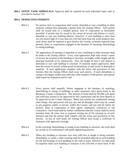**804.3 SEPTIC TANK APPROVALS:** Approval shall be required for each individual septic tank as provided in Section 721.

### **804.4 DEMOLITION PERMITS:**

- 804.4.1 No person, firm or corporation shall wreck, demolish or raze a building or other structure without first obtaining a permit from the Zoning Officer. Such permit shall be issued only to a bonded person, firm or corporation as hereinafter provided. A permit may be issued to the owner of record who desires to wreck, demolish or raze any building thereon. However, if such building is more than two (2) stories high or is less than ten (10) feet back from the street property line, such owner shall be required to give bond to the County, as herein required from persons, firms or corporations engaged in the business of wrecking, demolishing or razing buildings.
- 804.4.2 All applications for permits to demolish or raze a building or other structure shall be made to the Zoning Officer. Every such application shall state owner's name of record, the location of the building or structure, its length, width, height and the principal materials of its construction. Also, the length of time it will require to demolish or raze said building or structure. If someone makes application other than the owner of record, written proof of permission of said owner to demolish is required. If such application complies with the terms and provisions of this Section, then the Zoning Officer shall issue such permit. If such demolition or razing is not begun within sixty (60) days after issuance of the permit, such permit shall expire by limitation and be void.
- 804.4.3 Every person shall annually, before engaging in the business of wrecking, demolishing or razing of buildings or other structures, have given bond to the Buchanan County Commission. The amount of bond shall be \$5,000 with good and sufficient sureties to be approved by the Commission and the form thereof to be approved by the County Attorney. Bond and sureties are conditioned, among other things, that said person will pay any and all damages which may be caused to any property, public or private, within the County, and any and all claims for persons, firms or corporations or their agents, employees, contractors or sub contractors. Such bond shall be further conditioned that the County shall be saved harmless from all costs, loss or expense, arising out of the carrying on of such business and that the person shall comply with the terms and provisions of this Section. In lieu of such bond, the Zoning Officer may accept a certificate of insurance with approved coverage.
- 804.4.4 In the wrecking, demolishing or razing of any building or structure, the work shall be carried on in conformance with good engineering practice.
- 804.4.5 When any building or structure over forty (40) feet in height is being wrecked, demolished, or razed, a shed covering shall be provided adjacent to such building for the full frontage of such building on the road or street. However, no shed shall be required when such building or structure is ten (10) feet or more back of the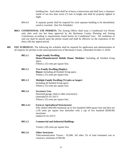building line. Such shed shall be of heavy construction and shall have a clearance inside of not less than seven (7) feet in height and shall be properly lighted at night.

- 804.4.6 A separate permit shall be required for each separate building to be demolished, razed or wrecked. (See Fee Schedule)
- **804.5 CONDITIONAL USE PERMITS:** The Zoning Officer shall issue a Conditional Use Permit only after such use has been approved by the Buchanan County Planning and Zoning Commission according to requirements found herein for Conditional Uses. All conditions of said use shall be placed upon the permit issued and shall be effective on the expiration of the thirty (30) day appeal period.
- **805 FEE SCHEDULE:** The following fee schedule shall be required for application and administration of all requests for permits in the unincorporated area of Buchanan County. *(Amended October 4, 2010)*

| 805.1.1   | <b>Single Family Dwelling</b><br><b>House/Manufactured Mobile Home/ Modular:</b> Including all finished living<br>space.<br>Fifteen (.15) cents per square foot.                                                                                  |  |
|-----------|---------------------------------------------------------------------------------------------------------------------------------------------------------------------------------------------------------------------------------------------------|--|
| 805.1.2   | <b>Two Family Dwelling (Duplex)</b><br><b>House:</b> Including all finished living space.                                                                                                                                                         |  |
|           | Fifteen (.15) cents per square foot.                                                                                                                                                                                                              |  |
| 805.1.3   | <b>Multiple Family Dwelling (Tri-plex or larger)</b><br>Including all finished living space.<br>Fifteen (.15) cents per square foot.                                                                                                              |  |
| 805.1.4   | <b>Accessory Uses</b><br>Detached garage, shed or other structure(s).<br>(Amended 01-01-2017)<br>Fifteen (.15) cents per square foot.                                                                                                             |  |
| 805.1.4.1 | Farm or Agricultural Structures(s)<br>Fifty dollars (\$50.00) minimum up to five hundred (500) square foot and then ten<br>$(0.10)$ cents per square foot thereafter with a cap of five hundred $(\$500.00)$<br>maximum.<br>$(Added\ 01-01-2017)$ |  |
| 805.1.5   | <b>Commercial and Industrial Buildings</b>                                                                                                                                                                                                        |  |
|           | Twenty (.20) cents per square foot.                                                                                                                                                                                                               |  |
|           |                                                                                                                                                                                                                                                   |  |

# **805.1.6 Other Structures** Telecommunication Towers - \$1,000. All other 1% of total estimated cost to construct, minimum of \$50.00.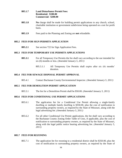# **805.1.7 Land Disturbance Permit Fees: Residential: \$100.00 Commercial: \$200.00**

- **805.1.8 No** charge shall be made for building permit applications to any church, school, charitable institution or government subdivision being operated on a not for profit basis.
- **805.1.9** Fees paid to the Planning and Zoning are **not** refundable.

## **805.2 FEES FOR SIGN PERMITS APPLICATION**

**805.2.1** See section 722 for Sign Application Fees.

## **805.3 FEES FOR TEMPORARY USE PERMITS APPLICATIONS**

- **805.3.1** For all Temporary Use Permits the fee shall vary according to the use intended for six (6) months or less. *(Amended January 5, 2011)*
	- 805.3.1.1 All Temporary Use Permits shall expire after six (6) months' duration.

### **805.4 FEE FOR SEWAGE DISPOSAL PERMIT APPROVAL**

805.4.1 Contact Buchanan County Environmental Inspector. *(Amended January 5, 2011)*

# **805.5 FEE FOR DEMOLITION PERMIT APPLICATION**

805.5.1 The fee for a Demolition Permit shall be \$50.00. *(Amended January 5, 2011)*

### **805.6 FEES FOR CONDITIONAL USE PERMIT APPLICATIONS**

- 805.6.1 The application fee for a Conditional Use Permit allowing a single-family dwelling or multiple family dwelling is \$350.00, plus the cost of notification to surrounding property owners, as required by the State of Missouri, along with the legal advertising fee. *(Amended January 5, 2011)*
- 805.6.2 For all other Conditional Use Permit applications, the fee shall vary according to the Buchanan County Zoning Order Table of Uses, if applicable, plus the cost of notification to surrounding property owners, as required by the State of Missouri, along with the legal public notice hearing advertising fee. *(Amended January 5, 2011)*

### **805.7 FEES FOR REZONING**

805.7.1 The application fee for rezoning to a residential district shall be \$350.00, plus the cost of notification to surrounding property owners, as required by the State of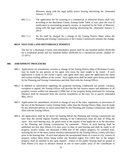Missouri, along with the legal public notice hearing advertising fee. *(Amended January 5, 2011)*

- 805.7.1.1 The application fee for rezoning to a commercial or industrial district shall vary according to the Buchanan County Zoning Order Table of uses, plus the cost of notification to surrounding property owners, as required by the State of Missouri, along with the legal public notice hearing advertising fee. *(Amended January 5, 2011)*
- 805.7.1.2 No fee shall be charged for a change in the Zoning District Maps where the Planning and Zoning Commission or the County Commission initiates the change.

### **805.8 FEES FOR LAND DISTURBANCE PERMITS**

The fee for a Buchanan County land disturbance permit shall be one hundred dollars (\$100.00) for a residential permit and two hundred dollars (\$200.00) for a commercial permit. *(Added 10- 12-2011)*

### **806 AMENDMENT PROCEDURE**

- 806.1 Applications for amendment, revision or change of the Zoning District Map of Buchanan County may be made by any person, or his agent who owns the land sought to be zoned. If such application is made by the owner's agent, said agent shall enter upon the application the name and current mailing address of the owner. Such application shall be made upon forms prescribed by the Planning and Zoning Commission and duly filed with the Zoning Officer.
- 806.2 In addition to information regarding the proposed rezoning, conditional use permit, variance, exception or appeal, the Zoning Officer will provide the last known names and addresses of all property owners within one thousand (1,000) feet of the property being petitioned for rezoning. Distance shall be measured from the exterior boundaries of the tract, lot or parcel. *(Amended May, 2011)*
- 806.3 Applications for amendment, revision or change of any of the rules, regulations or provisions of the text of the Buchanan County Zoning Order, other than the Zoning District Map, may be made by any interested person on forms prescribed by the Planning and Zoning Commission and duly filed with the Zoning Officer.
- 806.4 All applications shall be set down for hearing before the Planning and Zoning Commission not later than the second regular monthly meeting of the Commission from the date of filing the same. Any such hearing may, for good cause at the request of the applicant or in the discretion of the Planning and Zoning Commission, be continued. Notice of such hearing shall be published not less than fifteen (15) days prior to date of said hearing and shall be made to all property owners within one thousand (1,000) feet of the subject property, by certified mail, utilizing the list of the most current owner(s) determined by the Zoning Officer, twenty (20) days prior to the hearing date. If such land adjoins the incorporated limits of a town or city, owners of property within these limits being within one hundred eighty five (185) feet of the subject property shall be notified in the same manner. Notice of the public hearing shall be posted at least fifteen (15) days in advance thereof in one or more public areas of the Courthouse or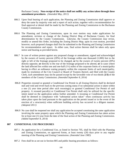Buchanan County. **Non-receipt of the notice shall not nullify any action taken through these amendment procedures**. *(Amended May, 2011)*

- 806.5 Upon final hearing of such application, the Planning and Zoning Commission shall approve or deny the same by majority vote and a report of such action, together with a recommendation for final approval or denial shall be made by the Planning and Zoning Commission to the Buchanan County Commission.
- 806.6 The Planning and Zoning Commission, upon its own motion may make applications for amendment, revision or change of the Zoning District Map of Buchanan County, for final determination by the County Commission. Likewise, the County Commission may revise, modify or amend this Order, including the Zoning District Map, upon its own motion, provided however, such proposed changes shall first be submitted to the Planning and Zoning Commission for recommendation and report. In either case, final action thereon shall be taken only upon notice and hearing as provided herein.
- 806.7 In case of written protest against any proposed change or amendment, signed and acknowledged by the owners of twenty percent (20%) of the frontage within one thousand (1,000) feet to the right or left of the frontage proposed to be changed, **or** by the owners of twenty percent (20%) directly opposite, **or** directly in the rear of the frontage proposed to be altered, **or** in cases where the land affected lies within one and one-half  $(1\frac{1}{2})$  miles of the corporate limits of a municipality having in effect an ordinance zoning property within the corporate limits of such municipality, made by resolution of the City Council or Board of Trustees thereof, and filed with the County Clerk, such amendment may not be passed except by the favorable vote of two-thirds (**2/3)** of the members of the County Commission. *(Amended September 8, 2014)*
- 806.8 Properties rezoned or granted a Conditional Use Permit in all Zoning Districts shall be declared null and void and revert back to the previous zoning status if no substantial action is taken within a one (1) year time period after such rezoning(s) or granted Conditional Use Permit of said property. A rezoned parcel(s) or Conditional Use Permit shall only be utilized for the specific intent stated on the application unless further amended. A rezoning or Conditional Use Permit shall be deemed in compliance with "substantial action taken" when continuous activity has taken place upon the land pursuant to the application on the permit issued or in the event of the erection of a structure(s) when sufficient building activity has occurred in a diligent manner. *(Adopted 2011)*
- 806.9 No case shall be reopened nor shall any application be accepted constituting the same application involving the same property upon which the Planning and Zoning Commission has taken action for at least one (1) year from the date of the final action of the Planning and Zoning Commission. *(Added September 8, 2014)*

## **807 CONDITIONAL USE PROCEDURES**

- 807.1 An application for a Conditional Use, as listed in Section 705, shall be filed with the Planning and Zoning Commission, on approved forms, at least twenty (20) days prior to any regular meeting of the Planning and Zoning Commission. *(Amended June 1985)*
- 807.2 Fees shall be as set out in Section 805 and public hearing procedures as follows: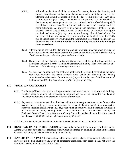- 807.2.1 All such applications shall be set down for hearing before the Planning and Zoning Commission not later than the second regular monthly meeting of the Planning and Zoning Commission from the date of filing the same. Any such hearing may, for good cause, at the request of the applicant or in the discretion of the Planning and Zoning Commission, be continued. Notice of such hearing shall be published not less than fifteen (15) days prior to date of said hearing in a local news publication. All property owners within one thousand (1,000) feet of all property lines of subject property shall be given notice of the public hearing by certified mail twenty (20) days prior to the hearing. If such land adjoins the incorporated limits of a town or city, owners within one hundred eighty five (185) feet of subject property lying within the incorporated areas shall be notified in the same manner. **Non-receipt of notice shall not nullify any action taken through these procedures.**
- 807.3 After the public hearing, the Planning and Zoning Commission may approve or deny the application as they determine the desirability, based on conditions listed in Section 705.4, of said use on that particular site. *(Amended March 1988)*
- 807.4 The decision of the Planning and Zoning Commission shall be final unless appealed to the Buchanan County Board of Zoning Adjustment within thirty (30) days of the date of the decision of the Planning and Zoning Commission.
- 807.5 No case shall be reopened nor shall any application be accepted constituting the same application involving the same property upon which the Planning and Zoning Commission has taken action for at least one (1) year from the date of the final action of the Planning and Zoning Commission. *(Added September 8, 2014)*

# **811 VIOLATION AND PENALTY**

- 811.1 The Zoning Officer or his authorized representative shall have power to cause any land, building, structure, place or premise to be inspected or examined and to order in writing the remedying of any condition found to exist therein in violation of this Order.
- 811.2 Any owner, lessee or tenant of land located within the unincorporated area of the County who has been served with an order in writing, from the office of Planning and Zoning, to correct or remove a violation shall have ten (10) days with which to comply or find themselves in violation of the Buchanan County Zoning Order. Zoning violations are a misdemeanor filed by the Buchanan County Prosecuting Attorney or County Counselor punishable by a fine not to exceed one thousand (\$1000.00) dollars. *(Amended January 9, 2013)*
- 811.3 Each and every day that such violation continues shall constitute a separate violation.
- **813 REASONABLENESS OF REGULATION:** Any person having an interest in property affected by the Zoning Order may have the reasonableness of this Order determined by bringing an action in the Circuit Court of the County against the Zoning body of the County.
- **814 INVALIDITY OF A PART:** If any Section, subsection, sentence, clause or phrase of this Order is for any reason to be held invalid by any Court of competent jurisdiction, such decision shall not affect the validity of the remaining portions of this Order.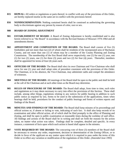- **815 REPEAL:** All orders or regulations or parts thereof, in conflict with any of the provisions of this Order, are hereby replaced insofar as the same are in conflict with the provisions hereof.
- **816 NONDISCRIMINATION:** Nothing contained herein shall be construed as authorizing the governing body to discriminate against any person by reason of color, race or sex.

## **900 BOARD OF ZONING ADJUSTMENT**

- **901 ESTABLISHMENT OF BOARD**: A Board of Zoning Adjustment is hereby established and is also herein referred to as "the Board" in accordance with the Revised Statutes of Missouri 1978-1964 and all amendments thereto.
- **902 APPOINTMENT AND COMPOSITION OF THE BOARD:** The Board shall consist of five (5) freeholders and not more than two (2) of whom shall be residents of the incorporated area of Buchanan County, and not more than one (1) of whom may be a member of the County Planning and Zoning Commission. The membership of the first Board shall serve respectively; one (1) for one (1) year, one (1) for two (2) years, one (1) for three (3) years and two (2) for four (4) years. Thereafter, members shall be appointed for terms of four (4) years each.
- **903 OFFICERS OF THE BOARD:** The Board shall elect its own Chairman and Vice-Chairman who shall serve for one (1) year and shall adopt rules of procedure consistent with the provisions of this Order. The Chairman, or in his absence, the Vice-Chairman, may administer oaths and compel the attendance of witnesses.
- **904 MEETINGS OF THE BOARD:** All meetings of the Board shall be open to the public and shall be held at the call of the Chairman and at such other times as the Board may determine.
- **905 RULES OF PROCEDURE OF THE BOARD:** The Board shall adopt, from time to time, such rules and regulations as it may deem necessary to carry into effect the provisions of this Section. These shall include, among other things, regulations relating to any notices for public hearing in addition to such public notice as required by law, forms to be used in the submission of the applications, times when hearings shall be held, procedures for the conduct of public hearings and forms of written reports and findings of the Board.
- **906 MINUTES AND FINDINGS OF THE BOARD:** The Board shall keep minutes of its proceedings and official actions or, if absent or failing to vote, indicating of such fact. It shall also keep records of its examination and other official action, all of which shall be filed promptly in the office of Planning and Zoning, and shall be open to public examination at reasonable times during the workday of said office. All findings and actions of the Board shall be in writing and shall set forth the reasons for the action taken, no matter what action was taken. Findings shall be complete, detailed and specific. In every instance, a statement of facts upon which such action is based shall appear in the minutes.
- **907 VOTE REQUIRED BY THE BOARD:** The concurring vote of three (3) members of the Board shall be necessary to reverse any order, requirement, decision or determination of the Zoning Officer, or to decide in favor of the applicant on any matter upon which it is required to pass under the terms of this Order or to effect any variation or modification of the regulations of this Order. *(Amended June 1993)*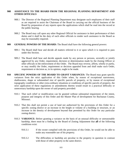#### **908 ASSISTANCE TO THE BOARD FROM THE REGIONAL PLANNING DEPARTMENT AND OTHER OFFICIALS**

- 908.1 The Director of the Regional Planning Department may designate such employees of their staff as are required to assist the Chairman of the Board in carrying out the official business of the Board by preparation of any reports upon the applications which shall be read into the record at the public hearing.
- 908.2 The Board may call upon any other Regional Official for assistance in their performance of their duties and it shall be the duty of such other officials to render such assistance to the Board as may be reasonably required.
- **909 GENERAL POWERS OF THE BOARD:** The Board shall have the following general powers:
	- 909.1 The Board shall hear and decide all matters referred to it or upon which it is required to pass under this Section.
	- 909.2 The Board shall hear and decide appeals made by any person or persons, severally or jointly aggrieved by any Order, requirement, decision or determination made by the Zoning Officer or other officials in the enforcement of this Order. The Board may reverse, affirm, wholly or partly, or may modify the Order, requirement or decision appealed from and shall make such Order, requirement or decision as, in its opinion, ought to be made.
- **910 SPECIFIC POWERS OF THE BOARD TO GRANT VARIANCES:** The Board may grant specific variances from the strict application of this Order when, by reason of exceptional narrowness, shallowness, shape or substandard size of specific parcels of property, or by reason of exceptional topography conditions or other extra-ordinary situations or conditions of specific parcels of property, the strict application of these regulations or amendments thereto would result in a practical difficulty or unnecessary hardship upon the owner of said property provided:
	- 910.1 That such relief or modification can be granted without substantial impairment of the intent, purpose and integrity of this Order and the Master Plan of development for Buchanan County, Missouri.
	- 910.2 That this shall not permit a use of land not authorized by the provisions of this Order for a specific zoning district or an increase in the height or volume of a building or structure, or an increase in the density of development beyond that permitted by this Order for any particular zoning district.
	- 910.3 **VARIANCE:** Before granting a variance on the basis of an unusual difficulty or unreasonable hardship, there must be a finding by the Board of Zoning Adjustment that **all** of the following conditions exist:
		- 910.3.1 If the owner complied with the provisions of this Order, he would not be able to make any reasonable use of his property.
		- 910.3.2 The difficulties or hardship are peculiar to the property in question in contrast with those of other property in the same district.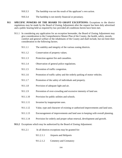- 910.3.3 The hardship was not the result of the applicant's own action.
- 910.3.4 The hardship is not merely financial or pecuniary.
- **911 SPECIFIC POWERS OF THE BOARD TO GRANT EXCEPTIONS:** Exceptions to the district regulations may be made by the Board of Zoning Adjustment after the request has been duly advertised and a public hearing held as required by law provided all conditions herein have been met.
	- 911.1 In considering any application for an exception hereunder, the Board of Zoning Adjustment may give consideration to the Comprehensive Master Plan of the County, the health, safety, morals, comfort and general welfare of the inhabitants of the County and shall include, but not limit their consideration to the following factors.
		- 911.1.1 The stability and integrity of the various zoning districts.
		- 911.1.2 Conservation of property values.
		- 911.1.3 Protection against fire and casualties.
		- 911.1.4 Observation of general police regulations.
		- 911.1.5 Prevention of traffic congestion.
		- 911.1.6 Promotion of traffic safety and the orderly parking of motor vehicles.
		- 911.1.7 Promotion of the safety of individuals and property.
		- 911.1.8 Provision of adequate light and air.
		- 911.1.9 Prevention of over-crowding and excessive intensity of land use.
		- 911.1.10 Provision for public utilities and schools.
		- 911.1.11 Invasion by inappropriate uses.
		- 911.1.12 Value, type and character of existing or authorized improvements and land uses.
		- 911.1.13 Encouragement of improvements and land uses in keeping with overall planning.
		- 911.1.14 Provision for orderly and proper urban renewal, development and growth.
	- **911.2** Exceptions which may be authorized by the Board of Zoning Adjustment:
		- 911.2.1 In all districts exceptions may be granted for:
			- 911.2.1.1 Airports and Heliports
			- 911.2.1.2 Cemetery and Crematory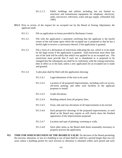- 911.2.1.3 Public buildings and utilities including, but not limited to, structures and transmission equipment for telephone, electricity, radio, microwave, television, water and gas supply. *(Amended July 1985)*
- **911.3** Prior to review of the request for an excepted use by the Board of Zoning Adjustment, the applicant shall:
	- 911.3.1 File an application on forms provided by Buchanan County.
	- 911.3.2 File with the application a statement certifying that the applicant is the lawful owner of the real estate upon which the excepted use is proposed or that he has a lawful right to receive a conveyance thereof, if the application is granted.
	- 911.3.3 File a form of a declaration of restrictions indicating the use, which is to be made by the legal owner if the application is granted. Said restrictions must show that use of the land will be solely that which was applied for as an excepted use. The restrictions must provide that if such use is abandoned or is proposed to be changed that the subsequent use shall be in conformity with the zoning restriction, then in effect as to the land, unless a new application for an excepted use is made and granted.
	- 911.3.4 A plot plan shall be filed with the application showing:
		- 911.3.4.1 Legal dimension of the tract to be used.
		- 911.3.4.2 Location of all proposed improvements, including curb-cut access, off-street parking, and other such facilities as the applicant proposes to install.
		- 911.3.4.3 Grade elevations.
		- 911.3.4.4 Building setback from all property lines.
		- 911.3.4.5 Front, side and rear elevations of all improvements to be erected.
		- 911.3.4.6 Such perspective drawings of the proposed improvements, in such detail as the Board may require as will clearly show the finished appearance of the improvements proposed.
		- 911.3.4.7 Location and type of planting, screening or walls.
		- 911.3.4.8 Such other items as the Board shall deem reasonably necessary to properly process the application.
- **912 TIME FOR WHICH DECISION OF THE BOARD IS VALID**: No decision of the Board permitting the erection, alteration, or use of a building or use of land shall be valid for a period longer than two (2) years unless a building permit for such erection or alteration is obtained within such period and such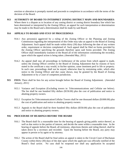erection or alteration is promptly started and proceeds to completion in accordance with the terms of the decision of the Board.

**913 AUTHORITY OF BOARD TO INTERPRET ZONING DISTRICT MAPS AND BOUNDARIES**: Where there is a dispute as to location of any zoning district or zoning district boundary line which has been determined or interpreted by the Zoning Officer, an appeal for such interpretation or determination may be made to the Board and a determination shall be made by said Board.

## **914 APPEALS TO BOARD AND STAY OF PROCEEDINGS**

- 914.1 Any persons(s) aggrieved by a ruling of the Zoning Officer or the Planning and Zoning Commission regarding the interpretation of this Order may take an appeal to the Board of Zoning Adjustment. Such appeal shall be made within thirty (30) days following the date of any written order, requirement or decision complained of. Such appeal shall be filed on forms provided by the Zoning Officer specifying the grounds therefore upon said forms provided. The Zoning Officer shall immediately transmit to the Board all of the information constituting the record(s), upon which the appeal action is being taken. *(Amended May, 2011)*
- 914.2 An appeal shall stay all proceedings in furtherance of the action from which appeal is made, unless the Zoning Officer certifies to the Board of Zoning Adjustment that by reasons of facts stated in the certificate a stay would, in his/her opinion, cause imminent peril to life or property. In such case, proceedings shall not be stayed, otherwise than by restraining order, which after notice to the Zoning Officer and due cause shown, may be granted by the Board of Zoning Adjustment or by a Court of competent jurisdiction.
- **915 FEES:** There shall be fees for any action brought before the Board of Zoning Adjustment. *(Amended January, 2011)*
	- 915.1 Variance and Exception (Excluding towers ie: Telecommunications and Cellular see below). The fee shall be one hundred fifty dollars (\$150.00) plus the cost of publication and notice to abutting property owners.
	- 915.2 Exception for Telecommunication/Cellular Towers shall be one thousand dollars (\$1000.00) plus the cost of publication and notice to abutting property owners.
	- 915.3 Appeals to the Board shall be three hundred fifty dollars (\$350.00) plus the cost of publication and notice to abutting property owners.

## **916 PROCEDURE OF HEARINGS BEFORE THE BOARD**

- 916.1 The Board shall fix a reasonable time for the hearing of appeals giving public notice thereof, as well as due notice to the parties of interest, and decide the same within a reasonable time. In the hearing of appeals before the Board, all testimony, objections thereto and ruling thereof, shall be taken down by a secretary and recorded. Upon the hearing before the Board, any party may appear in person or by agent or by attorney.
- 916.2 The action of the Board shall be final unless an appeal is taken to the Circuit Court of Buchanan County within thirty (30) days of the date upon which the applicant was officially notified of the Board's final action. No case shall be reopened nor shall any application be accepted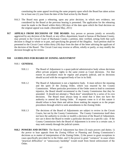constituting the same appeal involving the same property upon which the Board has taken action for at least one (1) year from the date of the final action by the Board.

- 916.3 The Board may grant a rehearing, upon any prior decision, in which new evidence, not considered by the Board at the previous hearing is presented. The application for the rehearing must be made to the Board within thirty (30) days of the date upon which the final decision on the original appeal was made. *(Amended May, 2011)*
- **917 APPEALS FROM DECISIONS OF THE BOARD:** Any person or persons jointly or severally aggrieved by any decision of the Board, or any office, department, board or bureau of Buchanan County, may present to the Circuit Court of Buchanan County a petition, duly verified, setting forth that such decision is illegal in whole or in part, and specifying the ground of the illegality. Such petition shall be presented to the Circuit Court within thirty (30) days from the date of the letter advising the applicant of the decision of the Board. The Circuit Court may reverse or affirm, wholly or partly, or may modify the decision brought up for review.

# **918 GUIDELINES FOR BOARD OF ZONING ADJUSTMENT**

#### 918.1 **GENERAL**

- 918.1.1 The Board of Adjustment is a quasi-judicial administrative body whose decisions affect private property rights to the same extent as Court decisions. For that reason its procedures must be regular and properly judicial, and its decisions should accord with the recognized body of law in its field.
- 918.1.2 The Board of Adjustment is not a legislative body. It must enforce the meaning and the spirit of the Zoning Order, which was enacted by the County Commission. Where particular provisions of the Order seem to lead to consistent injustice, the Board should recommend to the County Commission that they be amended. It should not attempt a "Back-door" amendment by a series of its own decisions. The Board must always keep in mind that it does not have the authority to amend the Zoning Order. If requests come to it of this nature it should refuse to hear them and advise those making the request as to the proper procedures through which to seek amendments to the Zoning Order.
- 918.1.3 The decisions of the Board of Adjustments are subject to review in the Circuit Courts, but not by the County Commission. The County Commission itself does not have the authority to revoke or modify a decision of the Board of Adjustment, nor can it direct the Board to render a particular decision in a specific case. If the County Commission feels the Board of Adjustment is in error in a certain case, it may seek remedy through the judicial system.
- **918.2 POWERS AND DUTIES**: The Board of Adjustment has three (3) main powers and duties; 1) the power to hear appeals from the Zoning Officer or Planning and Zoning Commission's decisions as to matter of interpretation of the Zoning Order, 2) the power to grant exceptions in cases specifically provided for in the Order, and 3) the power to grant "variances" in cases where "practical difficulties" or "unnecessary hardship" would result from literal enforcement of the Order.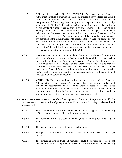- 918.2.1 **APPEAL TO BOARD OF ADJUSTMENT:** An appeal to the Board of Adjustment involves a situation in which an interested party alleges the Zoning Officer or the Planning and Zoning Commission has made an error in the interpretation of the Zoning Order as applied in a specific case. This usually arises when the Zoning Officer refuses to issue a building permit or the applicants or opponents of a request are aggrieved by the decision of the Planning and Zoning Commission. The function of the Board in an appeal is to make a judgment as to the proper interpretation of the Zoning Order in the context of the specific facts of the case. The Board, in an appeal, has no authority to set aside any provision of the Zoning Order or to authorize the issuance of a permit or over rule a decision made by the Planning and Zoning Commission that violates the strict terms of the Zoning Order. The Board's power of interpretation consists merely of; (a) determining the true facts in a case and (b) apply to those facts what it conceives is to be the true meaning of the Order.
- 918.2.2 **EXCEPTION:** In certain situations, the Order authorizes the Board to permit a given type of property use when it finds that particular conditions are met. When the Board does this, it is granting an "exception" (Special Use Permit). The Board must follow the language of the Order exactly and be sure that all conditions specified have been met. In other words, for an "exception" to be made by the Board of Adjustment there must be explicit mention of the authority to grant such an "exception" and the circumstances under which it can be granted must apply to the particular situation.
- 918.2.3 **VARIANCE:** The most familiar kind of action requested of the Board of Adjustment is to grant a "variance". This is to allow some variation in the stated dimensional requirements of the Zoning Order in cases where their strict application would involve undue hardship. The first rule for the Board to remember in exercising this function is that it must not be too liberal with its grants, for otherwise the whole Zoning Order may be subverted.
- **918.3 RULES OF PROCEDURE:** One of the first steps which the Board of Adjustment should take after its creation is to adopt rules of procedure for itself. At least the following provisions should be considered:
	- 918.3.1 The Board should fix the time within which notice of appeal from the Zoning Officer's decision must be filed by the property owner.
	- 918.3.2 The Board should make provision for the giving of notice prior to hearing the appeal.
	- 918.3.3 The appeal should be heard within a reasonable time.
	- 918.3.4 The quorum for the purpose of hearing cases should be not less than three (3) members.
	- 918.3.5 The concurring vote of three (3) members should be required in order to: (a) reverse any "Order", requirement, decision or determination of the Zoning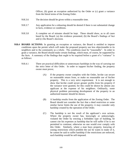Officer, (b) grant an exception authorized by the Order or (c) grant a variance from the literal terms of the Zoning Order.

- 918.3.6 The decision should be given within a reasonable time.
- 918.3.7 Any application for a rehearing should be denied if there is not substantial change in facts, evidence or conditions.
- 918.3.8 A complete set of minutes should be kept. These should show, as to all cases heard by the Board: (a) the evidence presented, (b) the Board's findings of fact and (c) the Board's decision.
- **918.4 BOARD ACTIONS:** In granting an exception or variance, the Board is entitled to impose conditions upon the permit which will make the proposed property use less objectionable to its neighbors and to the community as a whole. The conditions must be "reasonable". In order to grant a variance, the Board should make certain findings, which must, of course, be supported by the facts. A summary of the findings that ought to be required before a grant of a "variance" is as follows:
	- 918.4.1 There are practical difficulties or unnecessary hardships in the way of carrying out the strict letter of this Order. In order to support his/her finding, the property owner must prove;
		- (A) If the property owner complies with the Order, he/she can secure no reasonable return from, or make no reasonable use of his/her property. This is a very strict requirement. It is not enough to show that he/she could secure greater profits from his property if the variance were granted, for this could be shown by almost any applicant at the expense of his neighbors. Ordinarily, some physical problem preventing development of the property in an authorized manner should be shown.
		- (B) A hardship results from the application of the Zoning Order. The Board should not consider the fact that a deed restriction or some similar factor limits the use of the property; it may consider only hardship created by the operation of the Order.
		- (C) The hardship is not the result of the applicant's own actions. Where the property owner has, knowingly or unknowingly, violated the Order by erecting a forbidden type of building, he cannot cite his expenses as hardship that he will suffer if he is not permitted to continue; otherwise no one would ever comply with this Order. Similarly, where a man buys property, knowing of zoning restrictions which prohibit the use he wants to make of it, he cannot be said to suffer hardship if the restrictions are enforced, such hardship would be self-imposed.